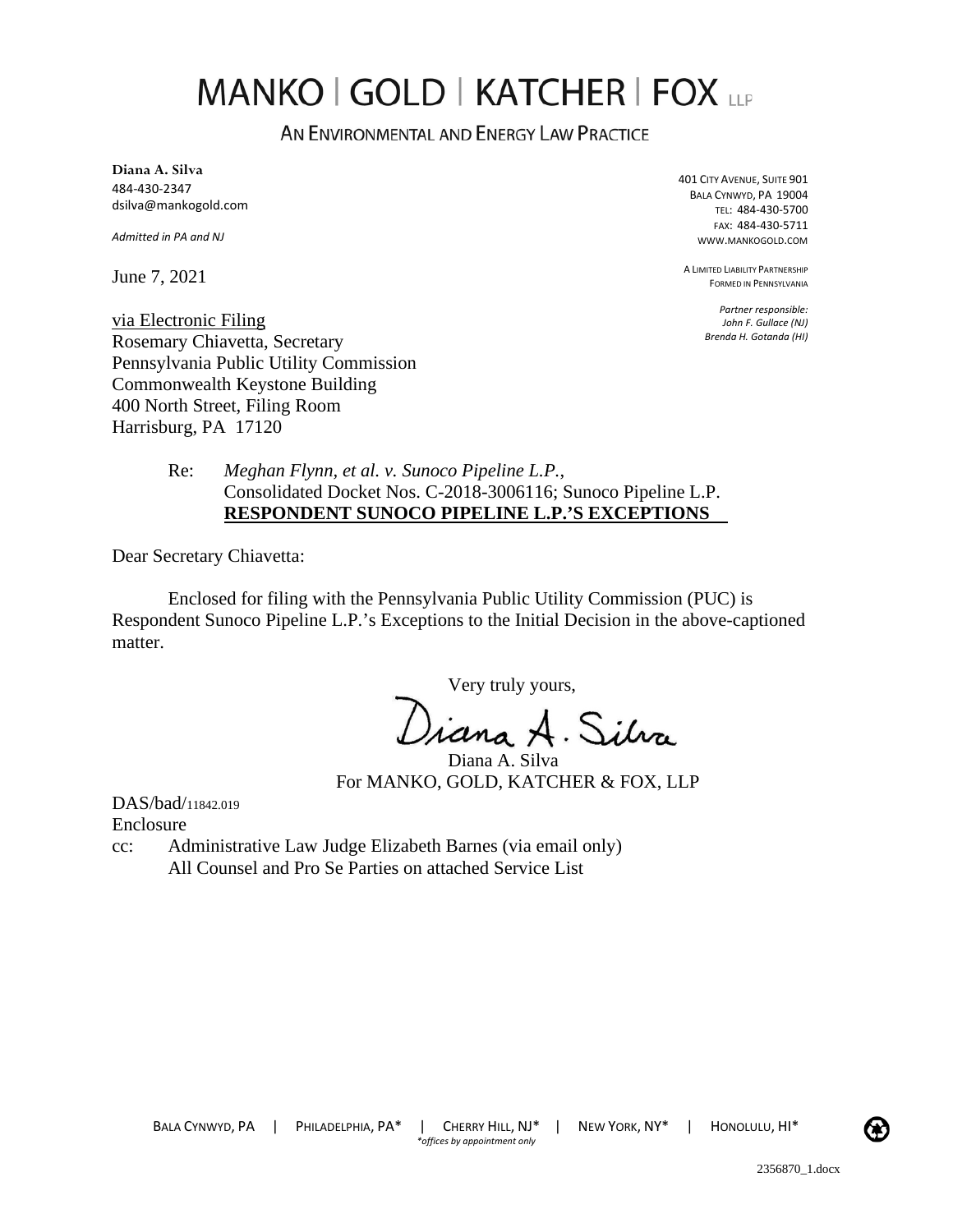# MANKO | GOLD | KATCHER | FOX LLP

AN ENVIRONMENTAL AND ENERGY LAW PRACTICE

**Diana A. Silva**  484-430-2347 dsilva@mankogold.com

*Admitted in PA and NJ* 

June 7, 2021

401 CITY AVENUE, SUITE 901 BALA CYNWYD, PA 19004 TEL: 484-430-5700 FAX: 484-430-5711 WWW.MANKOGOLD.COM

A LIMITED LIABILITY PARTNERSHIP FORMED IN PENNSYLVANIA

> *Partner responsible: John F. Gullace (NJ) Brenda H. Gotanda (HI)*

via Electronic Filing Rosemary Chiavetta, Secretary Pennsylvania Public Utility Commission Commonwealth Keystone Building 400 North Street, Filing Room Harrisburg, PA 17120

> Re: *Meghan Flynn, et al. v. Sunoco Pipeline L.P.*, Consolidated Docket Nos. C-2018-3006116; Sunoco Pipeline L.P. **RESPONDENT SUNOCO PIPELINE L.P.'S EXCEPTIONS**

Dear Secretary Chiavetta:

Enclosed for filing with the Pennsylvania Public Utility Commission (PUC) is Respondent Sunoco Pipeline L.P.'s Exceptions to the Initial Decision in the above-captioned matter.

Very truly yours,

Jiana A. Silva

Diana A. Silva For MANKO, GOLD, KATCHER & FOX, LLP

DAS/bad/11842.019 Enclosure

cc: Administrative Law Judge Elizabeth Barnes (via email only) All Counsel and Pro Se Parties on attached Service List

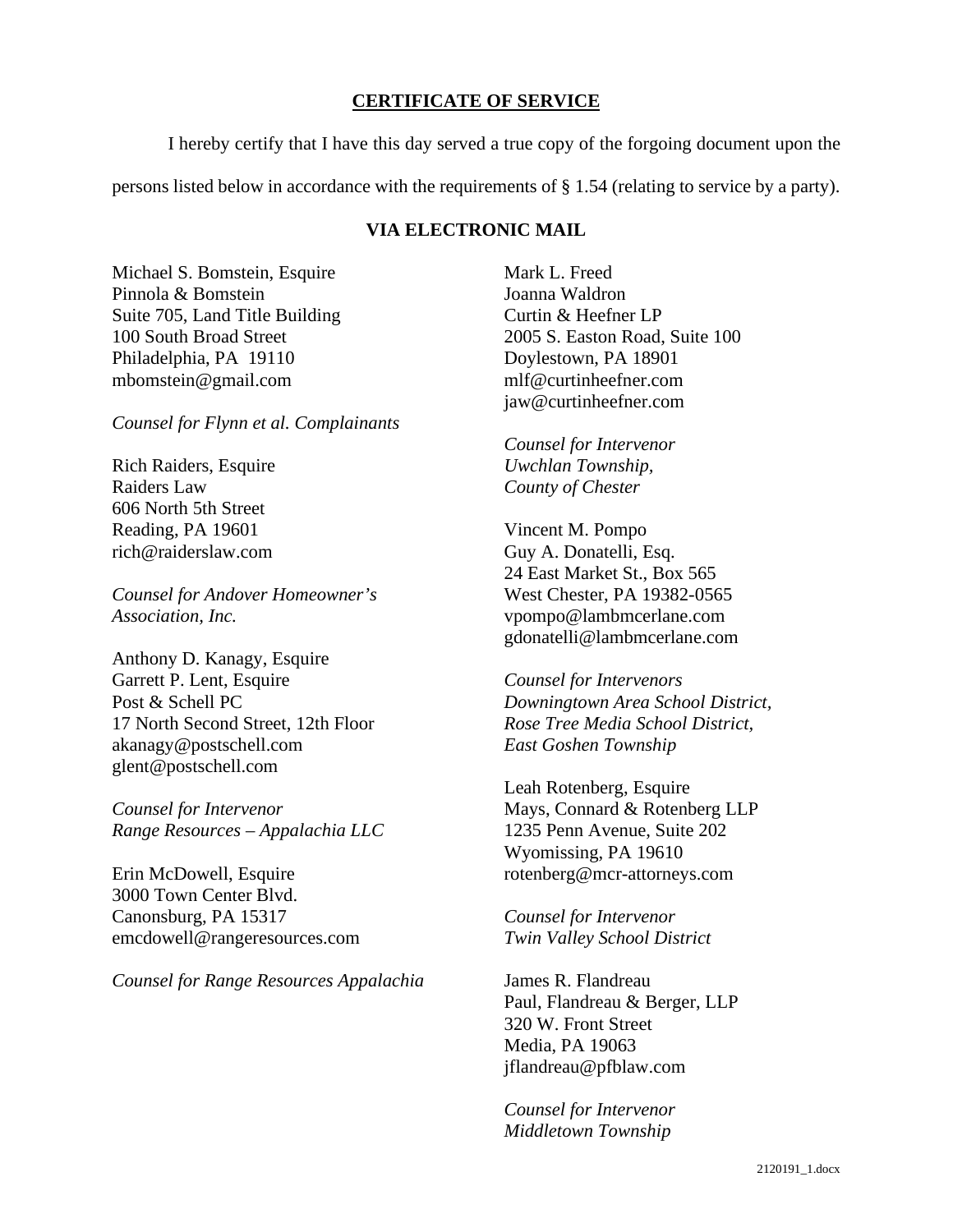### **CERTIFICATE OF SERVICE**

I hereby certify that I have this day served a true copy of the forgoing document upon the

persons listed below in accordance with the requirements of § 1.54 (relating to service by a party).

### **VIA ELECTRONIC MAIL**

Michael S. Bomstein, Esquire Pinnola & Bomstein Suite 705, Land Title Building 100 South Broad Street Philadelphia, PA 19110 mbomstein@gmail.com

*Counsel for Flynn et al. Complainants* 

Rich Raiders, Esquire Raiders Law 606 North 5th Street Reading, PA 19601 rich@raiderslaw.com

*Counsel for Andover Homeowner's Association, Inc.* 

Anthony D. Kanagy, Esquire Garrett P. Lent, Esquire Post & Schell PC 17 North Second Street, 12th Floor akanagy@postschell.com glent@postschell.com

*Counsel for Intervenor Range Resources – Appalachia LLC*

Erin McDowell, Esquire 3000 Town Center Blvd. Canonsburg, PA 15317 emcdowell@rangeresources.com

*Counsel for Range Resources Appalachia* 

Mark L. Freed Joanna Waldron Curtin & Heefner LP 2005 S. Easton Road, Suite 100 Doylestown, PA 18901 mlf@curtinheefner.com jaw@curtinheefner.com

*Counsel for Intervenor Uwchlan Township, County of Chester* 

Vincent M. Pompo Guy A. Donatelli, Esq. 24 East Market St., Box 565 West Chester, PA 19382-0565 vpompo@lambmcerlane.com gdonatelli@lambmcerlane.com

*Counsel for Intervenors Downingtown Area School District, Rose Tree Media School District, East Goshen Township* 

Leah Rotenberg, Esquire Mays, Connard & Rotenberg LLP 1235 Penn Avenue, Suite 202 Wyomissing, PA 19610 rotenberg@mcr-attorneys.com

*Counsel for Intervenor Twin Valley School District* 

James R. Flandreau Paul, Flandreau & Berger, LLP 320 W. Front Street Media, PA 19063 jflandreau@pfblaw.com

*Counsel for Intervenor Middletown Township*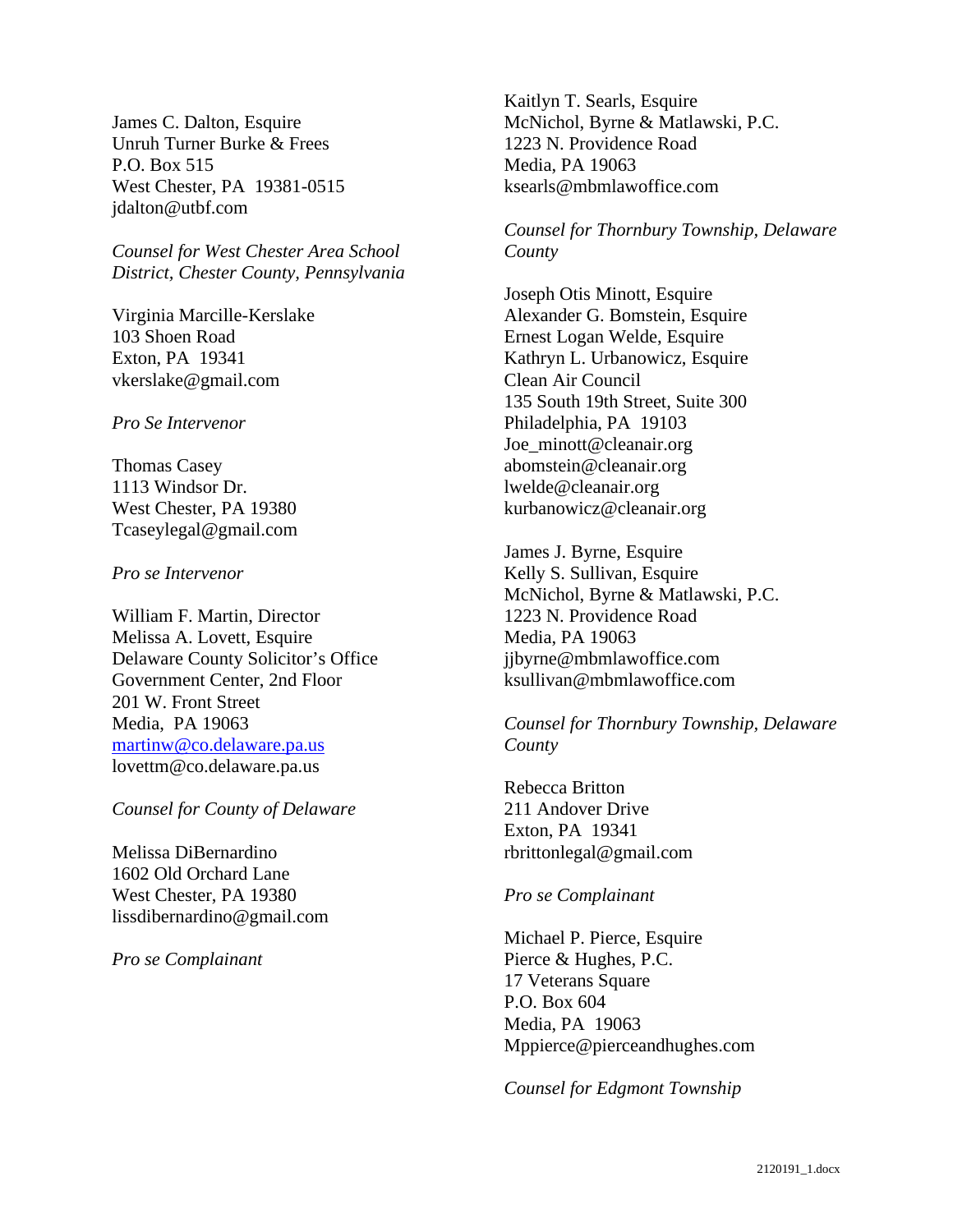James C. Dalton, Esquire Unruh Turner Burke & Frees P.O. Box 515 West Chester, PA 19381-0515 jdalton@utbf.com

*Counsel for West Chester Area School District, Chester County, Pennsylvania* 

Virginia Marcille-Kerslake 103 Shoen Road Exton, PA 19341 vkerslake@gmail.com

*Pro Se Intervenor* 

Thomas Casey 1113 Windsor Dr. West Chester, PA 19380 Tcaseylegal@gmail.com

*Pro se Intervenor* 

William F. Martin, Director Melissa A. Lovett, Esquire Delaware County Solicitor's Office Government Center, 2nd Floor 201 W. Front Street Media, PA 19063 [martinw@co.delaware.pa.us](mailto:martinw@co.delaware.pa.us) lovettm@co.delaware.pa.us

*Counsel for County of Delaware* 

Melissa DiBernardino 1602 Old Orchard Lane West Chester, PA 19380 lissdibernardino@gmail.com

*Pro se Complainant* 

Kaitlyn T. Searls, Esquire McNichol, Byrne & Matlawski, P.C. 1223 N. Providence Road Media, PA 19063 ksearls@mbmlawoffice.com

*Counsel for Thornbury Township, Delaware County* 

Joseph Otis Minott, Esquire Alexander G. Bomstein, Esquire Ernest Logan Welde, Esquire Kathryn L. Urbanowicz, Esquire Clean Air Council 135 South 19th Street, Suite 300 Philadelphia, PA 19103 Joe\_minott@cleanair.org abomstein@cleanair.org lwelde@cleanair.org kurbanowicz@cleanair.org

James J. Byrne, Esquire Kelly S. Sullivan, Esquire McNichol, Byrne & Matlawski, P.C. 1223 N. Providence Road Media, PA 19063 jjbyrne@mbmlawoffice.com ksullivan@mbmlawoffice.com

*Counsel for Thornbury Township, Delaware County* 

Rebecca Britton 211 Andover Drive Exton, PA 19341 rbrittonlegal@gmail.com

### *Pro se Complainant*

Michael P. Pierce, Esquire Pierce & Hughes, P.C. 17 Veterans Square P.O. Box 604 Media, PA 19063 Mppierce@pierceandhughes.com

*Counsel for Edgmont Township*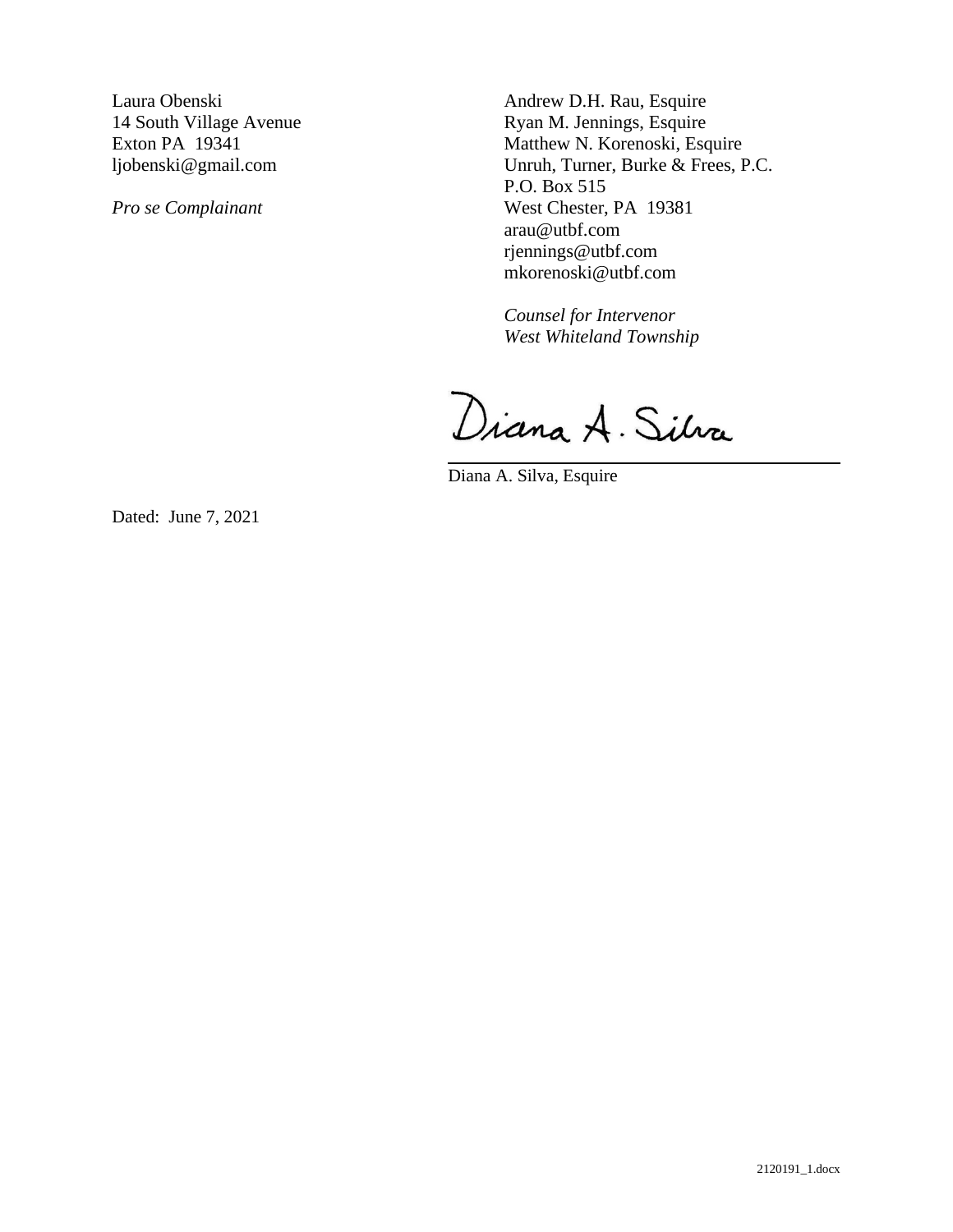Laura Obenski 14 South Village Avenue Exton PA 19341 ljobenski@gmail.com

*Pro se Complainant* 

Andrew D.H. Rau, Esquire Ryan M. Jennings, Esquire Matthew N. Korenoski, Esquire Unruh, Turner, Burke & Frees, P.C. P.O. Box 515 West Chester, PA 19381 arau@utbf.com rjennings@utbf.com mkorenoski@utbf.com

*Counsel for Intervenor West Whiteland Township* 

Diana A. Silva

Diana A. Silva, Esquire

Dated: June 7, 2021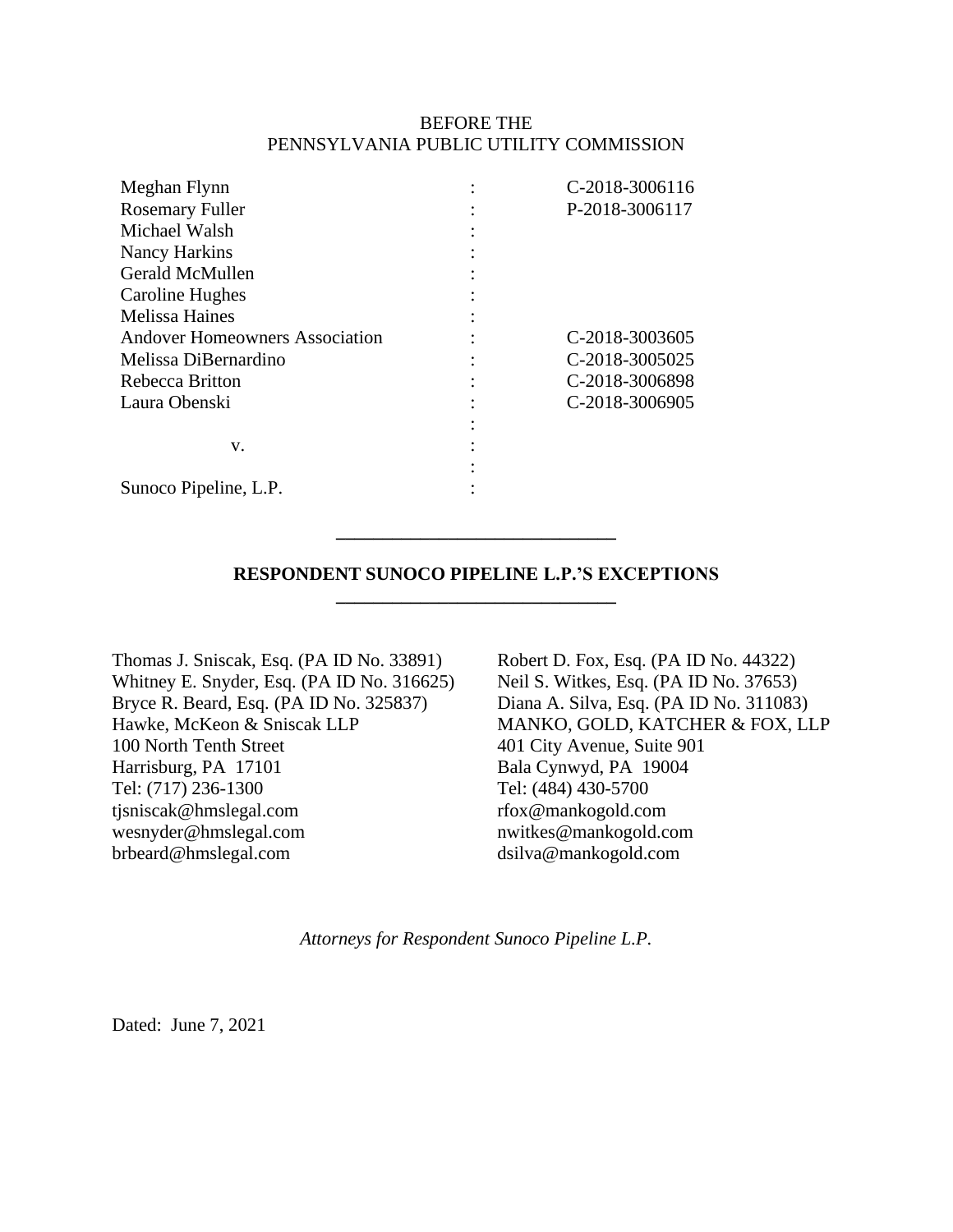### BEFORE THE PENNSYLVANIA PUBLIC UTILITY COMMISSION

| Meghan Flynn                          | C-2018-3006116 |
|---------------------------------------|----------------|
| <b>Rosemary Fuller</b>                | P-2018-3006117 |
| Michael Walsh                         |                |
| Nancy Harkins                         |                |
| Gerald McMullen                       |                |
| Caroline Hughes                       |                |
| <b>Melissa Haines</b>                 |                |
| <b>Andover Homeowners Association</b> | C-2018-3003605 |
| Melissa DiBernardino                  | C-2018-3005025 |
| Rebecca Britton                       | C-2018-3006898 |
| Laura Obenski                         | C-2018-3006905 |
|                                       |                |
| V.                                    |                |
|                                       |                |
| Sunoco Pipeline, L.P.                 |                |

### **RESPONDENT SUNOCO PIPELINE L.P.'S EXCEPTIONS \_\_\_\_\_\_\_\_\_\_\_\_\_\_\_\_\_\_\_\_\_\_\_\_\_\_\_\_\_\_**

**\_\_\_\_\_\_\_\_\_\_\_\_\_\_\_\_\_\_\_\_\_\_\_\_\_\_\_\_\_\_**

Thomas J. Sniscak, Esq. (PA ID No. 33891) Whitney E. Snyder, Esq. (PA ID No. 316625) Bryce R. Beard, Esq. (PA ID No. 325837) Hawke, McKeon & Sniscak LLP 100 North Tenth Street Harrisburg, PA 17101 Tel: (717) 236-1300 tjsniscak@hmslegal.com wesnyder@hmslegal.com brbeard@hmslegal.com

Robert D. Fox, Esq. (PA ID No. 44322) Neil S. Witkes, Esq. (PA ID No. 37653) Diana A. Silva, Esq. (PA ID No. 311083) MANKO, GOLD, KATCHER & FOX, LLP 401 City Avenue, Suite 901 Bala Cynwyd, PA 19004 Tel: (484) 430-5700 rfox@mankogold.com nwitkes@mankogold.com dsilva@mankogold.com

*Attorneys for Respondent Sunoco Pipeline L.P.*

Dated: June 7, 2021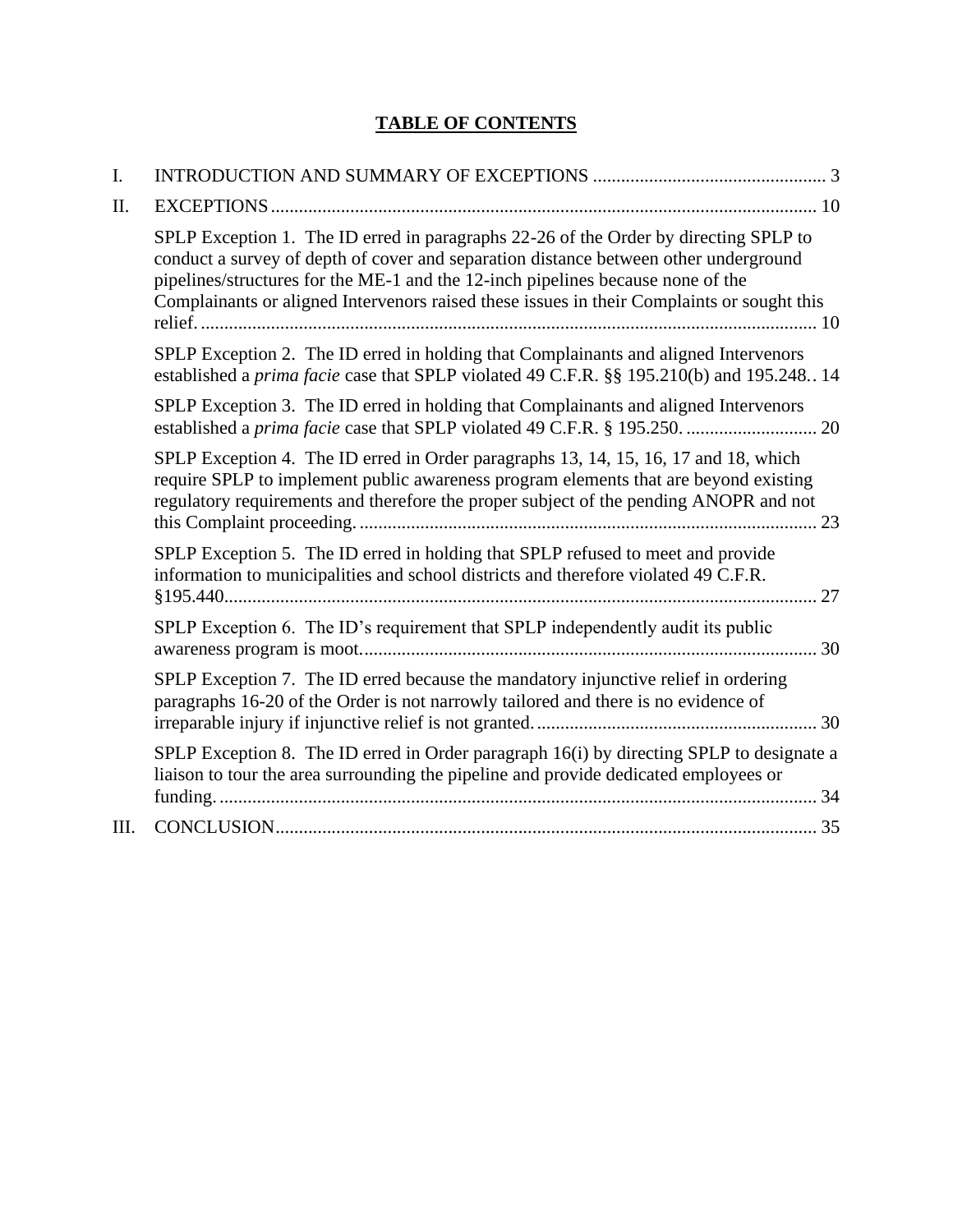## **TABLE OF CONTENTS**

| $\mathbf{I}$ . |                                                                                                                                                                                                                                                                                                                                                               |
|----------------|---------------------------------------------------------------------------------------------------------------------------------------------------------------------------------------------------------------------------------------------------------------------------------------------------------------------------------------------------------------|
| Π.             |                                                                                                                                                                                                                                                                                                                                                               |
|                | SPLP Exception 1. The ID erred in paragraphs 22-26 of the Order by directing SPLP to<br>conduct a survey of depth of cover and separation distance between other underground<br>pipelines/structures for the ME-1 and the 12-inch pipelines because none of the<br>Complainants or aligned Intervenors raised these issues in their Complaints or sought this |
|                | SPLP Exception 2. The ID erred in holding that Complainants and aligned Intervenors<br>established a prima facie case that SPLP violated 49 C.F.R. §§ 195.210(b) and 195.248 14                                                                                                                                                                               |
|                | SPLP Exception 3. The ID erred in holding that Complainants and aligned Intervenors                                                                                                                                                                                                                                                                           |
|                | SPLP Exception 4. The ID erred in Order paragraphs 13, 14, 15, 16, 17 and 18, which<br>require SPLP to implement public awareness program elements that are beyond existing<br>regulatory requirements and therefore the proper subject of the pending ANOPR and not                                                                                          |
|                | SPLP Exception 5. The ID erred in holding that SPLP refused to meet and provide<br>information to municipalities and school districts and therefore violated 49 C.F.R.                                                                                                                                                                                        |
|                | SPLP Exception 6. The ID's requirement that SPLP independently audit its public                                                                                                                                                                                                                                                                               |
|                | SPLP Exception 7. The ID erred because the mandatory injunctive relief in ordering<br>paragraphs 16-20 of the Order is not narrowly tailored and there is no evidence of                                                                                                                                                                                      |
|                | SPLP Exception 8. The ID erred in Order paragraph 16(i) by directing SPLP to designate a<br>liaison to tour the area surrounding the pipeline and provide dedicated employees or                                                                                                                                                                              |
| III.           |                                                                                                                                                                                                                                                                                                                                                               |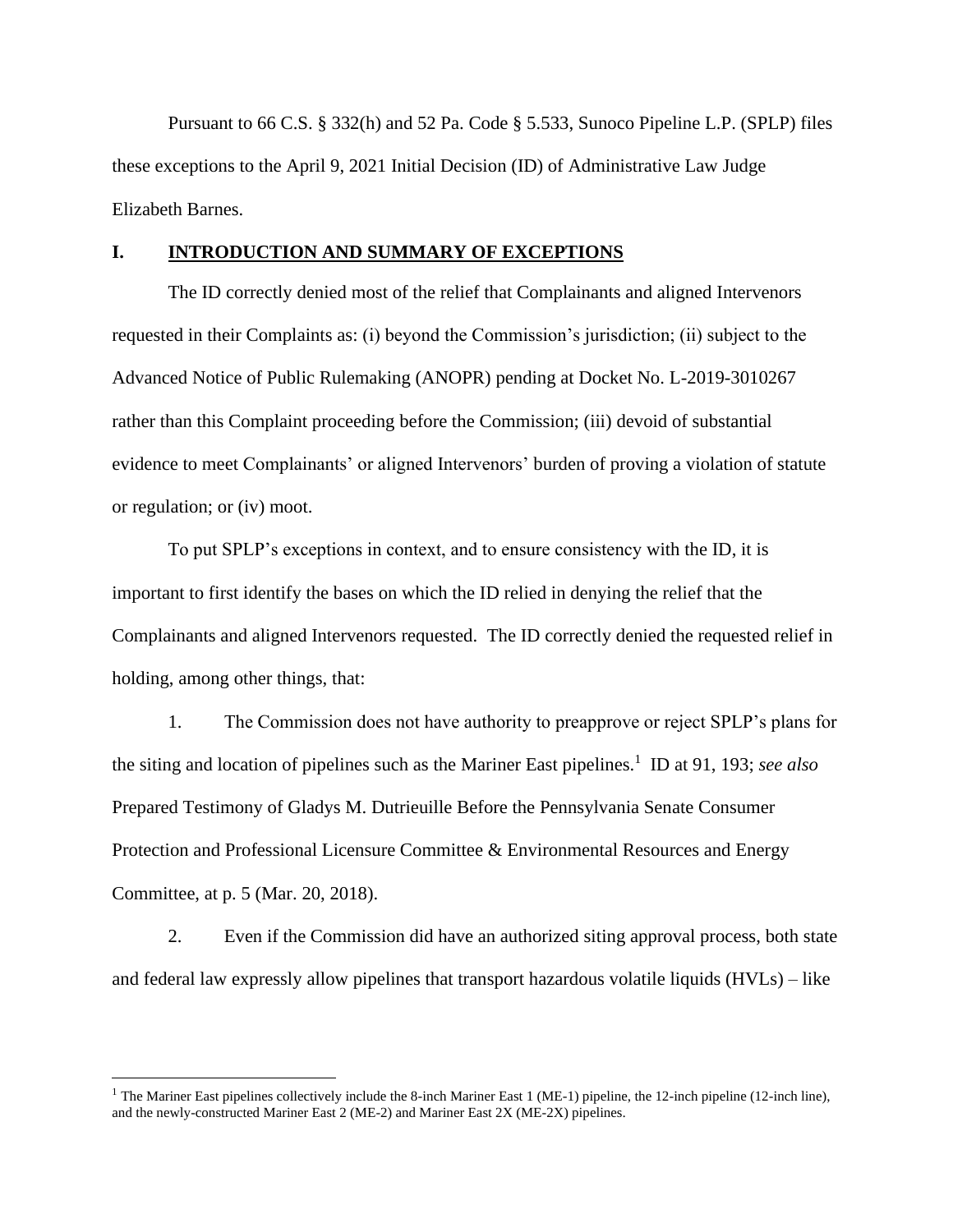Pursuant to 66 C.S. § 332(h) and 52 Pa. Code § 5.533, Sunoco Pipeline L.P. (SPLP) files these exceptions to the April 9, 2021 Initial Decision (ID) of Administrative Law Judge Elizabeth Barnes.

#### <span id="page-6-0"></span>**I. INTRODUCTION AND SUMMARY OF EXCEPTIONS**

The ID correctly denied most of the relief that Complainants and aligned Intervenors requested in their Complaints as: (i) beyond the Commission's jurisdiction; (ii) subject to the Advanced Notice of Public Rulemaking (ANOPR) pending at Docket No. L-2019-3010267 rather than this Complaint proceeding before the Commission; (iii) devoid of substantial evidence to meet Complainants' or aligned Intervenors' burden of proving a violation of statute or regulation; or (iv) moot.

To put SPLP's exceptions in context, and to ensure consistency with the ID, it is important to first identify the bases on which the ID relied in denying the relief that the Complainants and aligned Intervenors requested. The ID correctly denied the requested relief in holding, among other things, that:

1. The Commission does not have authority to preapprove or reject SPLP's plans for the siting and location of pipelines such as the Mariner East pipelines.<sup>1</sup> ID at 91, 193; *see also* Prepared Testimony of Gladys M. Dutrieuille Before the Pennsylvania Senate Consumer Protection and Professional Licensure Committee & Environmental Resources and Energy Committee, at p. 5 (Mar. 20, 2018).

2. Even if the Commission did have an authorized siting approval process, both state and federal law expressly allow pipelines that transport hazardous volatile liquids (HVLs) – like

<sup>&</sup>lt;sup>1</sup> The Mariner East pipelines collectively include the 8-inch Mariner East 1 (ME-1) pipeline, the 12-inch pipeline (12-inch line), and the newly-constructed Mariner East 2 (ME-2) and Mariner East 2X (ME-2X) pipelines.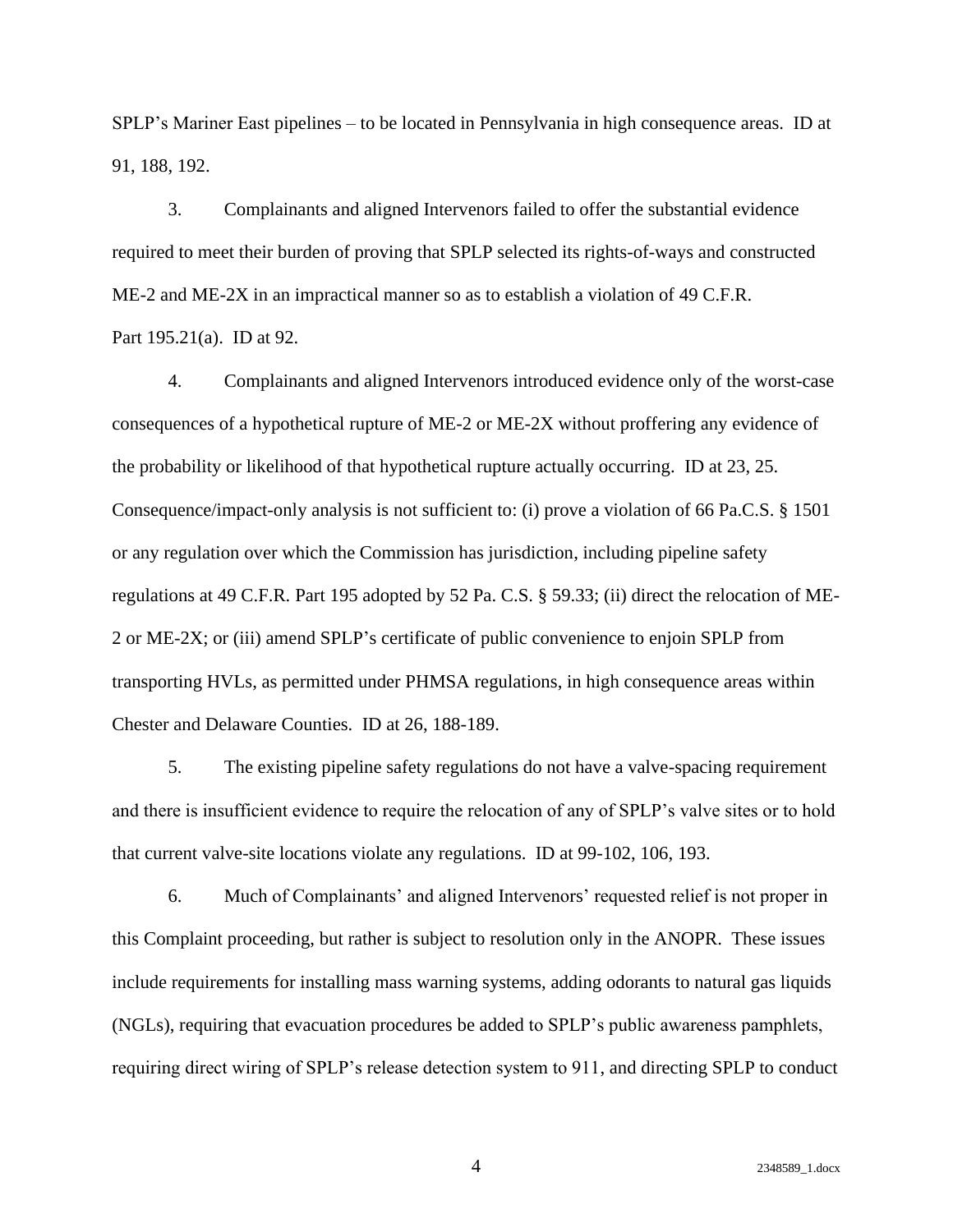SPLP's Mariner East pipelines – to be located in Pennsylvania in high consequence areas. ID at 91, 188, 192.

3. Complainants and aligned Intervenors failed to offer the substantial evidence required to meet their burden of proving that SPLP selected its rights-of-ways and constructed ME-2 and ME-2X in an impractical manner so as to establish a violation of 49 C.F.R. Part 195.21(a). ID at 92.

4. Complainants and aligned Intervenors introduced evidence only of the worst-case consequences of a hypothetical rupture of ME-2 or ME-2X without proffering any evidence of the probability or likelihood of that hypothetical rupture actually occurring. ID at 23, 25. Consequence/impact-only analysis is not sufficient to: (i) prove a violation of 66 Pa.C.S. § 1501 or any regulation over which the Commission has jurisdiction, including pipeline safety regulations at 49 C.F.R. Part 195 adopted by 52 Pa. C.S. § 59.33; (ii) direct the relocation of ME-2 or ME-2X; or (iii) amend SPLP's certificate of public convenience to enjoin SPLP from transporting HVLs, as permitted under PHMSA regulations, in high consequence areas within Chester and Delaware Counties. ID at 26, 188-189.

5. The existing pipeline safety regulations do not have a valve-spacing requirement and there is insufficient evidence to require the relocation of any of SPLP's valve sites or to hold that current valve-site locations violate any regulations. ID at 99-102, 106, 193.

6. Much of Complainants' and aligned Intervenors' requested relief is not proper in this Complaint proceeding, but rather is subject to resolution only in the ANOPR. These issues include requirements for installing mass warning systems, adding odorants to natural gas liquids (NGLs), requiring that evacuation procedures be added to SPLP's public awareness pamphlets, requiring direct wiring of SPLP's release detection system to 911, and directing SPLP to conduct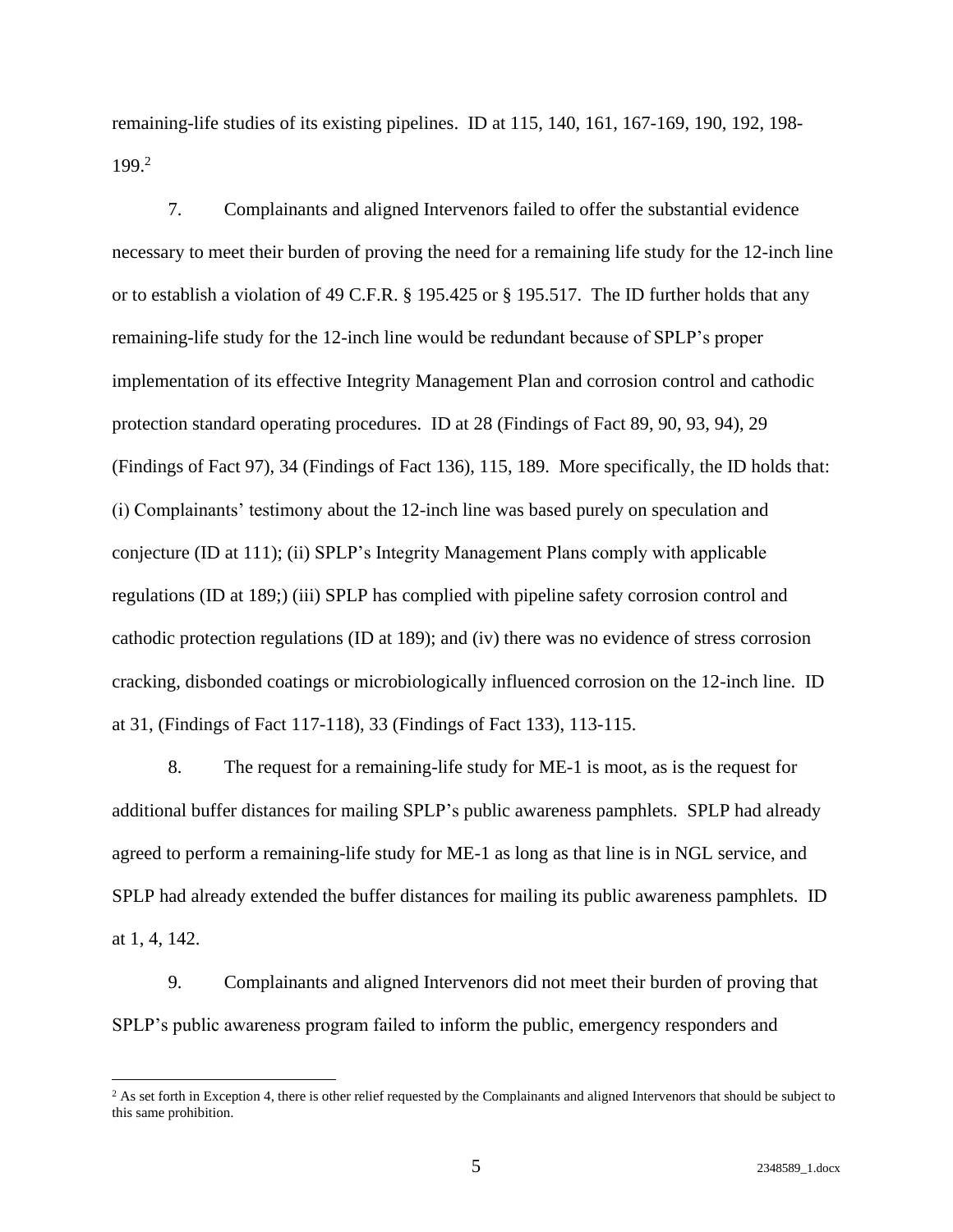remaining-life studies of its existing pipelines. ID at 115, 140, 161, 167-169, 190, 192, 198- 199. 2

7. Complainants and aligned Intervenors failed to offer the substantial evidence necessary to meet their burden of proving the need for a remaining life study for the 12-inch line or to establish a violation of 49 C.F.R. § 195.425 or § 195.517. The ID further holds that any remaining-life study for the 12-inch line would be redundant because of SPLP's proper implementation of its effective Integrity Management Plan and corrosion control and cathodic protection standard operating procedures. ID at 28 (Findings of Fact 89, 90, 93, 94), 29 (Findings of Fact 97), 34 (Findings of Fact 136), 115, 189. More specifically, the ID holds that: (i) Complainants' testimony about the 12-inch line was based purely on speculation and conjecture (ID at 111); (ii) SPLP's Integrity Management Plans comply with applicable regulations (ID at 189;) (iii) SPLP has complied with pipeline safety corrosion control and cathodic protection regulations (ID at 189); and (iv) there was no evidence of stress corrosion cracking, disbonded coatings or microbiologically influenced corrosion on the 12-inch line. ID at 31, (Findings of Fact 117-118), 33 (Findings of Fact 133), 113-115.

8. The request for a remaining-life study for ME-1 is moot, as is the request for additional buffer distances for mailing SPLP's public awareness pamphlets. SPLP had already agreed to perform a remaining-life study for ME-1 as long as that line is in NGL service, and SPLP had already extended the buffer distances for mailing its public awareness pamphlets. ID at 1, 4, 142.

9. Complainants and aligned Intervenors did not meet their burden of proving that SPLP's public awareness program failed to inform the public, emergency responders and

<sup>&</sup>lt;sup>2</sup> As set forth in Exception 4, there is other relief requested by the Complainants and aligned Intervenors that should be subject to this same prohibition.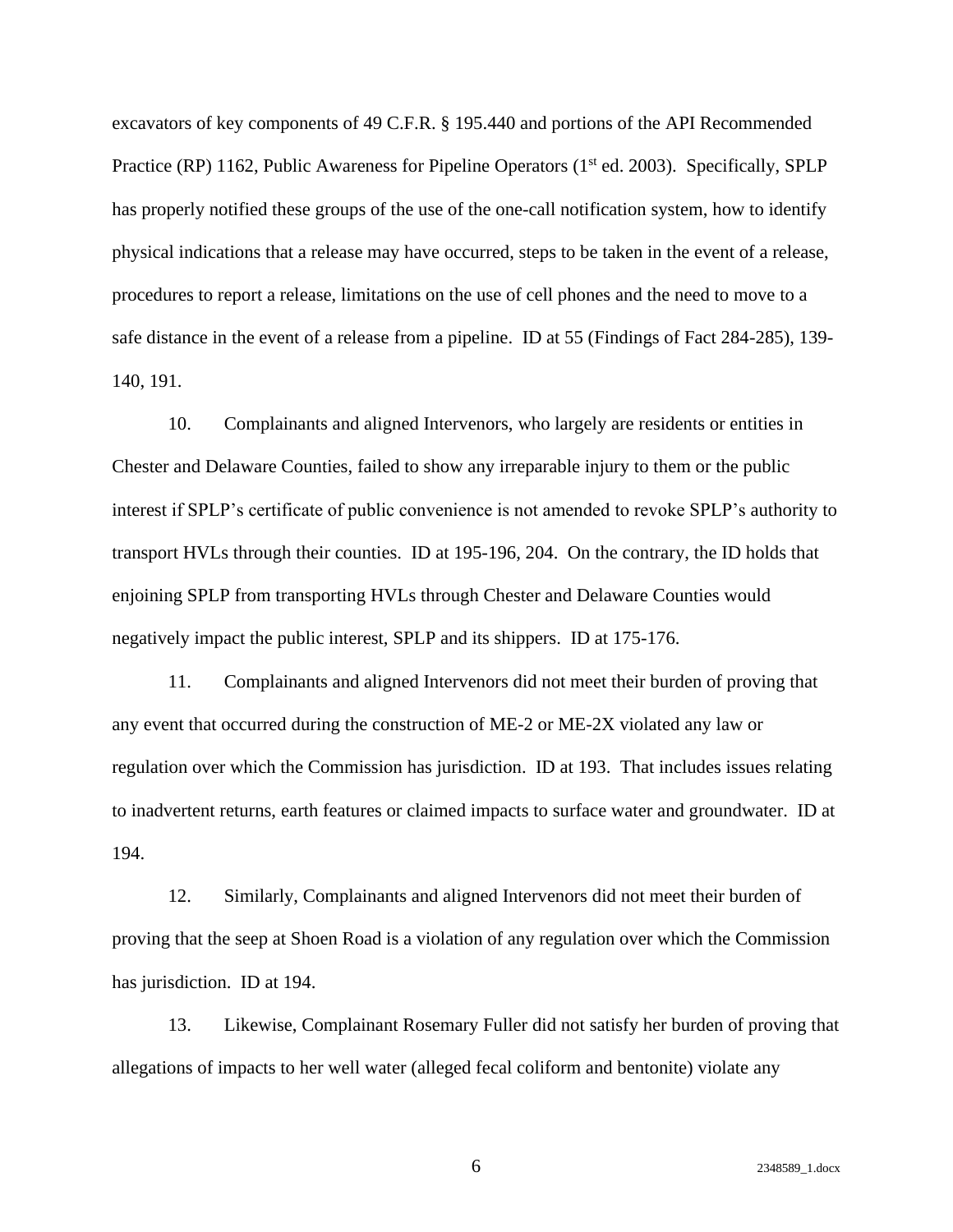excavators of key components of 49 C.F.R. § 195.440 and portions of the API Recommended Practice (RP) 1162, Public Awareness for Pipeline Operators (1<sup>st</sup> ed. 2003). Specifically, SPLP has properly notified these groups of the use of the one-call notification system, how to identify physical indications that a release may have occurred, steps to be taken in the event of a release, procedures to report a release, limitations on the use of cell phones and the need to move to a safe distance in the event of a release from a pipeline. ID at 55 (Findings of Fact 284-285), 139- 140, 191.

10. Complainants and aligned Intervenors, who largely are residents or entities in Chester and Delaware Counties, failed to show any irreparable injury to them or the public interest if SPLP's certificate of public convenience is not amended to revoke SPLP's authority to transport HVLs through their counties. ID at 195-196, 204. On the contrary, the ID holds that enjoining SPLP from transporting HVLs through Chester and Delaware Counties would negatively impact the public interest, SPLP and its shippers. ID at 175-176.

11. Complainants and aligned Intervenors did not meet their burden of proving that any event that occurred during the construction of ME-2 or ME-2X violated any law or regulation over which the Commission has jurisdiction. ID at 193. That includes issues relating to inadvertent returns, earth features or claimed impacts to surface water and groundwater. ID at 194.

12. Similarly, Complainants and aligned Intervenors did not meet their burden of proving that the seep at Shoen Road is a violation of any regulation over which the Commission has jurisdiction. ID at 194.

13. Likewise, Complainant Rosemary Fuller did not satisfy her burden of proving that allegations of impacts to her well water (alleged fecal coliform and bentonite) violate any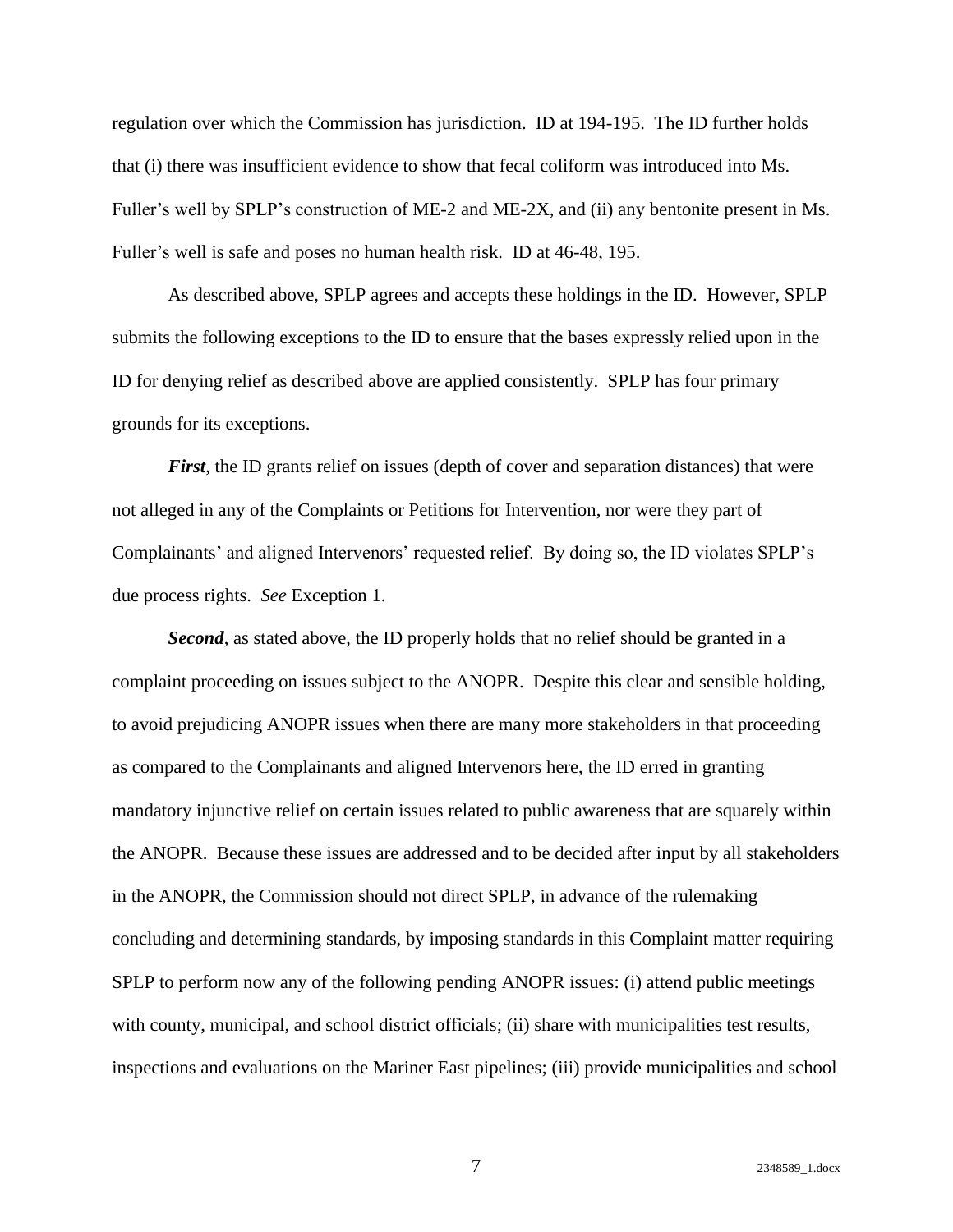regulation over which the Commission has jurisdiction. ID at 194-195. The ID further holds that (i) there was insufficient evidence to show that fecal coliform was introduced into Ms. Fuller's well by SPLP's construction of ME-2 and ME-2X, and (ii) any bentonite present in Ms. Fuller's well is safe and poses no human health risk. ID at 46-48, 195.

As described above, SPLP agrees and accepts these holdings in the ID. However, SPLP submits the following exceptions to the ID to ensure that the bases expressly relied upon in the ID for denying relief as described above are applied consistently. SPLP has four primary grounds for its exceptions.

*First*, the ID grants relief on issues (depth of cover and separation distances) that were not alleged in any of the Complaints or Petitions for Intervention, nor were they part of Complainants' and aligned Intervenors' requested relief. By doing so, the ID violates SPLP's due process rights. *See* Exception 1.

*Second*, as stated above, the ID properly holds that no relief should be granted in a complaint proceeding on issues subject to the ANOPR. Despite this clear and sensible holding, to avoid prejudicing ANOPR issues when there are many more stakeholders in that proceeding as compared to the Complainants and aligned Intervenors here, the ID erred in granting mandatory injunctive relief on certain issues related to public awareness that are squarely within the ANOPR. Because these issues are addressed and to be decided after input by all stakeholders in the ANOPR, the Commission should not direct SPLP, in advance of the rulemaking concluding and determining standards, by imposing standards in this Complaint matter requiring SPLP to perform now any of the following pending ANOPR issues: (i) attend public meetings with county, municipal, and school district officials; (ii) share with municipalities test results, inspections and evaluations on the Mariner East pipelines; (iii) provide municipalities and school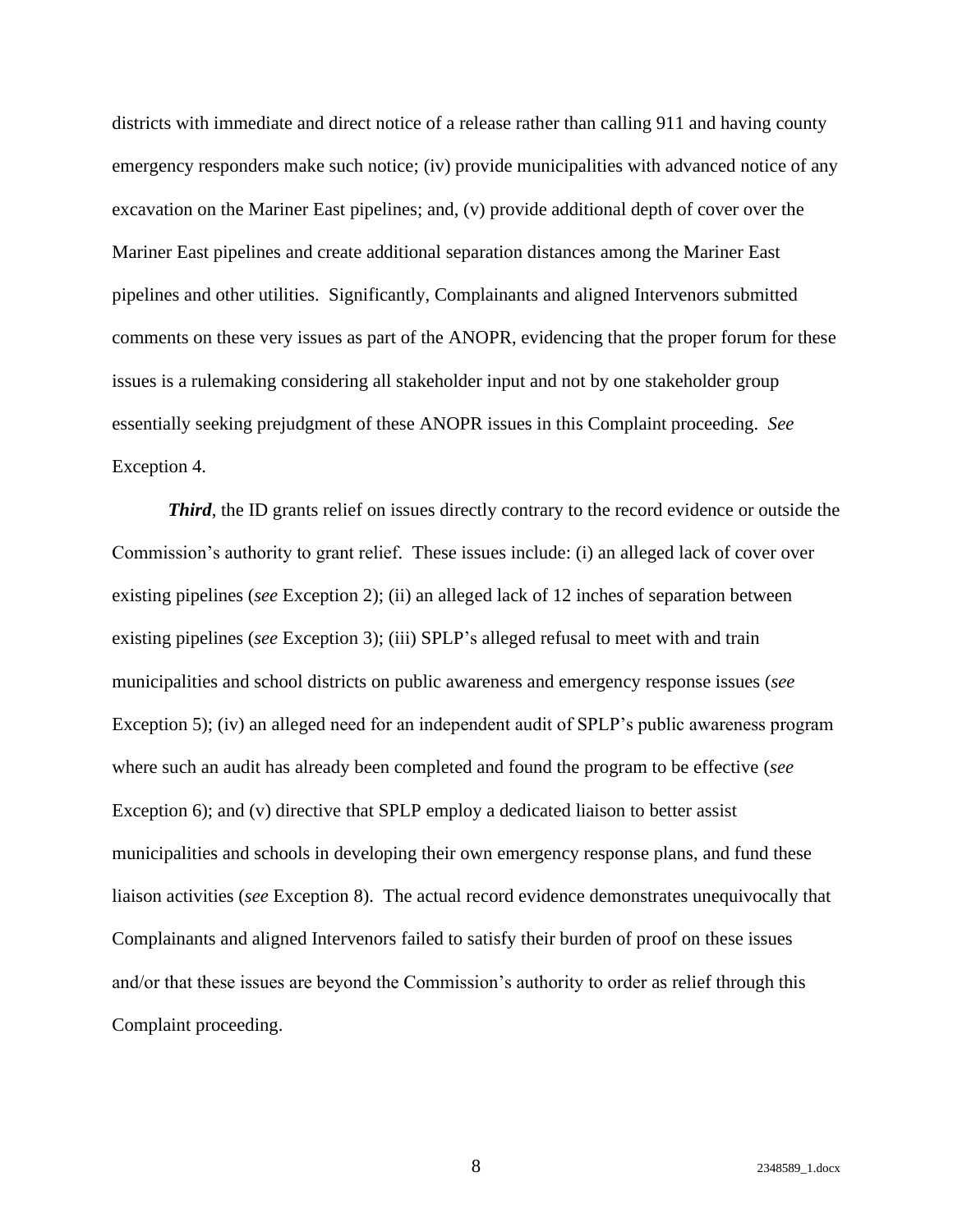districts with immediate and direct notice of a release rather than calling 911 and having county emergency responders make such notice; (iv) provide municipalities with advanced notice of any excavation on the Mariner East pipelines; and, (v) provide additional depth of cover over the Mariner East pipelines and create additional separation distances among the Mariner East pipelines and other utilities. Significantly, Complainants and aligned Intervenors submitted comments on these very issues as part of the ANOPR, evidencing that the proper forum for these issues is a rulemaking considering all stakeholder input and not by one stakeholder group essentially seeking prejudgment of these ANOPR issues in this Complaint proceeding. *See*  Exception 4.

*Third*, the ID grants relief on issues directly contrary to the record evidence or outside the Commission's authority to grant relief. These issues include: (i) an alleged lack of cover over existing pipelines (*see* Exception 2); (ii) an alleged lack of 12 inches of separation between existing pipelines (*see* Exception 3); (iii) SPLP's alleged refusal to meet with and train municipalities and school districts on public awareness and emergency response issues (*see* Exception 5); (iv) an alleged need for an independent audit of SPLP's public awareness program where such an audit has already been completed and found the program to be effective (*see* Exception 6); and (v) directive that SPLP employ a dedicated liaison to better assist municipalities and schools in developing their own emergency response plans, and fund these liaison activities (*see* Exception 8). The actual record evidence demonstrates unequivocally that Complainants and aligned Intervenors failed to satisfy their burden of proof on these issues and/or that these issues are beyond the Commission's authority to order as relief through this Complaint proceeding.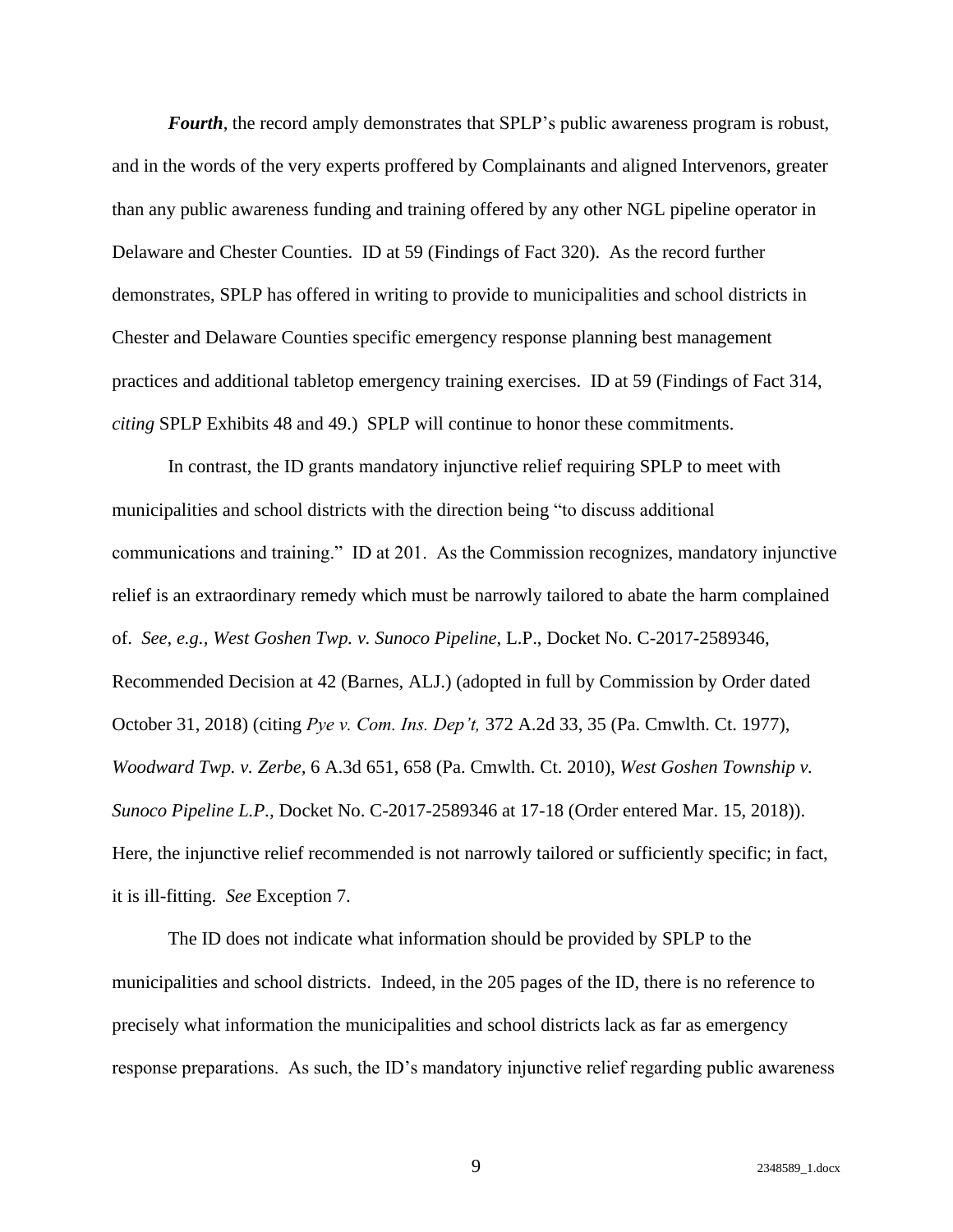*Fourth*, the record amply demonstrates that SPLP's public awareness program is robust, and in the words of the very experts proffered by Complainants and aligned Intervenors, greater than any public awareness funding and training offered by any other NGL pipeline operator in Delaware and Chester Counties. ID at 59 (Findings of Fact 320). As the record further demonstrates, SPLP has offered in writing to provide to municipalities and school districts in Chester and Delaware Counties specific emergency response planning best management practices and additional tabletop emergency training exercises. ID at 59 (Findings of Fact 314, *citing* SPLP Exhibits 48 and 49.) SPLP will continue to honor these commitments.

In contrast, the ID grants mandatory injunctive relief requiring SPLP to meet with municipalities and school districts with the direction being "to discuss additional communications and training." ID at 201. As the Commission recognizes, mandatory injunctive relief is an extraordinary remedy which must be narrowly tailored to abate the harm complained of. *See*, *e.g., West Goshen Twp. v. Sunoco Pipeline*, L.P., Docket No. C-2017-2589346, Recommended Decision at 42 (Barnes, ALJ.) (adopted in full by Commission by Order dated October 31, 2018) (citing *Pye v. Com. Ins. Dep't,* 372 A.2d 33, 35 (Pa. Cmwlth. Ct. 1977), *Woodward Twp. v. Zerbe,* 6 A.3d 651, 658 (Pa. Cmwlth. Ct. 2010), *West Goshen Township v. Sunoco Pipeline L.P.,* Docket No. C-2017-2589346 at 17-18 (Order entered Mar. 15, 2018)). Here, the injunctive relief recommended is not narrowly tailored or sufficiently specific; in fact, it is ill-fitting. *See* Exception 7.

The ID does not indicate what information should be provided by SPLP to the municipalities and school districts. Indeed, in the 205 pages of the ID, there is no reference to precisely what information the municipalities and school districts lack as far as emergency response preparations. As such, the ID's mandatory injunctive relief regarding public awareness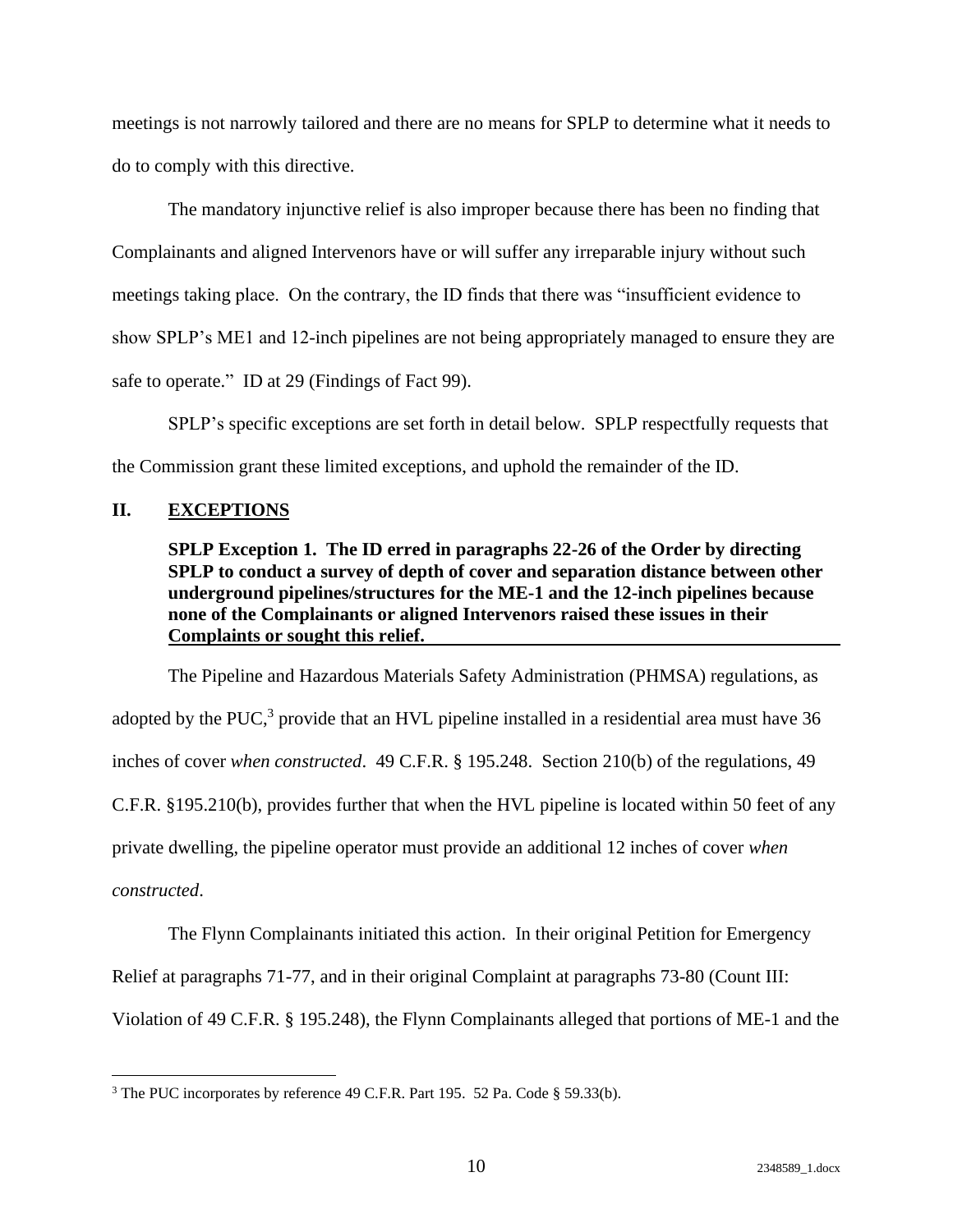meetings is not narrowly tailored and there are no means for SPLP to determine what it needs to do to comply with this directive.

The mandatory injunctive relief is also improper because there has been no finding that Complainants and aligned Intervenors have or will suffer any irreparable injury without such meetings taking place. On the contrary, the ID finds that there was "insufficient evidence to show SPLP's ME1 and 12-inch pipelines are not being appropriately managed to ensure they are safe to operate." ID at 29 (Findings of Fact 99).

SPLP's specific exceptions are set forth in detail below. SPLP respectfully requests that the Commission grant these limited exceptions, and uphold the remainder of the ID.

## <span id="page-13-1"></span><span id="page-13-0"></span>**II. EXCEPTIONS**

### **SPLP Exception 1. The ID erred in paragraphs 22-26 of the Order by directing SPLP to conduct a survey of depth of cover and separation distance between other underground pipelines/structures for the ME-1 and the 12-inch pipelines because none of the Complainants or aligned Intervenors raised these issues in their Complaints or sought this relief.**

The Pipeline and Hazardous Materials Safety Administration (PHMSA) regulations, as adopted by the PUC,<sup>3</sup> provide that an HVL pipeline installed in a residential area must have  $36$ inches of cover *when constructed*. 49 C.F.R. § 195.248. Section 210(b) of the regulations, 49 C.F.R. §195.210(b), provides further that when the HVL pipeline is located within 50 feet of any private dwelling, the pipeline operator must provide an additional 12 inches of cover *when constructed*.

The Flynn Complainants initiated this action. In their original Petition for Emergency

Relief at paragraphs 71-77, and in their original Complaint at paragraphs 73-80 (Count III:

Violation of 49 C.F.R. § 195.248), the Flynn Complainants alleged that portions of ME-1 and the

<sup>&</sup>lt;sup>3</sup> The PUC incorporates by reference 49 C.F.R. Part 195. 52 Pa. Code § 59.33(b).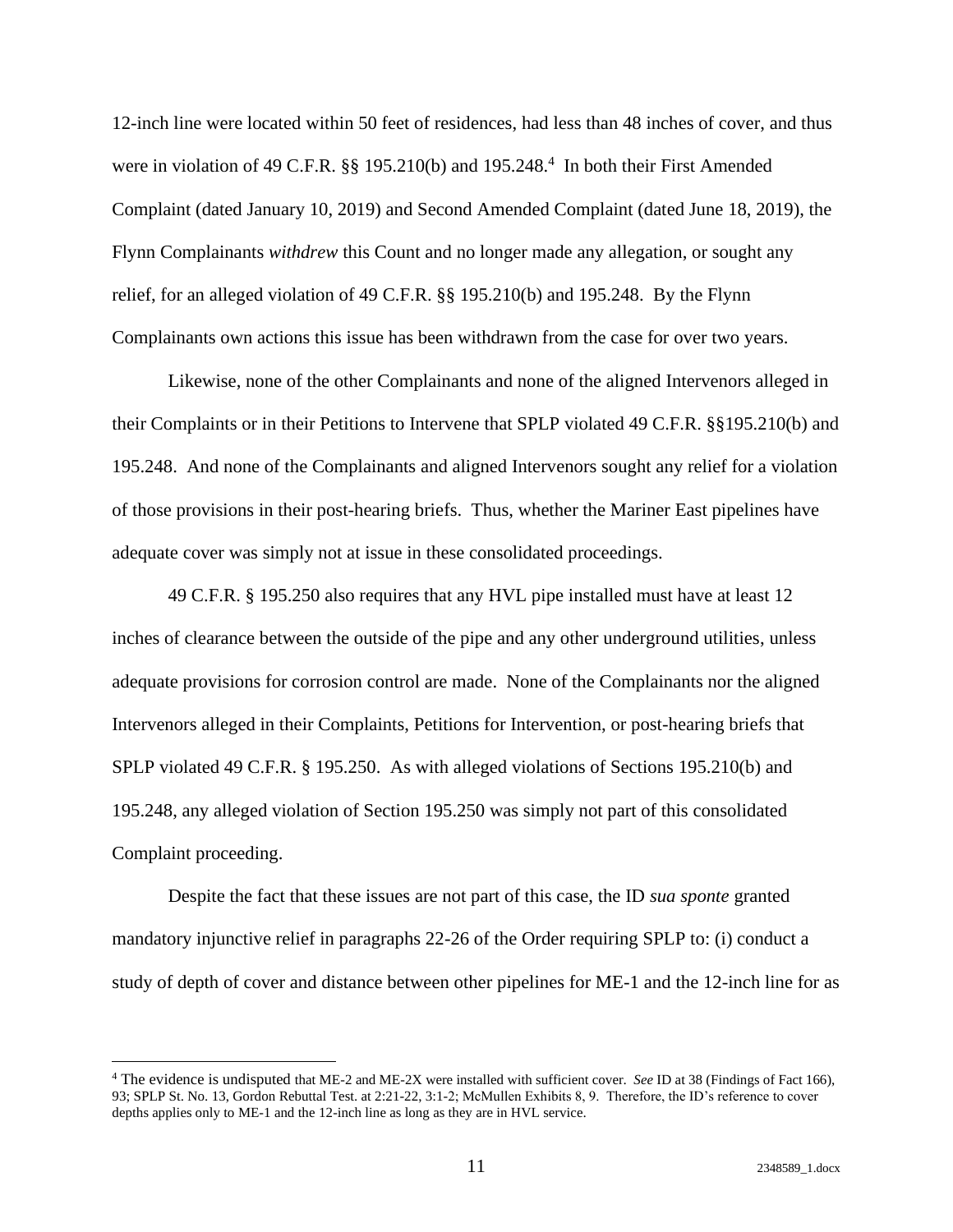12-inch line were located within 50 feet of residences, had less than 48 inches of cover, and thus were in violation of 49 C.F.R.  $\S$  195.210(b) and 195.248.<sup>4</sup> In both their First Amended Complaint (dated January 10, 2019) and Second Amended Complaint (dated June 18, 2019), the Flynn Complainants *withdrew* this Count and no longer made any allegation, or sought any relief, for an alleged violation of 49 C.F.R. §§ 195.210(b) and 195.248. By the Flynn Complainants own actions this issue has been withdrawn from the case for over two years.

Likewise, none of the other Complainants and none of the aligned Intervenors alleged in their Complaints or in their Petitions to Intervene that SPLP violated 49 C.F.R. §§195.210(b) and 195.248. And none of the Complainants and aligned Intervenors sought any relief for a violation of those provisions in their post-hearing briefs. Thus, whether the Mariner East pipelines have adequate cover was simply not at issue in these consolidated proceedings.

49 C.F.R. § 195.250 also requires that any HVL pipe installed must have at least 12 inches of clearance between the outside of the pipe and any other underground utilities, unless adequate provisions for corrosion control are made. None of the Complainants nor the aligned Intervenors alleged in their Complaints, Petitions for Intervention, or post-hearing briefs that SPLP violated 49 C.F.R. § 195.250. As with alleged violations of Sections 195.210(b) and 195.248, any alleged violation of Section 195.250 was simply not part of this consolidated Complaint proceeding.

Despite the fact that these issues are not part of this case, the ID *sua sponte* granted mandatory injunctive relief in paragraphs 22-26 of the Order requiring SPLP to: (i) conduct a study of depth of cover and distance between other pipelines for ME-1 and the 12-inch line for as

<sup>4</sup> The evidence is undisputed that ME-2 and ME-2X were installed with sufficient cover. *See* ID at 38 (Findings of Fact 166), 93; SPLP St. No. 13, Gordon Rebuttal Test. at 2:21-22, 3:1-2; McMullen Exhibits 8, 9. Therefore, the ID's reference to cover depths applies only to ME-1 and the 12-inch line as long as they are in HVL service.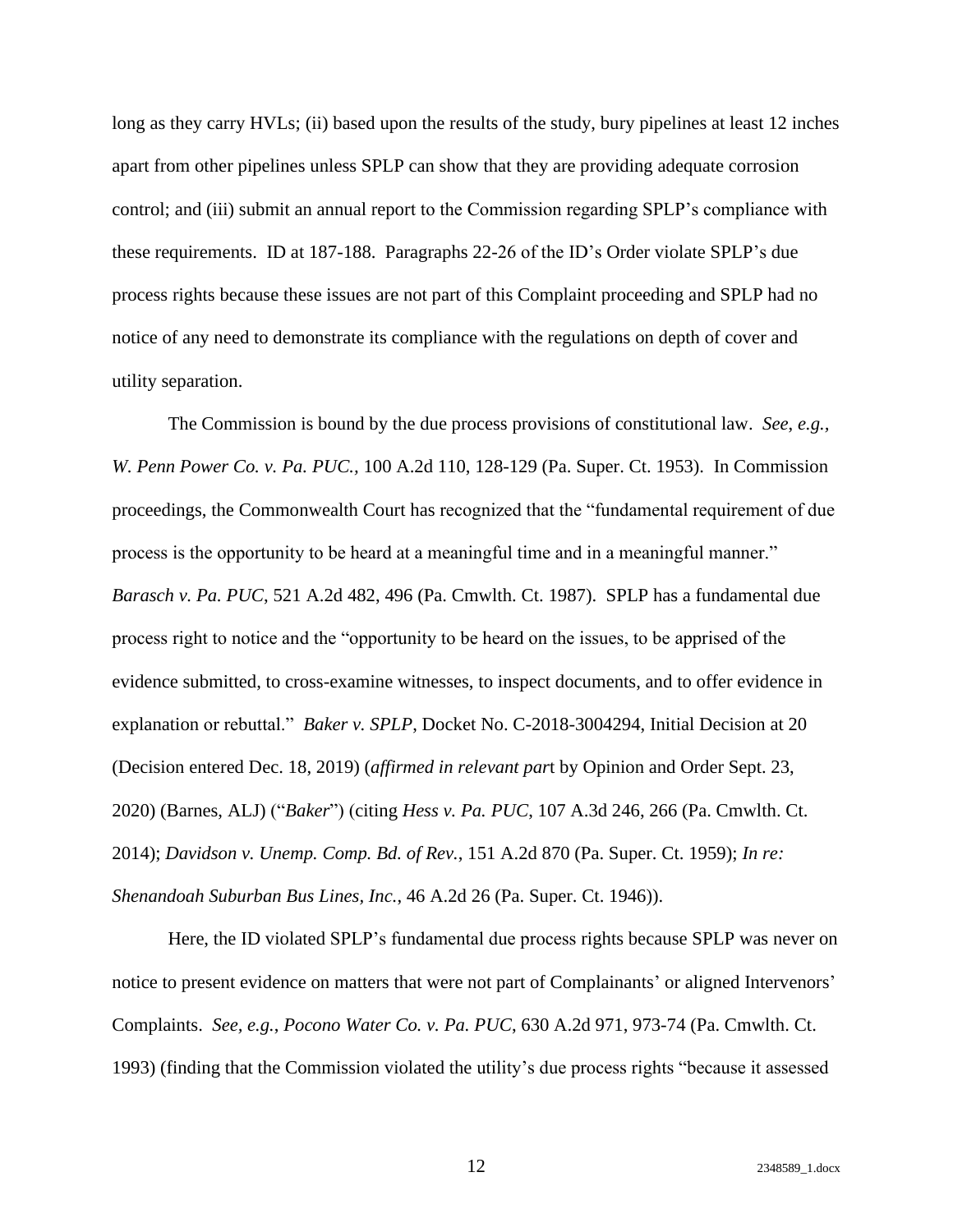long as they carry HVLs; (ii) based upon the results of the study, bury pipelines at least 12 inches apart from other pipelines unless SPLP can show that they are providing adequate corrosion control; and (iii) submit an annual report to the Commission regarding SPLP's compliance with these requirements. ID at 187-188. Paragraphs 22-26 of the ID's Order violate SPLP's due process rights because these issues are not part of this Complaint proceeding and SPLP had no notice of any need to demonstrate its compliance with the regulations on depth of cover and utility separation.

The Commission is bound by the due process provisions of constitutional law. *See*, *e.g., W. Penn Power Co. v. Pa. PUC.,* 100 A.2d 110, 128-129 (Pa. Super. Ct. 1953). In Commission proceedings, the Commonwealth Court has recognized that the "fundamental requirement of due process is the opportunity to be heard at a meaningful time and in a meaningful manner." *Barasch v. Pa. PUC*, 521 A.2d 482, 496 (Pa. Cmwlth. Ct. 1987). SPLP has a fundamental due process right to notice and the "opportunity to be heard on the issues, to be apprised of the evidence submitted, to cross-examine witnesses, to inspect documents, and to offer evidence in explanation or rebuttal." *Baker v. SPLP*, Docket No. C-2018-3004294, Initial Decision at 20 (Decision entered Dec. 18, 2019) (*affirmed in relevant par*t by Opinion and Order Sept. 23, 2020) (Barnes, ALJ) ("*Baker*") (citing *Hess v. Pa. PUC*, 107 A.3d 246, 266 (Pa. Cmwlth. Ct. 2014); *Davidson v. Unemp. Comp. Bd. of Rev.*, 151 A.2d 870 (Pa. Super. Ct. 1959); *In re: Shenandoah Suburban Bus Lines, Inc.*, 46 A.2d 26 (Pa. Super. Ct. 1946)).

Here, the ID violated SPLP's fundamental due process rights because SPLP was never on notice to present evidence on matters that were not part of Complainants' or aligned Intervenors' Complaints. *See, e.g.*, *Pocono Water Co. v. Pa. PUC*, 630 A.2d 971, 973-74 (Pa. Cmwlth. Ct. 1993) (finding that the Commission violated the utility's due process rights "because it assessed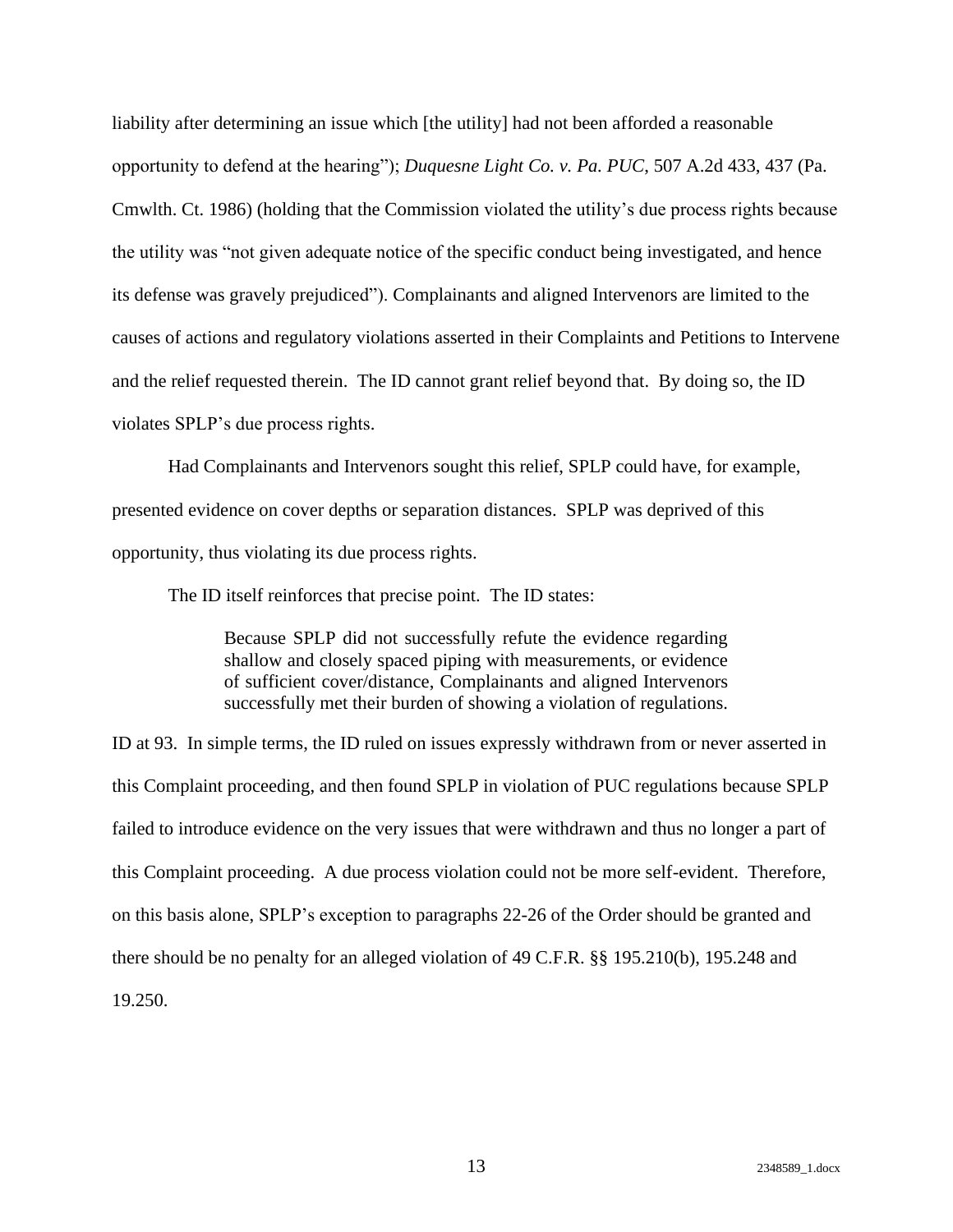liability after determining an issue which [the utility] had not been afforded a reasonable opportunity to defend at the hearing"); *Duquesne Light Co. v. Pa. PUC*, 507 A.2d 433, 437 (Pa. Cmwlth. Ct. 1986) (holding that the Commission violated the utility's due process rights because the utility was "not given adequate notice of the specific conduct being investigated, and hence its defense was gravely prejudiced"). Complainants and aligned Intervenors are limited to the causes of actions and regulatory violations asserted in their Complaints and Petitions to Intervene and the relief requested therein. The ID cannot grant relief beyond that. By doing so, the ID violates SPLP's due process rights.

Had Complainants and Intervenors sought this relief, SPLP could have, for example, presented evidence on cover depths or separation distances. SPLP was deprived of this opportunity, thus violating its due process rights.

The ID itself reinforces that precise point. The ID states:

Because SPLP did not successfully refute the evidence regarding shallow and closely spaced piping with measurements, or evidence of sufficient cover/distance, Complainants and aligned Intervenors successfully met their burden of showing a violation of regulations.

ID at 93. In simple terms, the ID ruled on issues expressly withdrawn from or never asserted in this Complaint proceeding, and then found SPLP in violation of PUC regulations because SPLP failed to introduce evidence on the very issues that were withdrawn and thus no longer a part of this Complaint proceeding. A due process violation could not be more self-evident. Therefore, on this basis alone, SPLP's exception to paragraphs 22-26 of the Order should be granted and there should be no penalty for an alleged violation of 49 C.F.R. §§ 195.210(b), 195.248 and 19.250.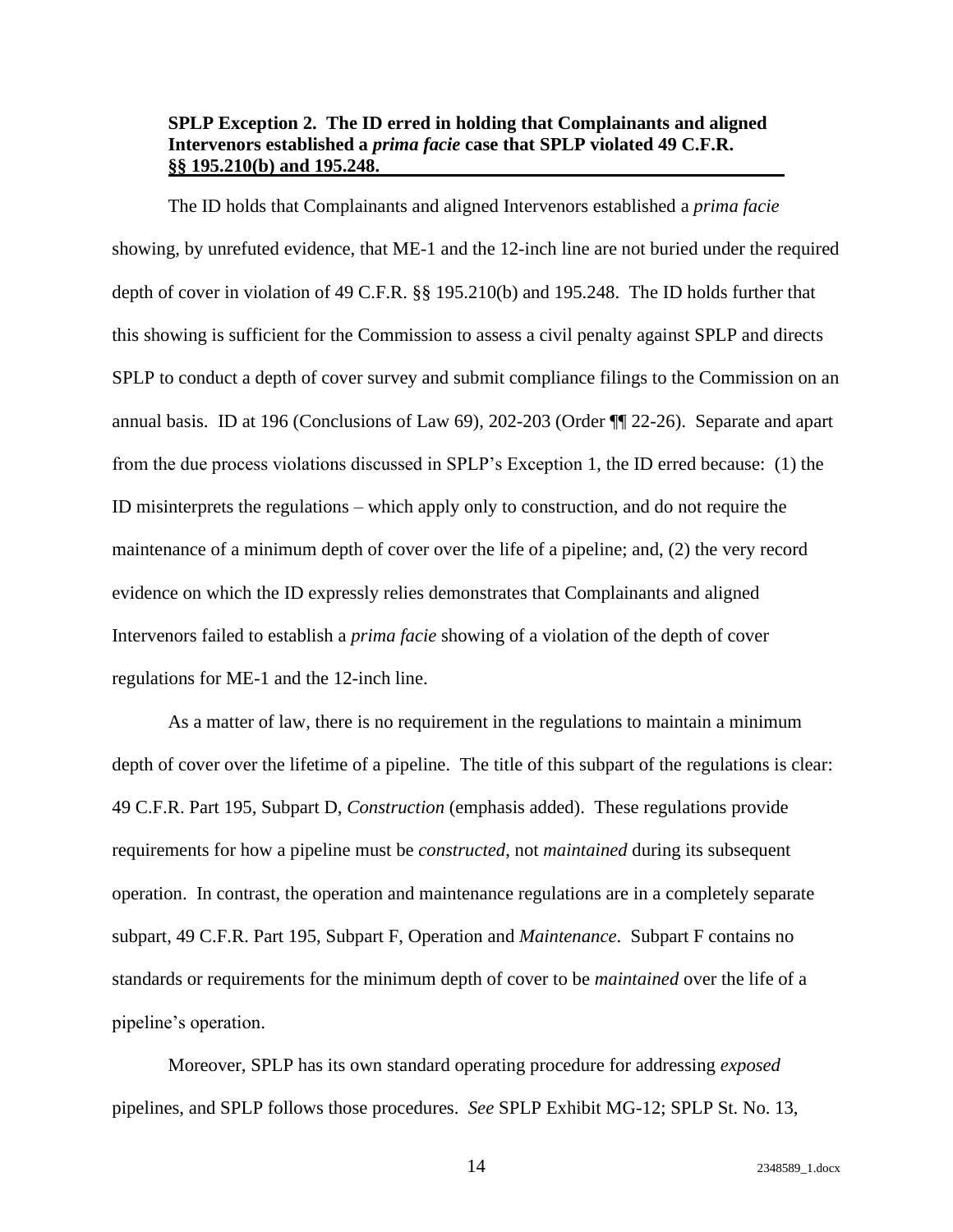### <span id="page-17-0"></span>**SPLP Exception 2. The ID erred in holding that Complainants and aligned Intervenors established a** *prima facie* **case that SPLP violated 49 C.F.R. §§ 195.210(b) and 195.248.**

The ID holds that Complainants and aligned Intervenors established a *prima facie* showing, by unrefuted evidence, that ME-1 and the 12-inch line are not buried under the required depth of cover in violation of 49 C.F.R. §§ 195.210(b) and 195.248.The ID holds further that this showing is sufficient for the Commission to assess a civil penalty against SPLP and directs SPLP to conduct a depth of cover survey and submit compliance filings to the Commission on an annual basis. ID at 196 (Conclusions of Law 69), 202-203 (Order ¶¶ 22-26). Separate and apart from the due process violations discussed in SPLP's Exception 1, the ID erred because: (1) the ID misinterprets the regulations – which apply only to construction, and do not require the maintenance of a minimum depth of cover over the life of a pipeline; and, (2) the very record evidence on which the ID expressly relies demonstrates that Complainants and aligned Intervenors failed to establish a *prima facie* showing of a violation of the depth of cover regulations for ME-1 and the 12-inch line.

As a matter of law, there is no requirement in the regulations to maintain a minimum depth of cover over the lifetime of a pipeline. The title of this subpart of the regulations is clear: 49 C.F.R. Part 195, Subpart D, *Construction* (emphasis added). These regulations provide requirements for how a pipeline must be *constructed*, not *maintained* during its subsequent operation. In contrast, the operation and maintenance regulations are in a completely separate subpart, 49 C.F.R. Part 195, Subpart F, Operation and *Maintenance*. Subpart F contains no standards or requirements for the minimum depth of cover to be *maintained* over the life of a pipeline's operation.

Moreover, SPLP has its own standard operating procedure for addressing *exposed*  pipelines, and SPLP follows those procedures. *See* SPLP Exhibit MG-12; SPLP St. No. 13,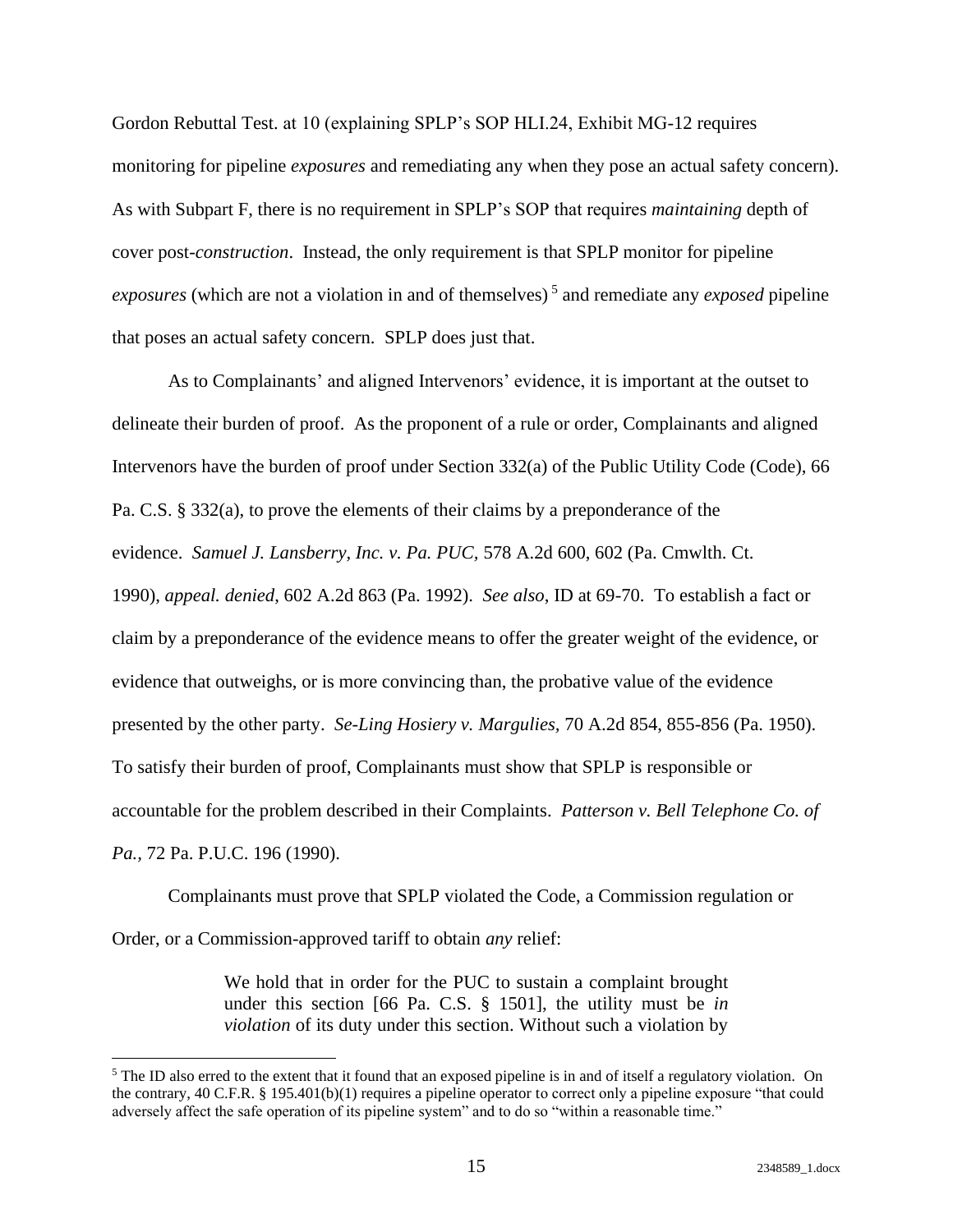Gordon Rebuttal Test. at 10 (explaining SPLP's SOP HLI.24, Exhibit MG-12 requires monitoring for pipeline *exposures* and remediating any when they pose an actual safety concern). As with Subpart F, there is no requirement in SPLP's SOP that requires *maintaining* depth of cover post-*construction*. Instead, the only requirement is that SPLP monitor for pipeline *exposures* (which are not a violation in and of themselves) <sup>5</sup> and remediate any *exposed* pipeline that poses an actual safety concern. SPLP does just that.

As to Complainants' and aligned Intervenors' evidence, it is important at the outset to delineate their burden of proof. As the proponent of a rule or order, Complainants and aligned Intervenors have the burden of proof under Section 332(a) of the Public Utility Code (Code), 66 Pa. C.S. § 332(a), to prove the elements of their claims by a preponderance of the evidence. *Samuel J. Lansberry, Inc. v. Pa. PUC,* 578 A.2d 600, 602 (Pa. Cmwlth. Ct. 1990), *appeal. denied*, 602 A.2d 863 (Pa. 1992). *See also*, ID at 69-70. To establish a fact or claim by a preponderance of the evidence means to offer the greater weight of the evidence, or evidence that outweighs, or is more convincing than, the probative value of the evidence presented by the other party. *Se-Ling Hosiery v. Margulies,* 70 A.2d 854, 855-856 (Pa. 1950). To satisfy their burden of proof, Complainants must show that SPLP is responsible or accountable for the problem described in their Complaints. *Patterson v. Bell Telephone Co. of Pa.,* 72 Pa. P.U.C. 196 (1990).

Complainants must prove that SPLP violated the Code, a Commission regulation or Order, or a Commission-approved tariff to obtain *any* relief:

> We hold that in order for the PUC to sustain a complaint brought under this section [66 Pa. C.S. § 1501], the utility must be *in violation* of its duty under this section. Without such a violation by

<sup>&</sup>lt;sup>5</sup> The ID also erred to the extent that it found that an exposed pipeline is in and of itself a regulatory violation. On the contrary, 40 C.F.R. § 195.401(b)(1) requires a pipeline operator to correct only a pipeline exposure "that could adversely affect the safe operation of its pipeline system" and to do so "within a reasonable time."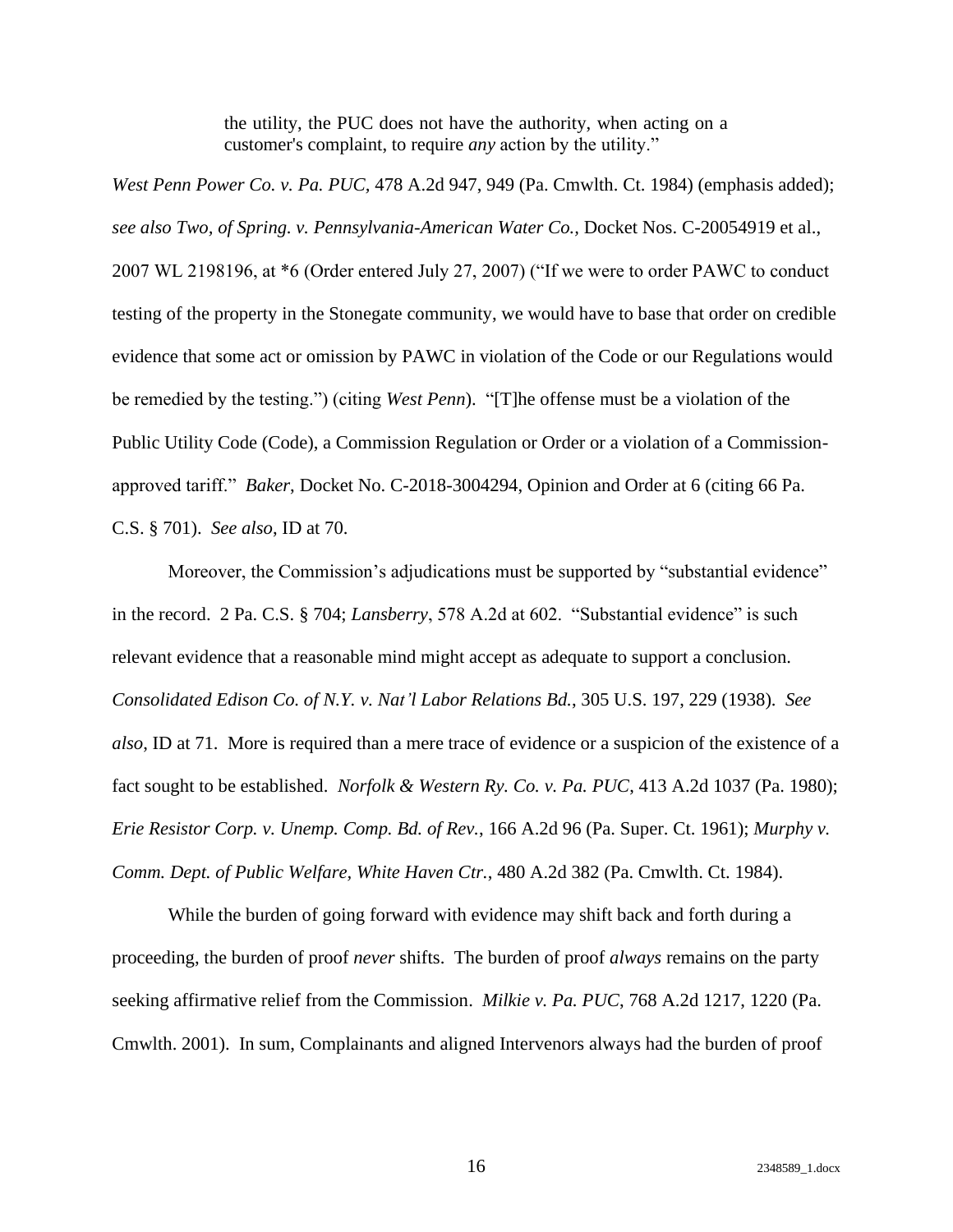the utility, the PUC does not have the authority, when acting on a customer's complaint, to require *any* action by the utility."

*West Penn Power Co. v. Pa. PUC,* 478 A.2d 947, 949 (Pa. Cmwlth. Ct. 1984) (emphasis added); *see also Two, of Spring. v. Pennsylvania-American Water Co.,* Docket Nos. C-20054919 et al., 2007 WL 2198196, at \*6 (Order entered July 27, 2007) ("If we were to order PAWC to conduct testing of the property in the Stonegate community, we would have to base that order on credible evidence that some act or omission by PAWC in violation of the Code or our Regulations would be remedied by the testing.") (citing *West Penn*)."[T]he offense must be a violation of the Public Utility Code (Code), a Commission Regulation or Order or a violation of a Commissionapproved tariff." *Baker*, Docket No. C-2018-3004294, Opinion and Order at 6 (citing 66 Pa. C.S. § 701). *See also*, ID at 70.

Moreover, the Commission's adjudications must be supported by "substantial evidence" in the record. 2 Pa. C.S. § 704; *Lansberry*, 578 A.2d at 602. "Substantial evidence" is such relevant evidence that a reasonable mind might accept as adequate to support a conclusion. *Consolidated Edison Co. of N.Y. v. Nat'l Labor Relations Bd.*, 305 U.S. 197, 229 (1938). *See also*, ID at 71. More is required than a mere trace of evidence or a suspicion of the existence of a fact sought to be established. *Norfolk & Western Ry. Co. v. Pa. PUC*, 413 A.2d 1037 (Pa. 1980); *Erie Resistor Corp. v. Unemp. Comp. Bd. of Rev.*, 166 A.2d 96 (Pa. Super. Ct. 1961); *Murphy v. Comm. Dept. of Public Welfare, White Haven Ctr.*, 480 A.2d 382 (Pa. Cmwlth. Ct. 1984).

While the burden of going forward with evidence may shift back and forth during a proceeding, the burden of proof *never* shifts. The burden of proof *always* remains on the party seeking affirmative relief from the Commission. *Milkie v. Pa. PUC*, 768 A.2d 1217, 1220 (Pa. Cmwlth. 2001). In sum, Complainants and aligned Intervenors always had the burden of proof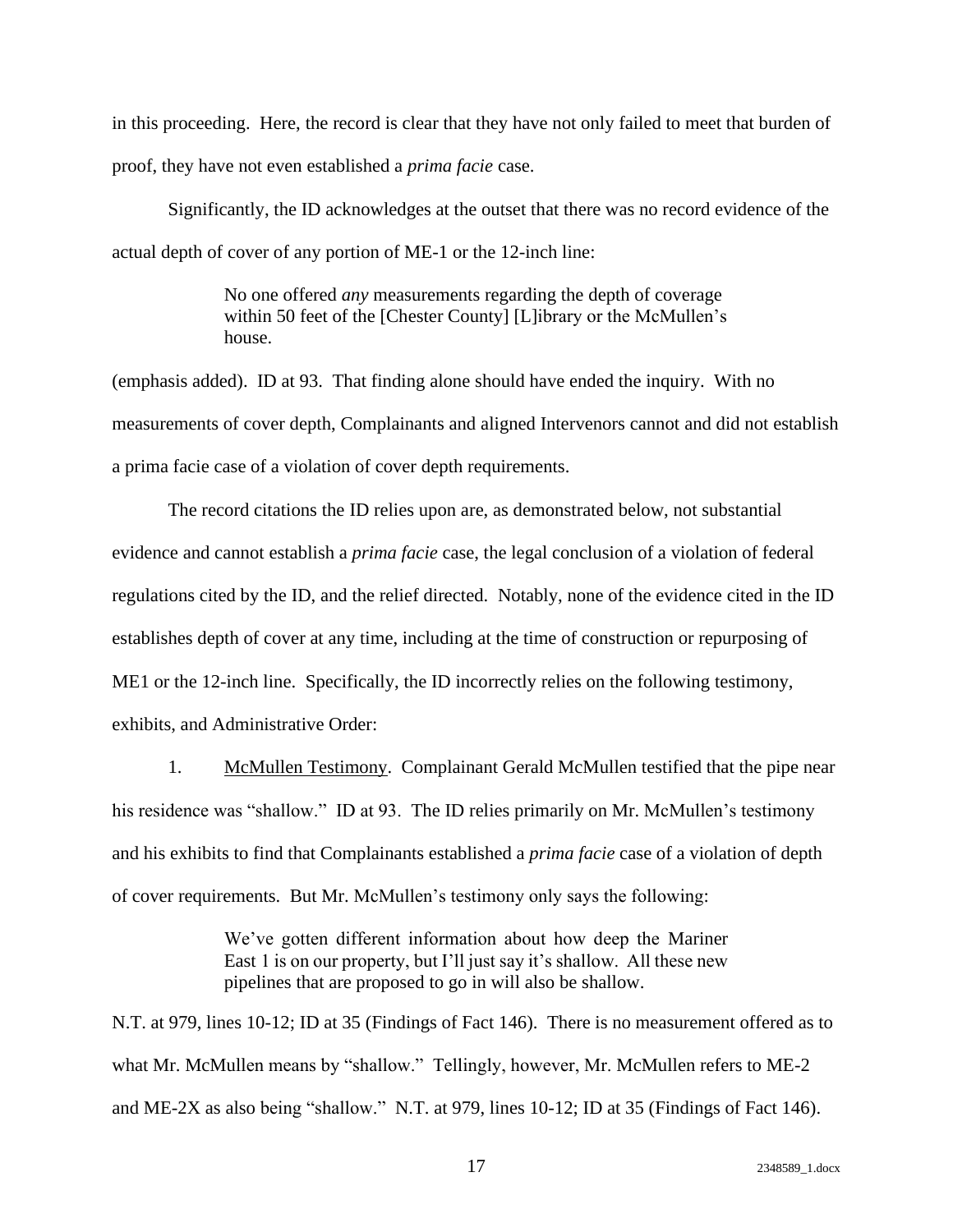in this proceeding. Here, the record is clear that they have not only failed to meet that burden of proof, they have not even established a *prima facie* case.

Significantly, the ID acknowledges at the outset that there was no record evidence of the actual depth of cover of any portion of ME-1 or the 12-inch line:

> No one offered *any* measurements regarding the depth of coverage within 50 feet of the [Chester County] [L]ibrary or the McMullen's house.

(emphasis added). ID at 93. That finding alone should have ended the inquiry. With no measurements of cover depth, Complainants and aligned Intervenors cannot and did not establish a prima facie case of a violation of cover depth requirements.

The record citations the ID relies upon are, as demonstrated below, not substantial evidence and cannot establish a *prima facie* case, the legal conclusion of a violation of federal regulations cited by the ID, and the relief directed. Notably, none of the evidence cited in the ID establishes depth of cover at any time, including at the time of construction or repurposing of ME1 or the 12-inch line. Specifically, the ID incorrectly relies on the following testimony, exhibits, and Administrative Order:

1. McMullen Testimony. Complainant Gerald McMullen testified that the pipe near his residence was "shallow." ID at 93. The ID relies primarily on Mr. McMullen's testimony and his exhibits to find that Complainants established a *prima facie* case of a violation of depth of cover requirements. But Mr. McMullen's testimony only says the following:

> We've gotten different information about how deep the Mariner East 1 is on our property, but I'll just say it's shallow. All these new pipelines that are proposed to go in will also be shallow.

N.T. at 979, lines 10-12; ID at 35 (Findings of Fact 146). There is no measurement offered as to what Mr. McMullen means by "shallow." Tellingly, however, Mr. McMullen refers to ME-2 and ME-2X as also being "shallow." N.T. at 979, lines 10-12; ID at 35 (Findings of Fact 146).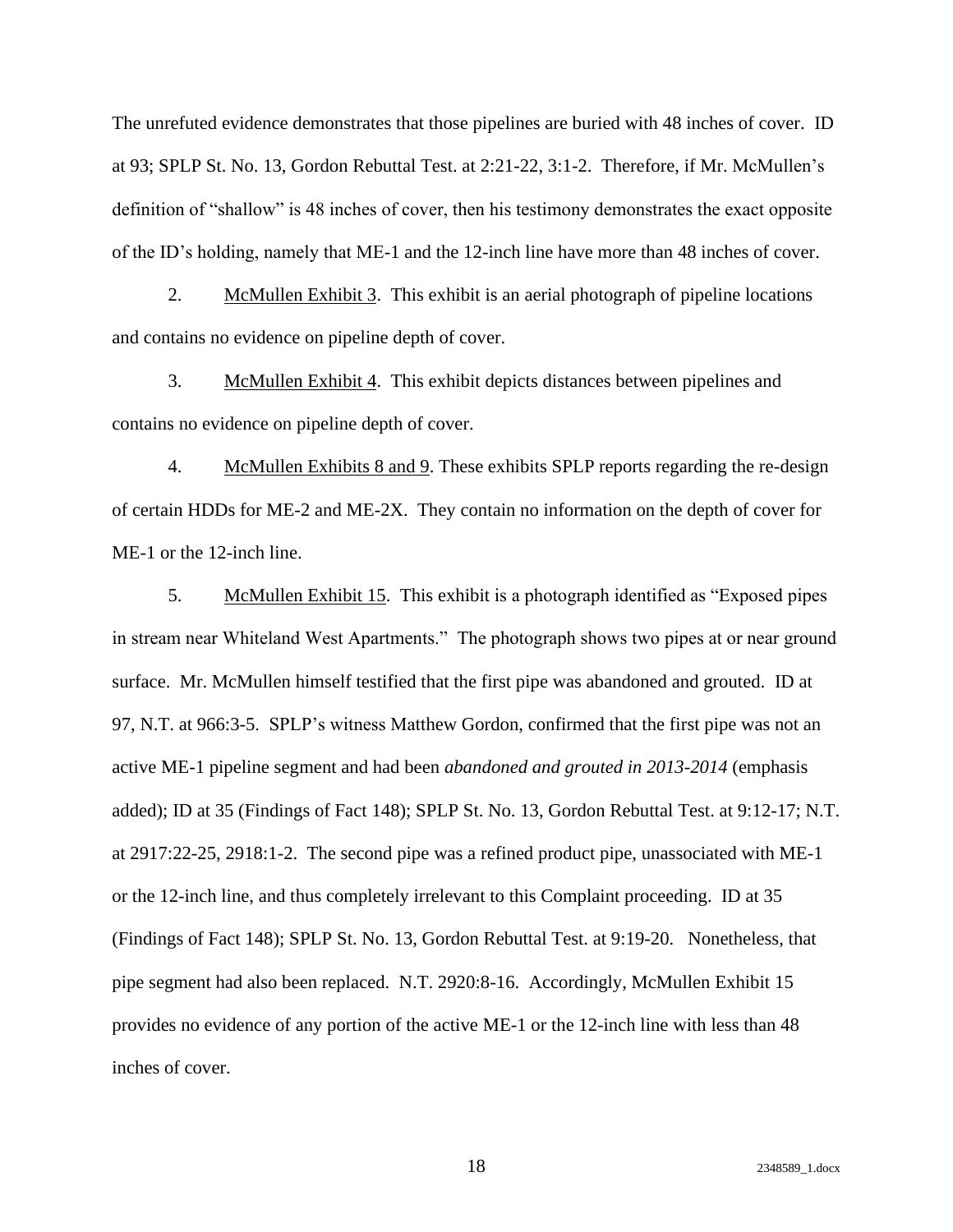The unrefuted evidence demonstrates that those pipelines are buried with 48 inches of cover. ID at 93; SPLP St. No. 13, Gordon Rebuttal Test. at 2:21-22, 3:1-2. Therefore, if Mr. McMullen's definition of "shallow" is 48 inches of cover, then his testimony demonstrates the exact opposite of the ID's holding, namely that ME-1 and the 12-inch line have more than 48 inches of cover.

2. McMullen Exhibit 3. This exhibit is an aerial photograph of pipeline locations and contains no evidence on pipeline depth of cover.

3. McMullen Exhibit 4. This exhibit depicts distances between pipelines and contains no evidence on pipeline depth of cover.

4. McMullen Exhibits 8 and 9. These exhibits SPLP reports regarding the re-design of certain HDDs for ME-2 and ME-2X. They contain no information on the depth of cover for ME-1 or the 12-inch line.

5. McMullen Exhibit 15. This exhibit is a photograph identified as "Exposed pipes in stream near Whiteland West Apartments." The photograph shows two pipes at or near ground surface. Mr. McMullen himself testified that the first pipe was abandoned and grouted. ID at 97, N.T. at 966:3-5. SPLP's witness Matthew Gordon, confirmed that the first pipe was not an active ME-1 pipeline segment and had been *abandoned and grouted in 2013-2014* (emphasis added); ID at 35 (Findings of Fact 148); SPLP St. No. 13, Gordon Rebuttal Test. at 9:12-17; N.T. at 2917:22-25, 2918:1-2. The second pipe was a refined product pipe, unassociated with ME-1 or the 12-inch line, and thus completely irrelevant to this Complaint proceeding. ID at 35 (Findings of Fact 148); SPLP St. No. 13, Gordon Rebuttal Test. at 9:19-20. Nonetheless, that pipe segment had also been replaced. N.T. 2920:8-16. Accordingly, McMullen Exhibit 15 provides no evidence of any portion of the active ME-1 or the 12-inch line with less than 48 inches of cover.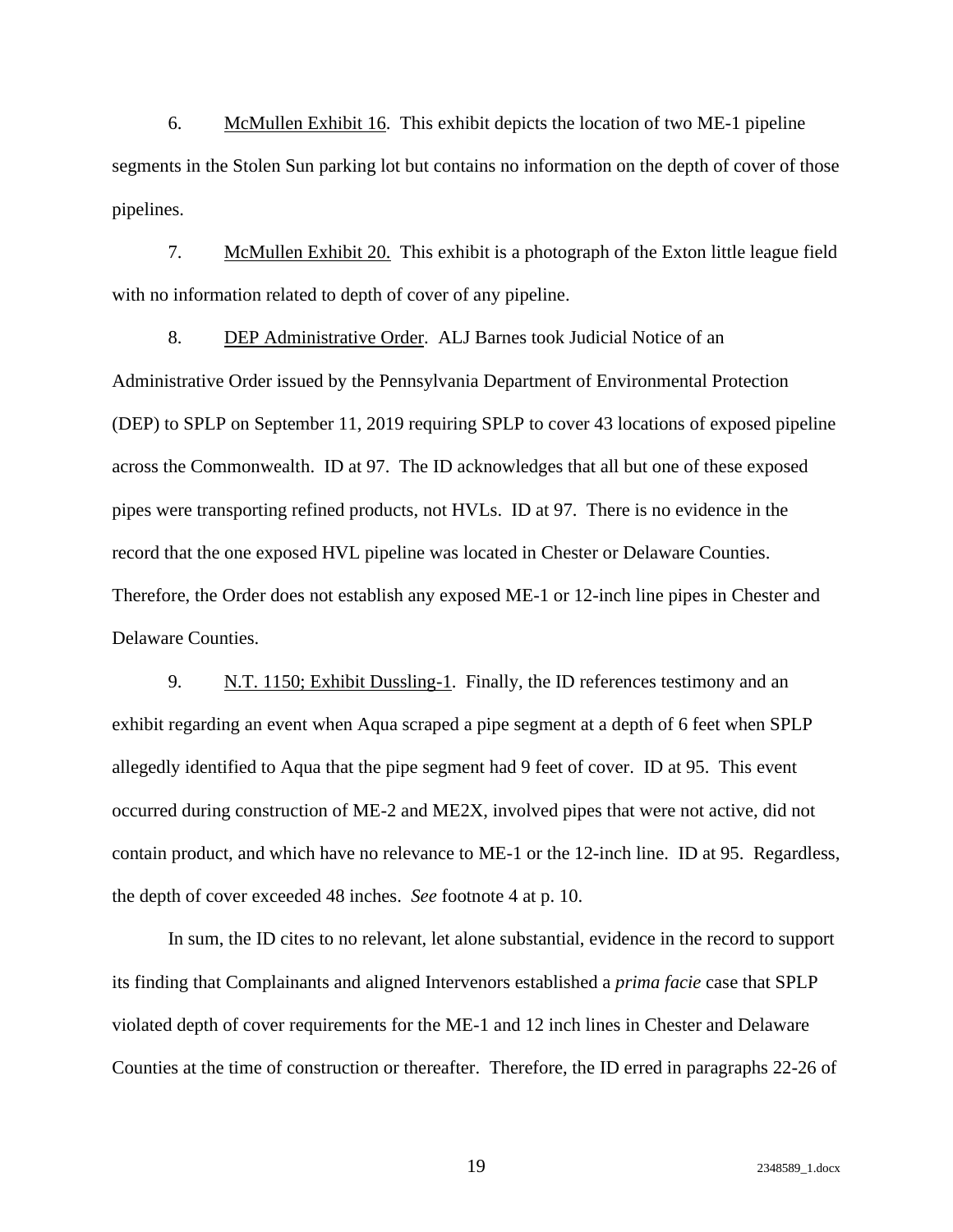6. McMullen Exhibit 16. This exhibit depicts the location of two ME-1 pipeline segments in the Stolen Sun parking lot but contains no information on the depth of cover of those pipelines.

7. McMullen Exhibit 20. This exhibit is a photograph of the Exton little league field with no information related to depth of cover of any pipeline.

8. DEP Administrative Order. ALJ Barnes took Judicial Notice of an Administrative Order issued by the Pennsylvania Department of Environmental Protection (DEP) to SPLP on September 11, 2019 requiring SPLP to cover 43 locations of exposed pipeline across the Commonwealth. ID at 97. The ID acknowledges that all but one of these exposed pipes were transporting refined products, not HVLs. ID at 97. There is no evidence in the record that the one exposed HVL pipeline was located in Chester or Delaware Counties. Therefore, the Order does not establish any exposed ME-1 or 12-inch line pipes in Chester and Delaware Counties.

9. N.T. 1150; Exhibit Dussling-1. Finally, the ID references testimony and an exhibit regarding an event when Aqua scraped a pipe segment at a depth of 6 feet when SPLP allegedly identified to Aqua that the pipe segment had 9 feet of cover. ID at 95. This event occurred during construction of ME-2 and ME2X, involved pipes that were not active, did not contain product, and which have no relevance to ME-1 or the 12-inch line. ID at 95. Regardless, the depth of cover exceeded 48 inches. *See* footnote 4 at p. 10.

In sum, the ID cites to no relevant, let alone substantial, evidence in the record to support its finding that Complainants and aligned Intervenors established a *prima facie* case that SPLP violated depth of cover requirements for the ME-1 and 12 inch lines in Chester and Delaware Counties at the time of construction or thereafter. Therefore, the ID erred in paragraphs 22-26 of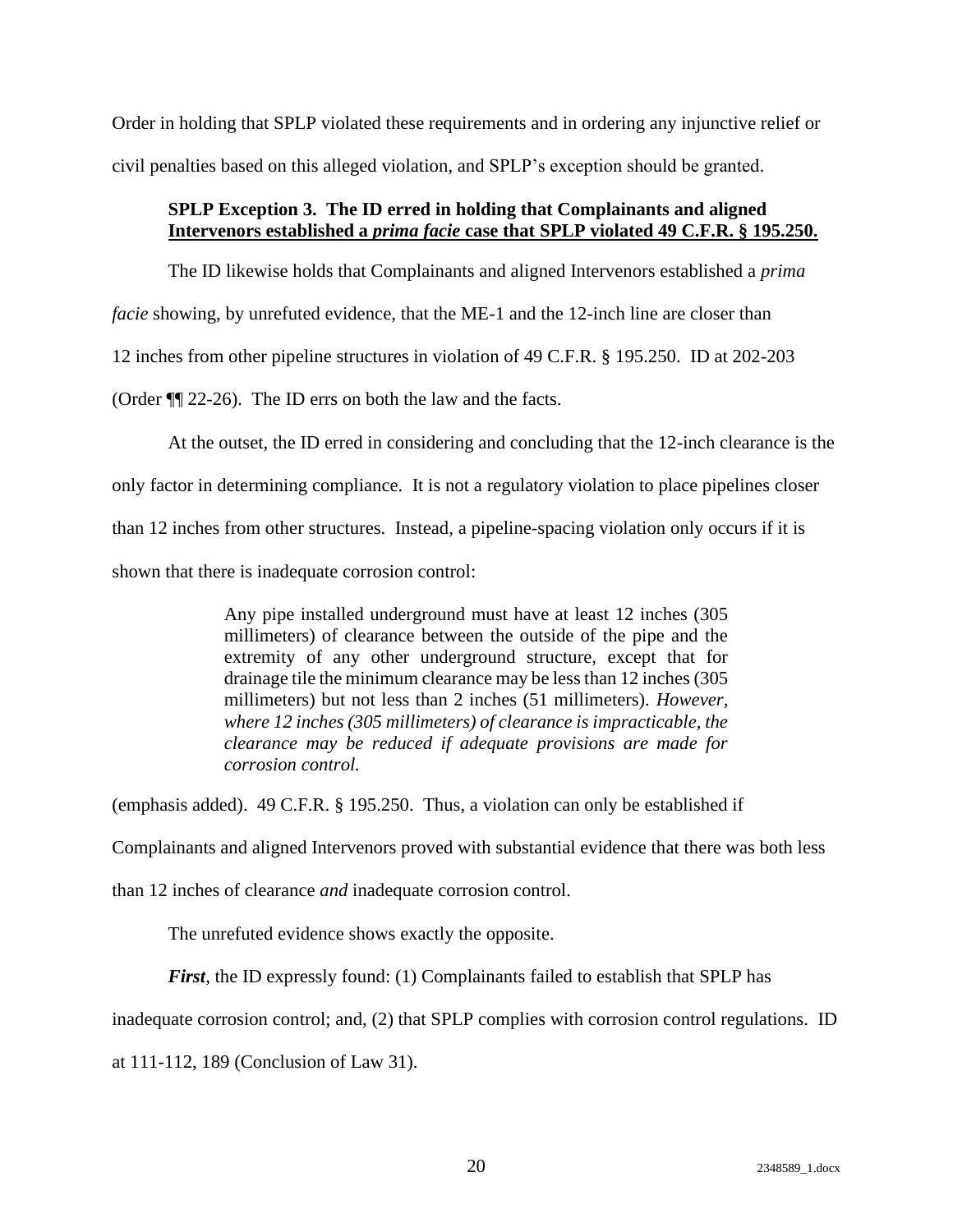Order in holding that SPLP violated these requirements and in ordering any injunctive relief or civil penalties based on this alleged violation, and SPLP's exception should be granted.

### <span id="page-23-0"></span>**SPLP Exception 3. The ID erred in holding that Complainants and aligned Intervenors established a** *prima facie* **case that SPLP violated 49 C.F.R. § 195.250.**

The ID likewise holds that Complainants and aligned Intervenors established a *prima facie* showing, by unrefuted evidence, that the ME-1 and the 12-inch line are closer than 12 inches from other pipeline structures in violation of 49 C.F.R. § 195.250. ID at 202-203 (Order ¶¶ 22-26). The ID errs on both the law and the facts.

At the outset, the ID erred in considering and concluding that the 12-inch clearance is the only factor in determining compliance. It is not a regulatory violation to place pipelines closer than 12 inches from other structures. Instead, a pipeline-spacing violation only occurs if it is shown that there is inadequate corrosion control:

> Any pipe installed underground must have at least 12 inches (305 millimeters) of clearance between the outside of the pipe and the extremity of any other underground structure, except that for drainage tile the minimum clearance may be less than 12 inches (305 millimeters) but not less than 2 inches (51 millimeters). *However, where 12 inches (305 millimeters) of clearance is impracticable, the clearance may be reduced if adequate provisions are made for corrosion control.*

(emphasis added). 49 C.F.R. § 195.250. Thus, a violation can only be established if

Complainants and aligned Intervenors proved with substantial evidence that there was both less

than 12 inches of clearance *and* inadequate corrosion control.

The unrefuted evidence shows exactly the opposite.

*First*, the ID expressly found: (1) Complainants failed to establish that SPLP has

inadequate corrosion control; and, (2) that SPLP complies with corrosion control regulations. ID

at 111-112, 189 (Conclusion of Law 31).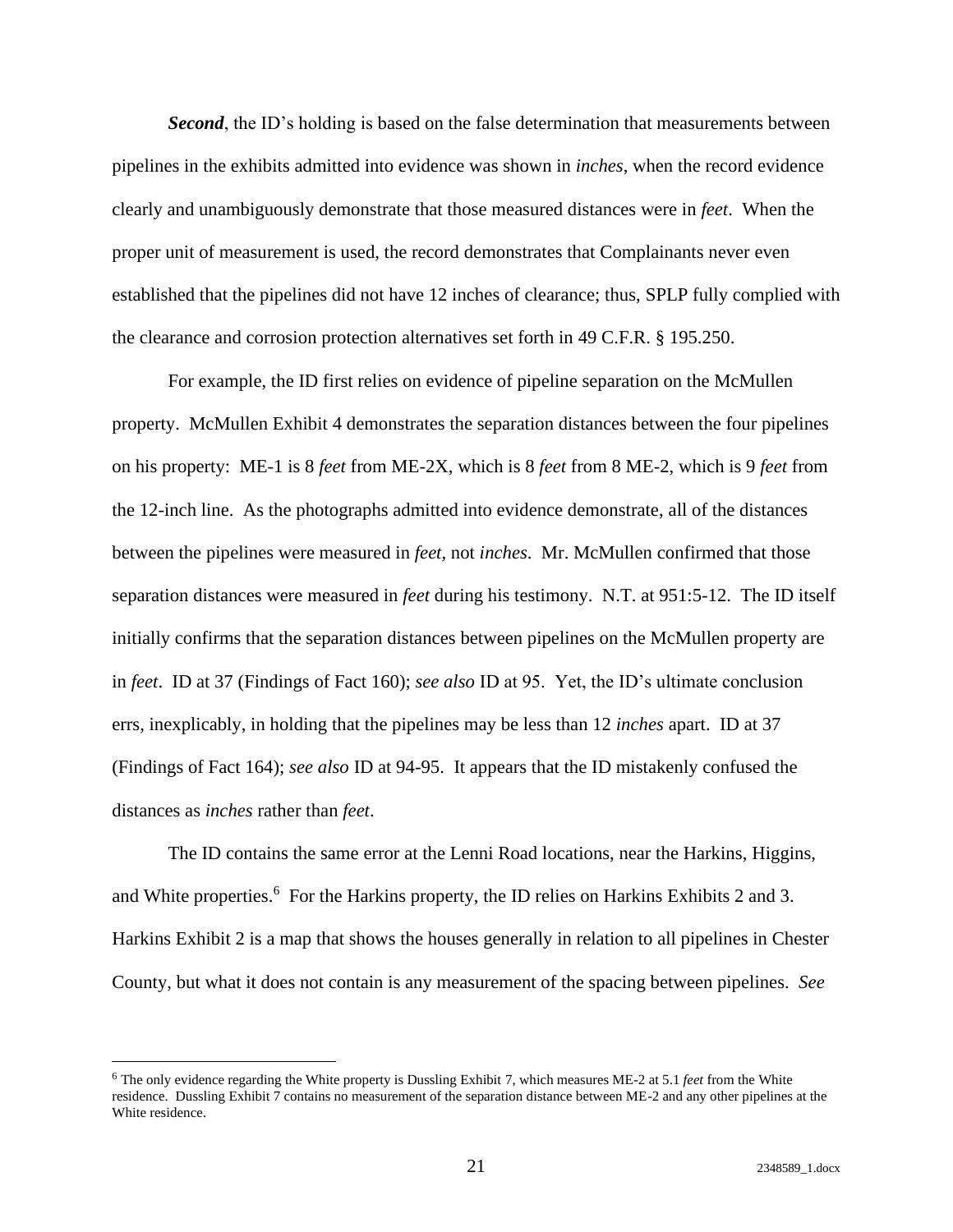*Second*, the ID's holding is based on the false determination that measurements between pipelines in the exhibits admitted into evidence was shown in *inches*, when the record evidence clearly and unambiguously demonstrate that those measured distances were in *feet*. When the proper unit of measurement is used, the record demonstrates that Complainants never even established that the pipelines did not have 12 inches of clearance; thus, SPLP fully complied with the clearance and corrosion protection alternatives set forth in 49 C.F.R. § 195.250.

For example, the ID first relies on evidence of pipeline separation on the McMullen property. McMullen Exhibit 4 demonstrates the separation distances between the four pipelines on his property: ME-1 is 8 *feet* from ME-2X, which is 8 *feet* from 8 ME-2, which is 9 *feet* from the 12-inch line. As the photographs admitted into evidence demonstrate, all of the distances between the pipelines were measured in *feet,* not *inches*. Mr. McMullen confirmed that those separation distances were measured in *feet* during his testimony. N.T. at 951:5-12. The ID itself initially confirms that the separation distances between pipelines on the McMullen property are in *feet*. ID at 37 (Findings of Fact 160); *see also* ID at 95. Yet, the ID's ultimate conclusion errs, inexplicably, in holding that the pipelines may be less than 12 *inches* apart. ID at 37 (Findings of Fact 164); *see also* ID at 94-95. It appears that the ID mistakenly confused the distances as *inches* rather than *feet*.

The ID contains the same error at the Lenni Road locations, near the Harkins, Higgins, and White properties.<sup>6</sup> For the Harkins property, the ID relies on Harkins Exhibits 2 and 3. Harkins Exhibit 2 is a map that shows the houses generally in relation to all pipelines in Chester County, but what it does not contain is any measurement of the spacing between pipelines. *See* 

<sup>6</sup> The only evidence regarding the White property is Dussling Exhibit 7, which measures ME-2 at 5.1 *feet* from the White residence. Dussling Exhibit 7 contains no measurement of the separation distance between ME-2 and any other pipelines at the White residence.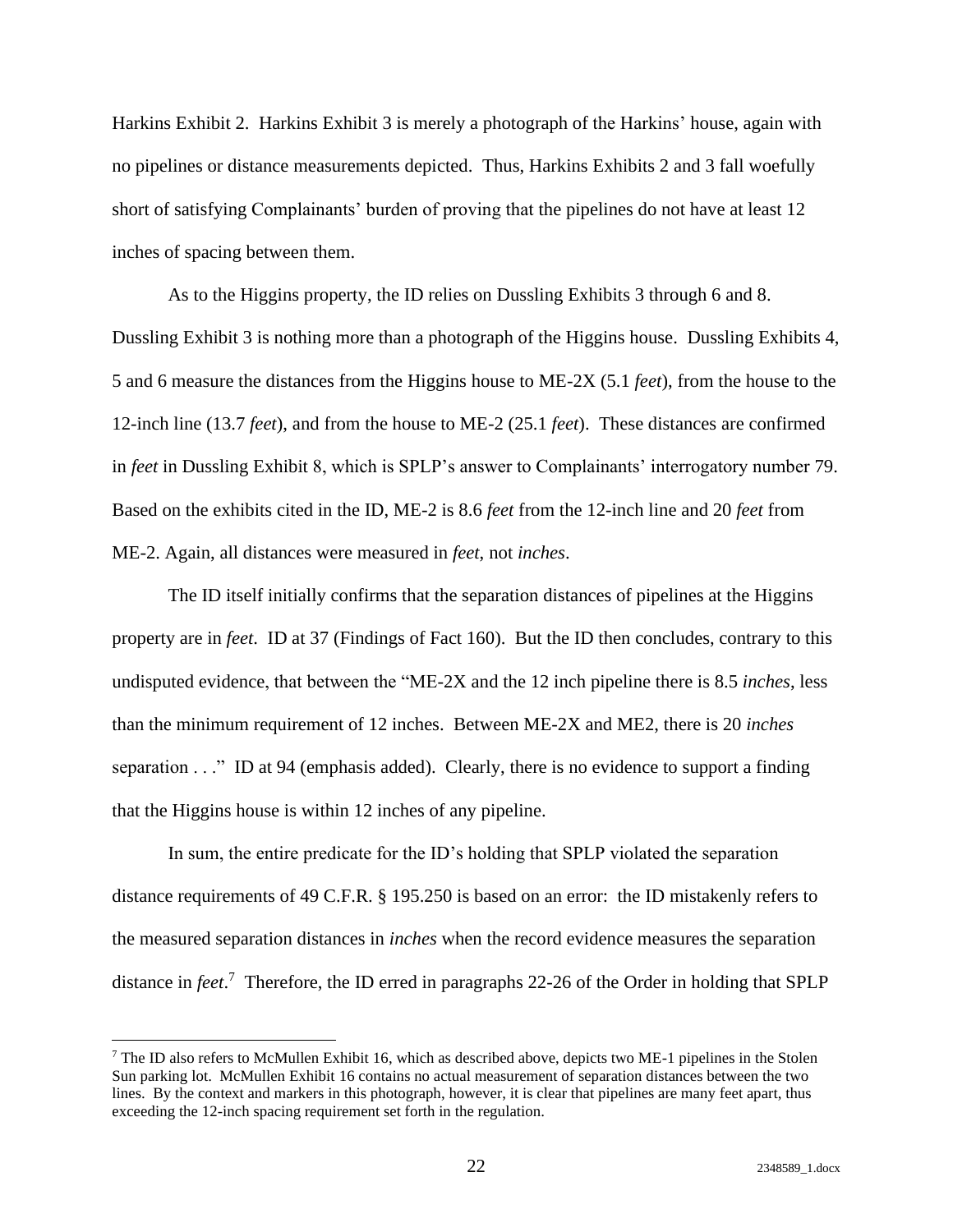Harkins Exhibit 2. Harkins Exhibit 3 is merely a photograph of the Harkins' house, again with no pipelines or distance measurements depicted. Thus, Harkins Exhibits 2 and 3 fall woefully short of satisfying Complainants' burden of proving that the pipelines do not have at least 12 inches of spacing between them.

As to the Higgins property, the ID relies on Dussling Exhibits 3 through 6 and 8. Dussling Exhibit 3 is nothing more than a photograph of the Higgins house. Dussling Exhibits 4, 5 and 6 measure the distances from the Higgins house to ME-2X (5.1 *feet*), from the house to the 12-inch line (13.7 *feet*), and from the house to ME-2 (25.1 *feet*). These distances are confirmed in *feet* in Dussling Exhibit 8, which is SPLP's answer to Complainants' interrogatory number 79. Based on the exhibits cited in the ID, ME-2 is 8.6 *feet* from the 12-inch line and 20 *feet* from ME-2. Again, all distances were measured in *feet*, not *inches*.

The ID itself initially confirms that the separation distances of pipelines at the Higgins property are in *feet*. ID at 37 (Findings of Fact 160). But the ID then concludes, contrary to this undisputed evidence, that between the "ME-2X and the 12 inch pipeline there is 8.5 *inches*, less than the minimum requirement of 12 inches. Between ME-2X and ME2, there is 20 *inches* separation . . ." ID at 94 (emphasis added). Clearly, there is no evidence to support a finding that the Higgins house is within 12 inches of any pipeline.

In sum, the entire predicate for the ID's holding that SPLP violated the separation distance requirements of 49 C.F.R. § 195.250 is based on an error: the ID mistakenly refers to the measured separation distances in *inches* when the record evidence measures the separation distance in *feet*. 7 Therefore, the ID erred in paragraphs 22-26 of the Order in holding that SPLP

<sup>&</sup>lt;sup>7</sup> The ID also refers to McMullen Exhibit 16, which as described above, depicts two ME-1 pipelines in the Stolen Sun parking lot. McMullen Exhibit 16 contains no actual measurement of separation distances between the two lines. By the context and markers in this photograph, however, it is clear that pipelines are many feet apart, thus exceeding the 12-inch spacing requirement set forth in the regulation.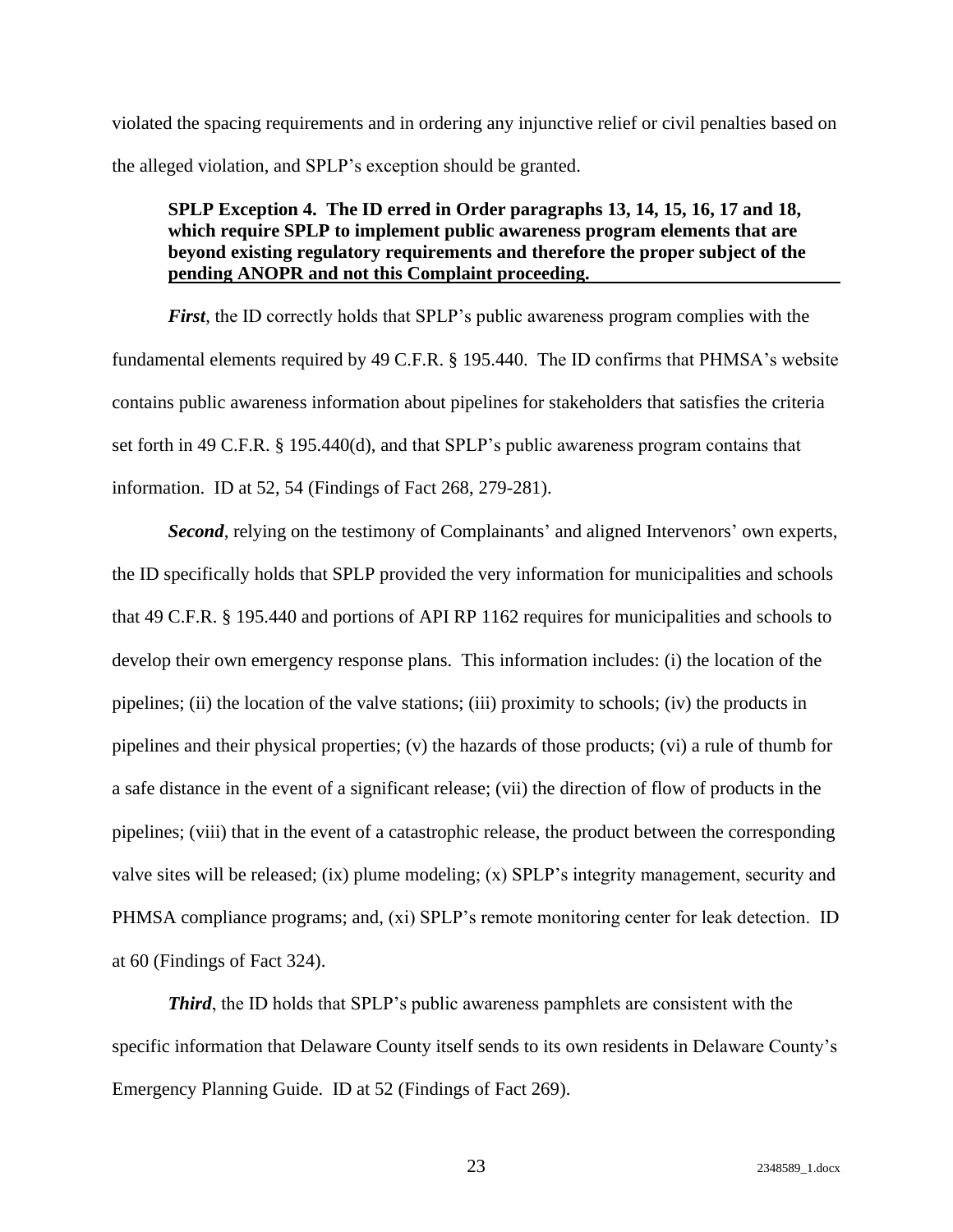violated the spacing requirements and in ordering any injunctive relief or civil penalties based on the alleged violation, and SPLP's exception should be granted.

### <span id="page-26-0"></span>**SPLP Exception 4. The ID erred in Order paragraphs 13, 14, 15, 16, 17 and 18, which require SPLP to implement public awareness program elements that are beyond existing regulatory requirements and therefore the proper subject of the pending ANOPR and not this Complaint proceeding.**

*First*, the ID correctly holds that SPLP's public awareness program complies with the fundamental elements required by 49 C.F.R. § 195.440. The ID confirms that PHMSA's website contains public awareness information about pipelines for stakeholders that satisfies the criteria set forth in 49 C.F.R. § 195.440(d), and that SPLP's public awareness program contains that information. ID at 52, 54 (Findings of Fact 268, 279-281).

*Second*, relying on the testimony of Complainants' and aligned Intervenors' own experts, the ID specifically holds that SPLP provided the very information for municipalities and schools that 49 C.F.R. § 195.440 and portions of API RP 1162 requires for municipalities and schools to develop their own emergency response plans. This information includes: (i) the location of the pipelines; (ii) the location of the valve stations; (iii) proximity to schools; (iv) the products in pipelines and their physical properties; (v) the hazards of those products; (vi) a rule of thumb for a safe distance in the event of a significant release; (vii) the direction of flow of products in the pipelines; (viii) that in the event of a catastrophic release, the product between the corresponding valve sites will be released; (ix) plume modeling; (x) SPLP's integrity management, security and PHMSA compliance programs; and, (xi) SPLP's remote monitoring center for leak detection. ID at 60 (Findings of Fact 324).

*Third*, the ID holds that SPLP's public awareness pamphlets are consistent with the specific information that Delaware County itself sends to its own residents in Delaware County's Emergency Planning Guide. ID at 52 (Findings of Fact 269).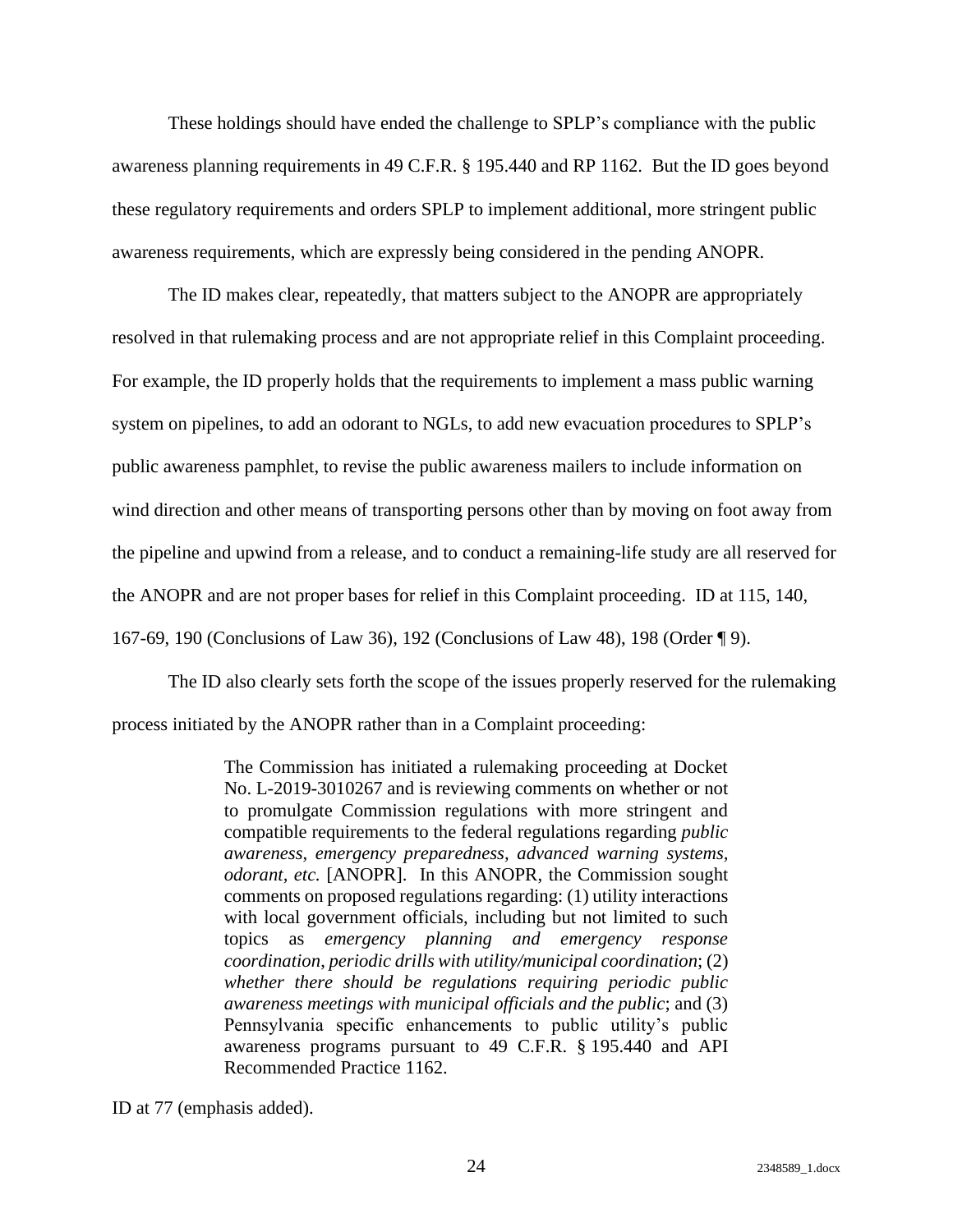These holdings should have ended the challenge to SPLP's compliance with the public awareness planning requirements in 49 C.F.R. § 195.440 and RP 1162. But the ID goes beyond these regulatory requirements and orders SPLP to implement additional, more stringent public awareness requirements, which are expressly being considered in the pending ANOPR.

The ID makes clear, repeatedly, that matters subject to the ANOPR are appropriately resolved in that rulemaking process and are not appropriate relief in this Complaint proceeding. For example, the ID properly holds that the requirements to implement a mass public warning system on pipelines, to add an odorant to NGLs, to add new evacuation procedures to SPLP's public awareness pamphlet, to revise the public awareness mailers to include information on wind direction and other means of transporting persons other than by moving on foot away from the pipeline and upwind from a release, and to conduct a remaining-life study are all reserved for the ANOPR and are not proper bases for relief in this Complaint proceeding. ID at 115, 140, 167-69, 190 (Conclusions of Law 36), 192 (Conclusions of Law 48), 198 (Order ¶ 9).

The ID also clearly sets forth the scope of the issues properly reserved for the rulemaking process initiated by the ANOPR rather than in a Complaint proceeding:

> The Commission has initiated a rulemaking proceeding at Docket No. L-2019-3010267 and is reviewing comments on whether or not to promulgate Commission regulations with more stringent and compatible requirements to the federal regulations regarding *public awareness*, *emergency preparedness, advanced warning systems, odorant, etc.* [ANOPR]. In this ANOPR, the Commission sought comments on proposed regulations regarding: (1) utility interactions with local government officials, including but not limited to such topics as *emergency planning and emergency response coordination*, *periodic drills with utility/municipal coordination*; (2) *whether there should be regulations requiring periodic public awareness meetings with municipal officials and the public*; and (3) Pennsylvania specific enhancements to public utility's public awareness programs pursuant to 49 C.F.R. § 195.440 and API Recommended Practice 1162.

ID at 77 (emphasis added).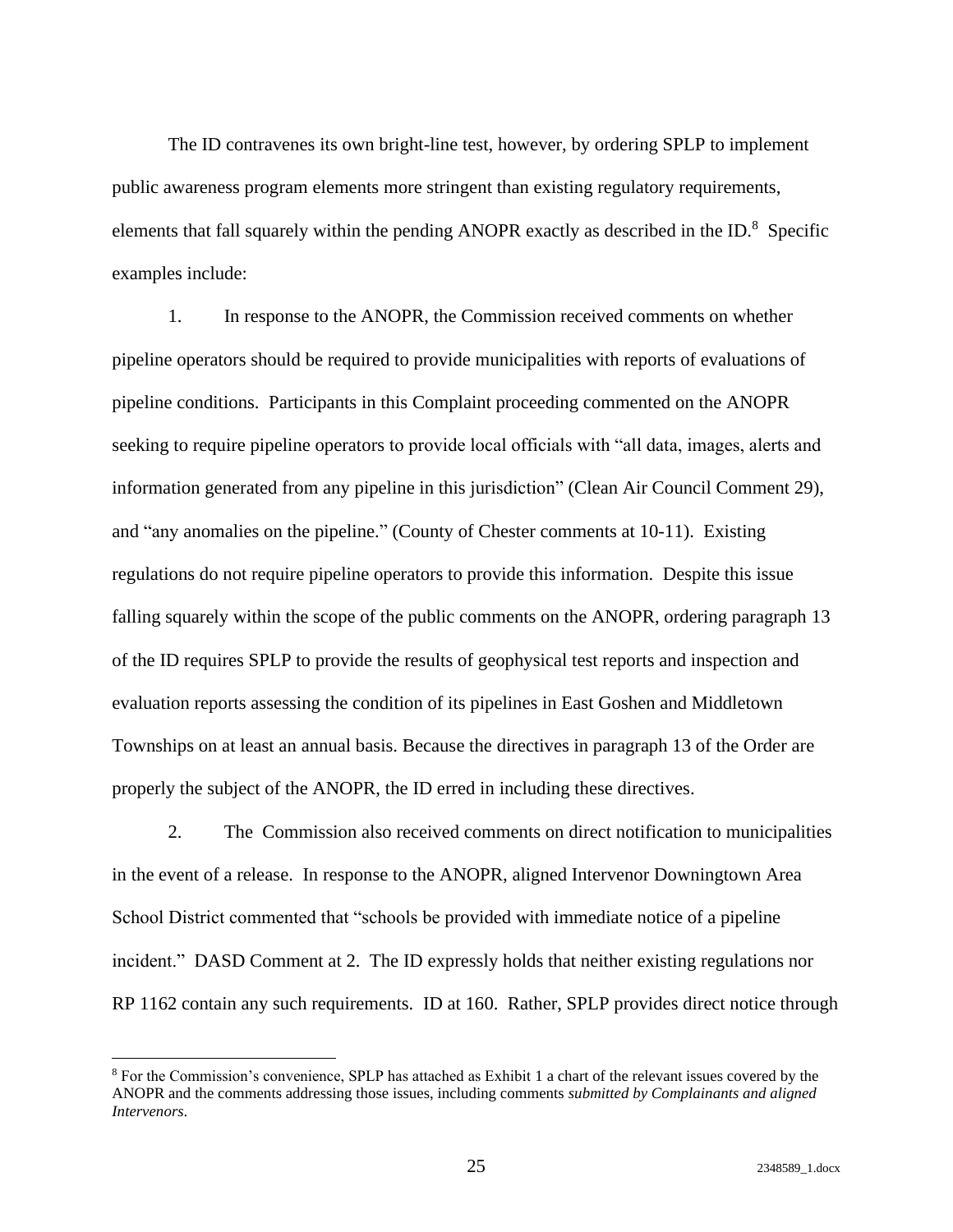The ID contravenes its own bright-line test, however, by ordering SPLP to implement public awareness program elements more stringent than existing regulatory requirements, elements that fall squarely within the pending ANOPR exactly as described in the ID.<sup>8</sup> Specific examples include:

1. In response to the ANOPR, the Commission received comments on whether pipeline operators should be required to provide municipalities with reports of evaluations of pipeline conditions. Participants in this Complaint proceeding commented on the ANOPR seeking to require pipeline operators to provide local officials with "all data, images, alerts and information generated from any pipeline in this jurisdiction" (Clean Air Council Comment 29), and "any anomalies on the pipeline." (County of Chester comments at 10-11). Existing regulations do not require pipeline operators to provide this information. Despite this issue falling squarely within the scope of the public comments on the ANOPR, ordering paragraph 13 of the ID requires SPLP to provide the results of geophysical test reports and inspection and evaluation reports assessing the condition of its pipelines in East Goshen and Middletown Townships on at least an annual basis. Because the directives in paragraph 13 of the Order are properly the subject of the ANOPR, the ID erred in including these directives.

2. The Commission also received comments on direct notification to municipalities in the event of a release. In response to the ANOPR, aligned Intervenor Downingtown Area School District commented that "schools be provided with immediate notice of a pipeline incident." DASD Comment at 2. The ID expressly holds that neither existing regulations nor RP 1162 contain any such requirements. ID at 160. Rather, SPLP provides direct notice through

<sup>8</sup> For the Commission's convenience, SPLP has attached as Exhibit 1 a chart of the relevant issues covered by the ANOPR and the comments addressing those issues, including comments *submitted by Complainants and aligned Intervenors*.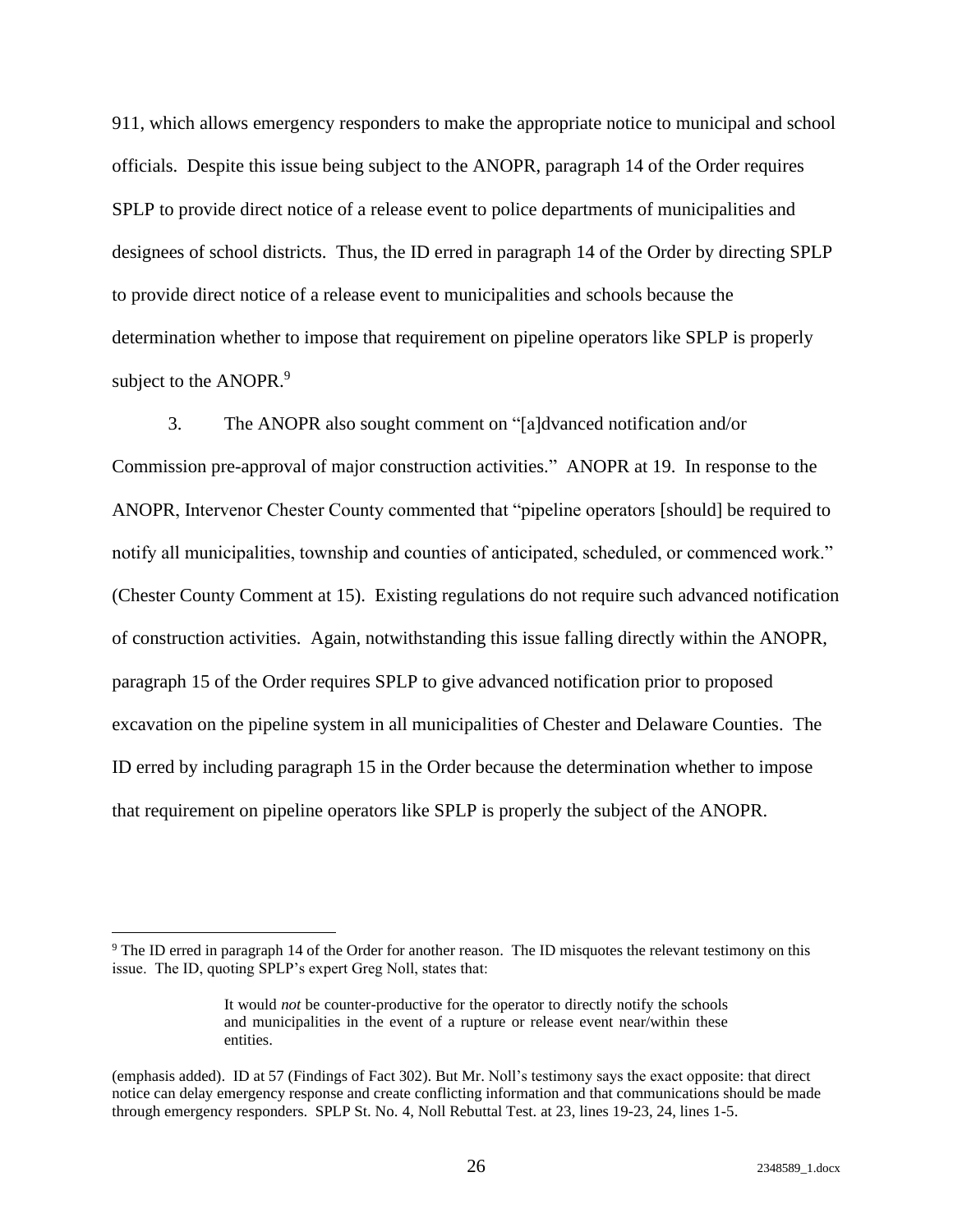911, which allows emergency responders to make the appropriate notice to municipal and school officials. Despite this issue being subject to the ANOPR, paragraph 14 of the Order requires SPLP to provide direct notice of a release event to police departments of municipalities and designees of school districts. Thus, the ID erred in paragraph 14 of the Order by directing SPLP to provide direct notice of a release event to municipalities and schools because the determination whether to impose that requirement on pipeline operators like SPLP is properly subject to the ANOPR.<sup>9</sup>

3. The ANOPR also sought comment on "[a]dvanced notification and/or Commission pre-approval of major construction activities." ANOPR at 19. In response to the ANOPR, Intervenor Chester County commented that "pipeline operators [should] be required to notify all municipalities, township and counties of anticipated, scheduled, or commenced work." (Chester County Comment at 15). Existing regulations do not require such advanced notification of construction activities. Again, notwithstanding this issue falling directly within the ANOPR, paragraph 15 of the Order requires SPLP to give advanced notification prior to proposed excavation on the pipeline system in all municipalities of Chester and Delaware Counties. The ID erred by including paragraph 15 in the Order because the determination whether to impose that requirement on pipeline operators like SPLP is properly the subject of the ANOPR.

<sup>&</sup>lt;sup>9</sup> The ID erred in paragraph 14 of the Order for another reason. The ID misquotes the relevant testimony on this issue. The ID, quoting SPLP's expert Greg Noll, states that:

It would *not* be counter-productive for the operator to directly notify the schools and municipalities in the event of a rupture or release event near/within these entities.

<sup>(</sup>emphasis added). ID at 57 (Findings of Fact 302). But Mr. Noll's testimony says the exact opposite: that direct notice can delay emergency response and create conflicting information and that communications should be made through emergency responders. SPLP St. No. 4, Noll Rebuttal Test. at 23, lines 19-23, 24, lines 1-5.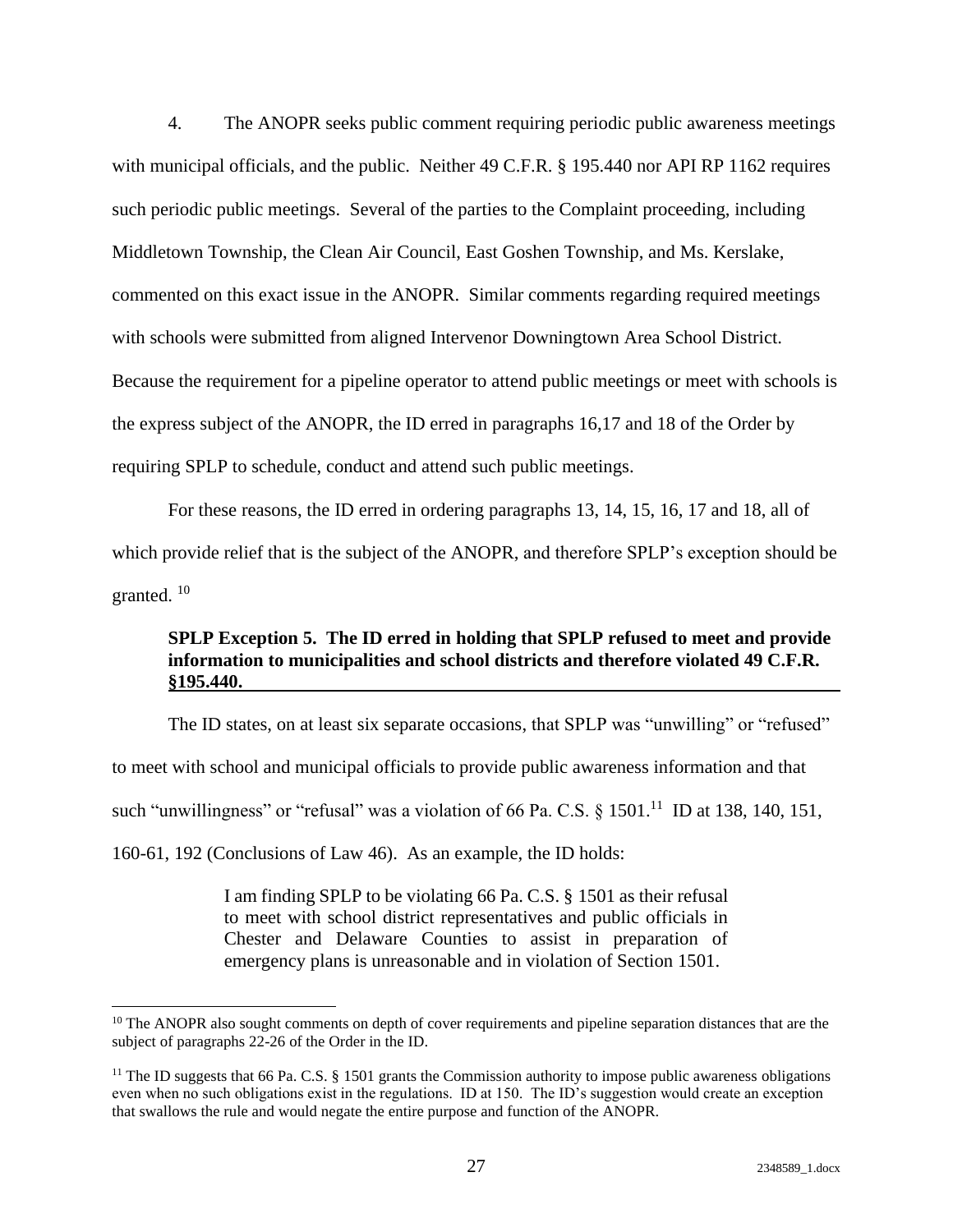4. The ANOPR seeks public comment requiring periodic public awareness meetings with municipal officials, and the public. Neither 49 C.F.R. § 195.440 nor API RP 1162 requires such periodic public meetings. Several of the parties to the Complaint proceeding, including Middletown Township, the Clean Air Council, East Goshen Township, and Ms. Kerslake, commented on this exact issue in the ANOPR. Similar comments regarding required meetings with schools were submitted from aligned Intervenor Downingtown Area School District. Because the requirement for a pipeline operator to attend public meetings or meet with schools is the express subject of the ANOPR, the ID erred in paragraphs 16,17 and 18 of the Order by requiring SPLP to schedule, conduct and attend such public meetings.

For these reasons, the ID erred in ordering paragraphs 13, 14, 15, 16, 17 and 18, all of which provide relief that is the subject of the ANOPR, and therefore SPLP's exception should be granted.  $^{10}$ 

### <span id="page-30-0"></span>**SPLP Exception 5. The ID erred in holding that SPLP refused to meet and provide information to municipalities and school districts and therefore violated 49 C.F.R. §195.440.**

The ID states, on at least six separate occasions, that SPLP was "unwilling" or "refused" to meet with school and municipal officials to provide public awareness information and that such "unwillingness" or "refusal" was a violation of 66 Pa. C.S.  $\S$  1501.<sup>11</sup> ID at 138, 140, 151, 160-61, 192 (Conclusions of Law 46). As an example, the ID holds:

> I am finding SPLP to be violating 66 Pa. C.S. § 1501 as their refusal to meet with school district representatives and public officials in Chester and Delaware Counties to assist in preparation of emergency plans is unreasonable and in violation of Section 1501.

<sup>&</sup>lt;sup>10</sup> The ANOPR also sought comments on depth of cover requirements and pipeline separation distances that are the subject of paragraphs 22-26 of the Order in the ID.

<sup>&</sup>lt;sup>11</sup> The ID suggests that 66 Pa. C.S.  $\S$  1501 grants the Commission authority to impose public awareness obligations even when no such obligations exist in the regulations. ID at 150. The ID's suggestion would create an exception that swallows the rule and would negate the entire purpose and function of the ANOPR.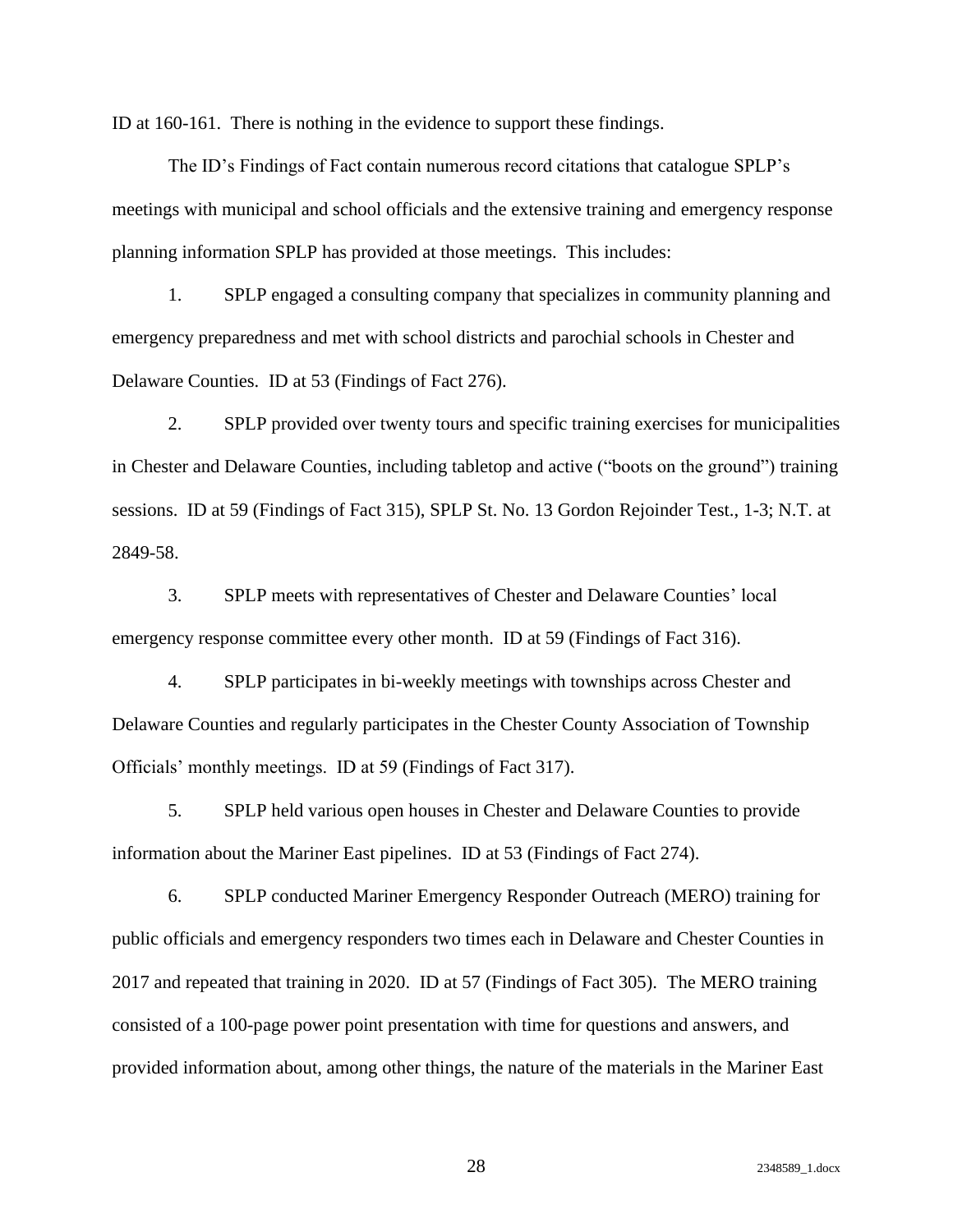ID at 160-161. There is nothing in the evidence to support these findings.

The ID's Findings of Fact contain numerous record citations that catalogue SPLP's meetings with municipal and school officials and the extensive training and emergency response planning information SPLP has provided at those meetings. This includes:

1. SPLP engaged a consulting company that specializes in community planning and emergency preparedness and met with school districts and parochial schools in Chester and Delaware Counties. ID at 53 (Findings of Fact 276).

2. SPLP provided over twenty tours and specific training exercises for municipalities in Chester and Delaware Counties, including tabletop and active ("boots on the ground") training sessions. ID at 59 (Findings of Fact 315), SPLP St. No. 13 Gordon Rejoinder Test., 1-3; N.T. at 2849-58.

3. SPLP meets with representatives of Chester and Delaware Counties' local emergency response committee every other month. ID at 59 (Findings of Fact 316).

4. SPLP participates in bi-weekly meetings with townships across Chester and Delaware Counties and regularly participates in the Chester County Association of Township Officials' monthly meetings. ID at 59 (Findings of Fact 317).

5. SPLP held various open houses in Chester and Delaware Counties to provide information about the Mariner East pipelines. ID at 53 (Findings of Fact 274).

6. SPLP conducted Mariner Emergency Responder Outreach (MERO) training for public officials and emergency responders two times each in Delaware and Chester Counties in 2017 and repeated that training in 2020. ID at 57 (Findings of Fact 305). The MERO training consisted of a 100-page power point presentation with time for questions and answers, and provided information about, among other things, the nature of the materials in the Mariner East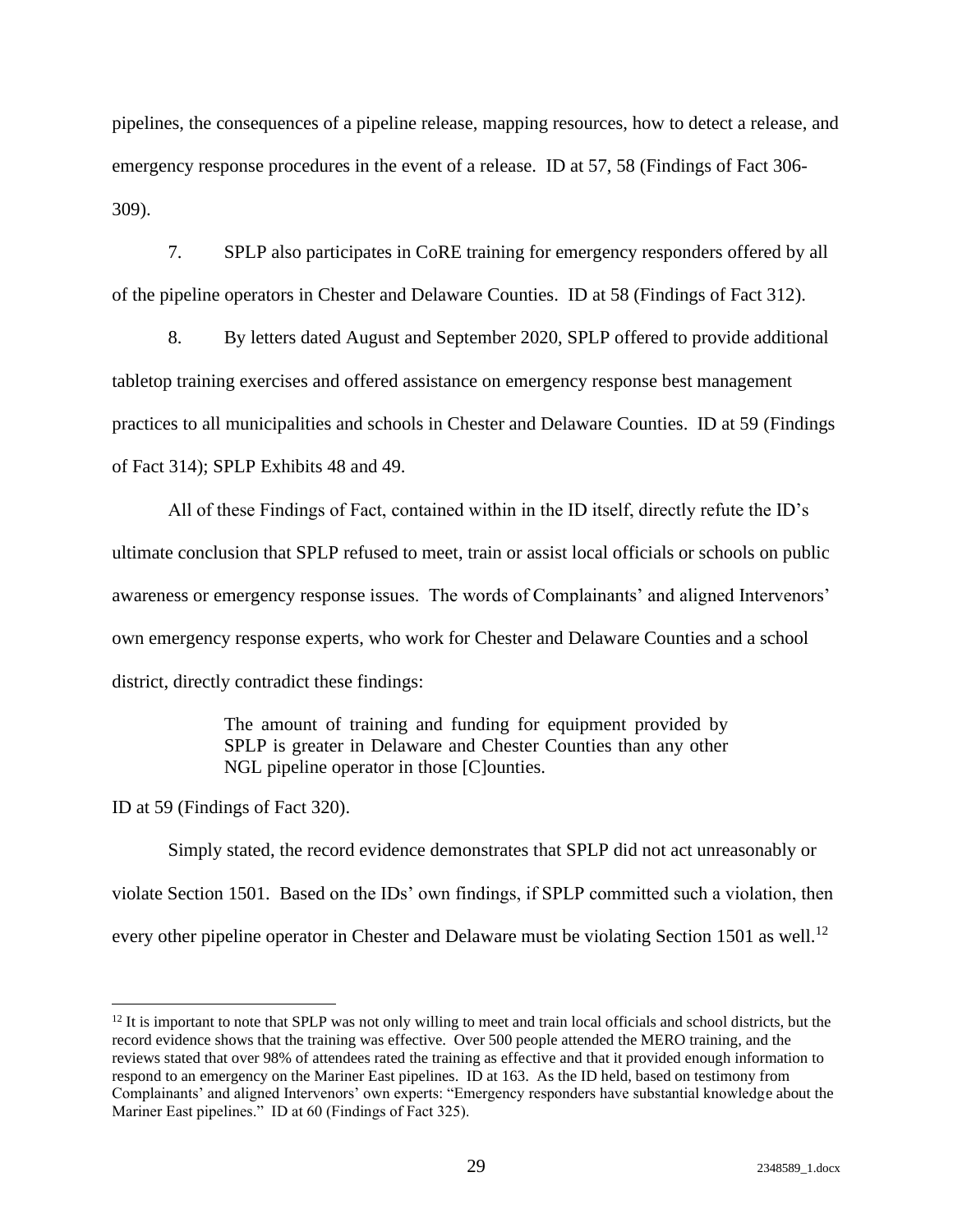pipelines, the consequences of a pipeline release, mapping resources, how to detect a release, and emergency response procedures in the event of a release. ID at 57, 58 (Findings of Fact 306- 309).

7. SPLP also participates in CoRE training for emergency responders offered by all of the pipeline operators in Chester and Delaware Counties. ID at 58 (Findings of Fact 312).

8. By letters dated August and September 2020, SPLP offered to provide additional tabletop training exercises and offered assistance on emergency response best management practices to all municipalities and schools in Chester and Delaware Counties. ID at 59 (Findings of Fact 314); SPLP Exhibits 48 and 49.

All of these Findings of Fact, contained within in the ID itself, directly refute the ID's ultimate conclusion that SPLP refused to meet, train or assist local officials or schools on public awareness or emergency response issues. The words of Complainants' and aligned Intervenors' own emergency response experts, who work for Chester and Delaware Counties and a school district, directly contradict these findings:

> The amount of training and funding for equipment provided by SPLP is greater in Delaware and Chester Counties than any other NGL pipeline operator in those [C]ounties.

ID at 59 (Findings of Fact 320).

Simply stated, the record evidence demonstrates that SPLP did not act unreasonably or violate Section 1501. Based on the IDs' own findings, if SPLP committed such a violation, then every other pipeline operator in Chester and Delaware must be violating Section 1501 as well.<sup>12</sup>

<sup>&</sup>lt;sup>12</sup> It is important to note that SPLP was not only willing to meet and train local officials and school districts, but the record evidence shows that the training was effective. Over 500 people attended the MERO training, and the reviews stated that over 98% of attendees rated the training as effective and that it provided enough information to respond to an emergency on the Mariner East pipelines. ID at 163. As the ID held, based on testimony from Complainants' and aligned Intervenors' own experts: "Emergency responders have substantial knowledge about the Mariner East pipelines." ID at 60 (Findings of Fact 325).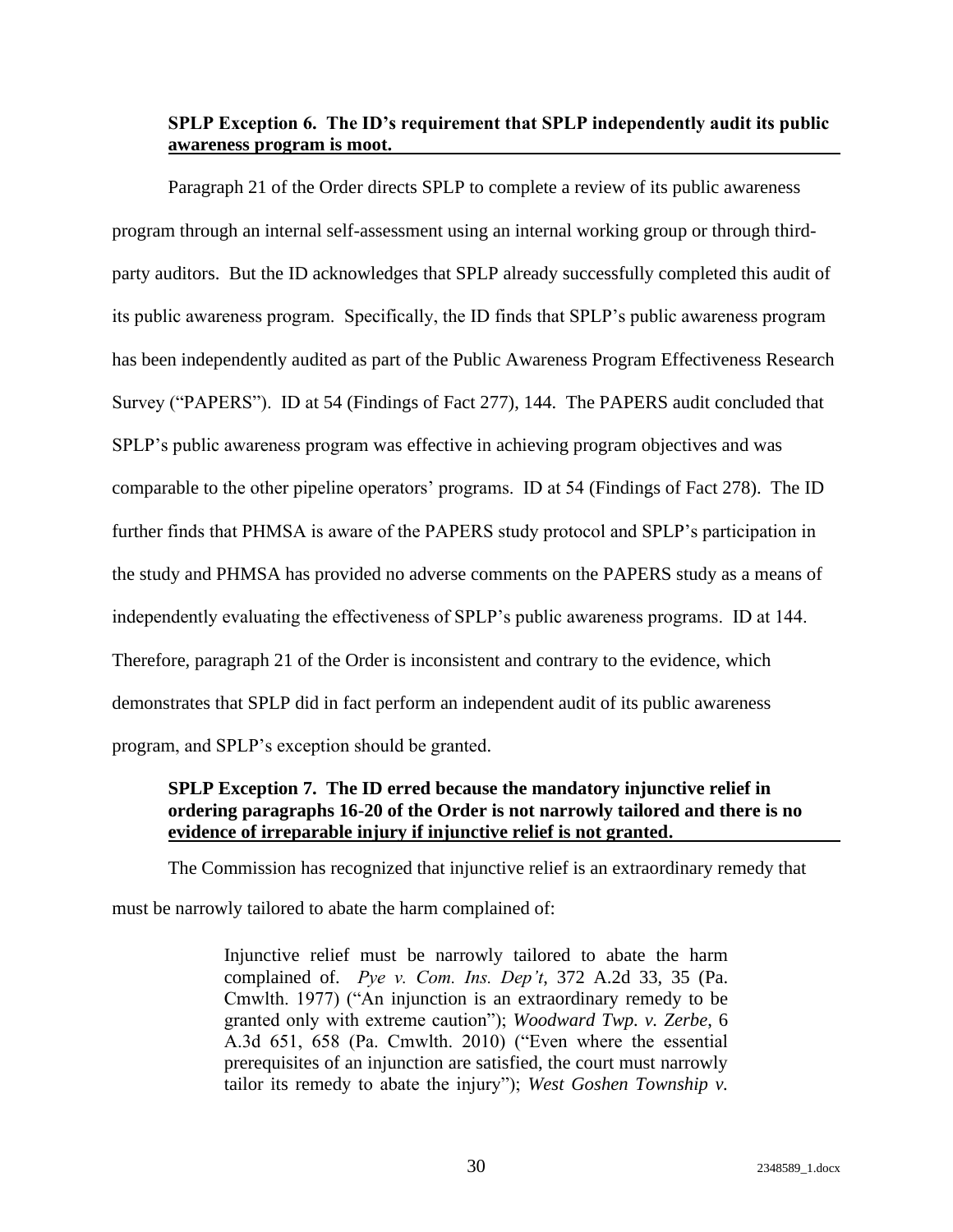### <span id="page-33-0"></span>**SPLP Exception 6. The ID's requirement that SPLP independently audit its public awareness program is moot.**

Paragraph 21 of the Order directs SPLP to complete a review of its public awareness program through an internal self-assessment using an internal working group or through thirdparty auditors. But the ID acknowledges that SPLP already successfully completed this audit of its public awareness program. Specifically, the ID finds that SPLP's public awareness program has been independently audited as part of the Public Awareness Program Effectiveness Research Survey ("PAPERS"). ID at 54 (Findings of Fact 277), 144. The PAPERS audit concluded that SPLP's public awareness program was effective in achieving program objectives and was comparable to the other pipeline operators' programs. ID at 54 (Findings of Fact 278). The ID further finds that PHMSA is aware of the PAPERS study protocol and SPLP's participation in the study and PHMSA has provided no adverse comments on the PAPERS study as a means of independently evaluating the effectiveness of SPLP's public awareness programs. ID at 144. Therefore, paragraph 21 of the Order is inconsistent and contrary to the evidence, which demonstrates that SPLP did in fact perform an independent audit of its public awareness program, and SPLP's exception should be granted.

### <span id="page-33-1"></span>**SPLP Exception 7. The ID erred because the mandatory injunctive relief in ordering paragraphs 16-20 of the Order is not narrowly tailored and there is no evidence of irreparable injury if injunctive relief is not granted.**

The Commission has recognized that injunctive relief is an extraordinary remedy that must be narrowly tailored to abate the harm complained of:

> Injunctive relief must be narrowly tailored to abate the harm complained of. *Pye v. Com. Ins. Dep't*, 372 A.2d 33, 35 (Pa. Cmwlth. 1977) ("An injunction is an extraordinary remedy to be granted only with extreme caution"); *Woodward Twp. v. Zerbe*, 6 A.3d 651, 658 (Pa. Cmwlth. 2010) ("Even where the essential prerequisites of an injunction are satisfied, the court must narrowly tailor its remedy to abate the injury"); *West Goshen Township v.*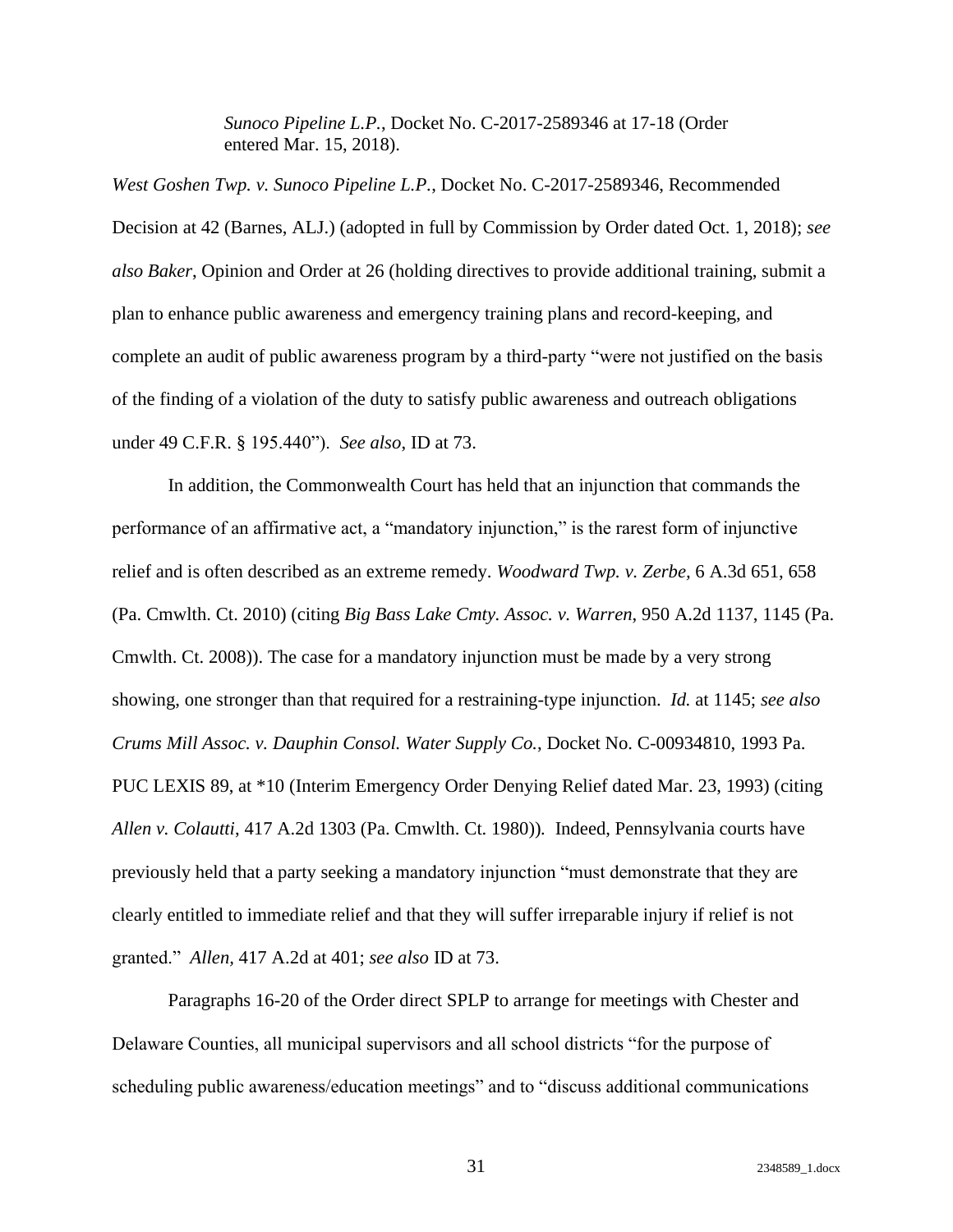*Sunoco Pipeline L.P.*, Docket No. C-2017-2589346 at 17-18 (Order entered Mar. 15, 2018).

*West Goshen Twp. v. Sunoco Pipeline L.P.*, Docket No. C-2017-2589346, Recommended Decision at 42 (Barnes, ALJ.) (adopted in full by Commission by Order dated Oct. 1, 2018); *see also Baker*, Opinion and Order at 26 (holding directives to provide additional training, submit a plan to enhance public awareness and emergency training plans and record-keeping, and complete an audit of public awareness program by a third-party "were not justified on the basis of the finding of a violation of the duty to satisfy public awareness and outreach obligations under 49 C.F.R. § 195.440"). *See also*, ID at 73.

In addition, the Commonwealth Court has held that an injunction that commands the performance of an affirmative act, a "mandatory injunction," is the rarest form of injunctive relief and is often described as an extreme remedy. *Woodward Twp. v. Zerbe,* 6 A.3d 651, 658 (Pa. Cmwlth. Ct. 2010) (citing *Big Bass Lake Cmty. Assoc. v. Warren*, 950 A.2d 1137, 1145 (Pa. Cmwlth. Ct. 2008)). The case for a mandatory injunction must be made by a very strong showing, one stronger than that required for a restraining-type injunction. *Id.* at 1145; *see also Crums Mill Assoc. v. Dauphin Consol. Water Supply Co.*, Docket No. C-00934810, 1993 Pa. PUC LEXIS 89, at \*10 (Interim Emergency Order Denying Relief dated Mar. 23, 1993) (citing *Allen v. Colautti*, 417 A.2d 1303 (Pa. Cmwlth. Ct. 1980))*.* Indeed, Pennsylvania courts have previously held that a party seeking a mandatory injunction "must demonstrate that they are clearly entitled to immediate relief and that they will suffer irreparable injury if relief is not granted." *Allen,* 417 A.2d at 401; *see also* ID at 73.

Paragraphs 16-20 of the Order direct SPLP to arrange for meetings with Chester and Delaware Counties, all municipal supervisors and all school districts "for the purpose of scheduling public awareness/education meetings" and to "discuss additional communications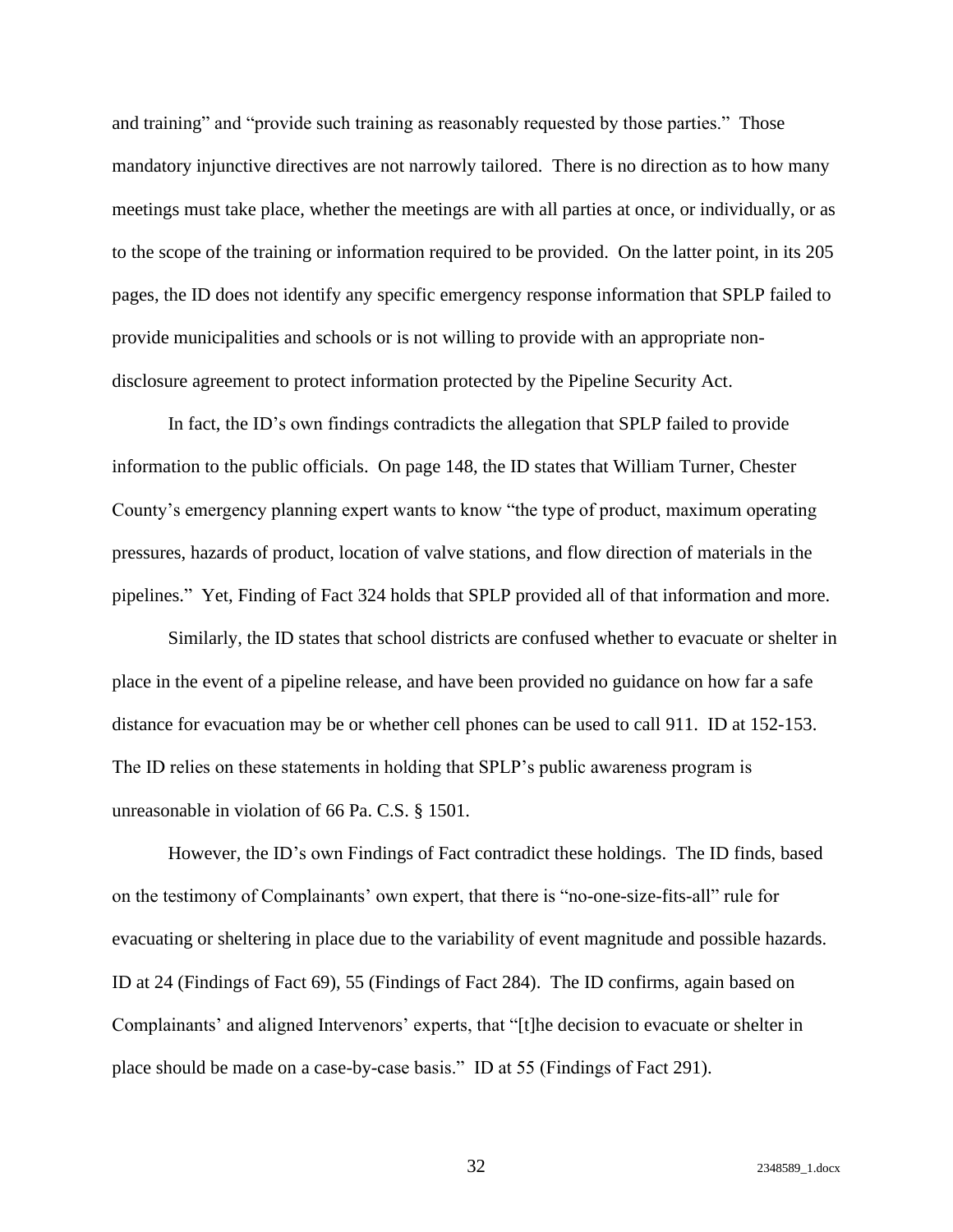and training" and "provide such training as reasonably requested by those parties." Those mandatory injunctive directives are not narrowly tailored. There is no direction as to how many meetings must take place, whether the meetings are with all parties at once, or individually, or as to the scope of the training or information required to be provided. On the latter point, in its 205 pages, the ID does not identify any specific emergency response information that SPLP failed to provide municipalities and schools or is not willing to provide with an appropriate nondisclosure agreement to protect information protected by the Pipeline Security Act.

In fact, the ID's own findings contradicts the allegation that SPLP failed to provide information to the public officials. On page 148, the ID states that William Turner, Chester County's emergency planning expert wants to know "the type of product, maximum operating pressures, hazards of product, location of valve stations, and flow direction of materials in the pipelines." Yet, Finding of Fact 324 holds that SPLP provided all of that information and more.

Similarly, the ID states that school districts are confused whether to evacuate or shelter in place in the event of a pipeline release, and have been provided no guidance on how far a safe distance for evacuation may be or whether cell phones can be used to call 911. ID at 152-153. The ID relies on these statements in holding that SPLP's public awareness program is unreasonable in violation of 66 Pa. C.S. § 1501.

However, the ID's own Findings of Fact contradict these holdings. The ID finds, based on the testimony of Complainants' own expert, that there is "no-one-size-fits-all" rule for evacuating or sheltering in place due to the variability of event magnitude and possible hazards. ID at 24 (Findings of Fact 69), 55 (Findings of Fact 284). The ID confirms, again based on Complainants' and aligned Intervenors' experts, that "[t]he decision to evacuate or shelter in place should be made on a case-by-case basis." ID at 55 (Findings of Fact 291).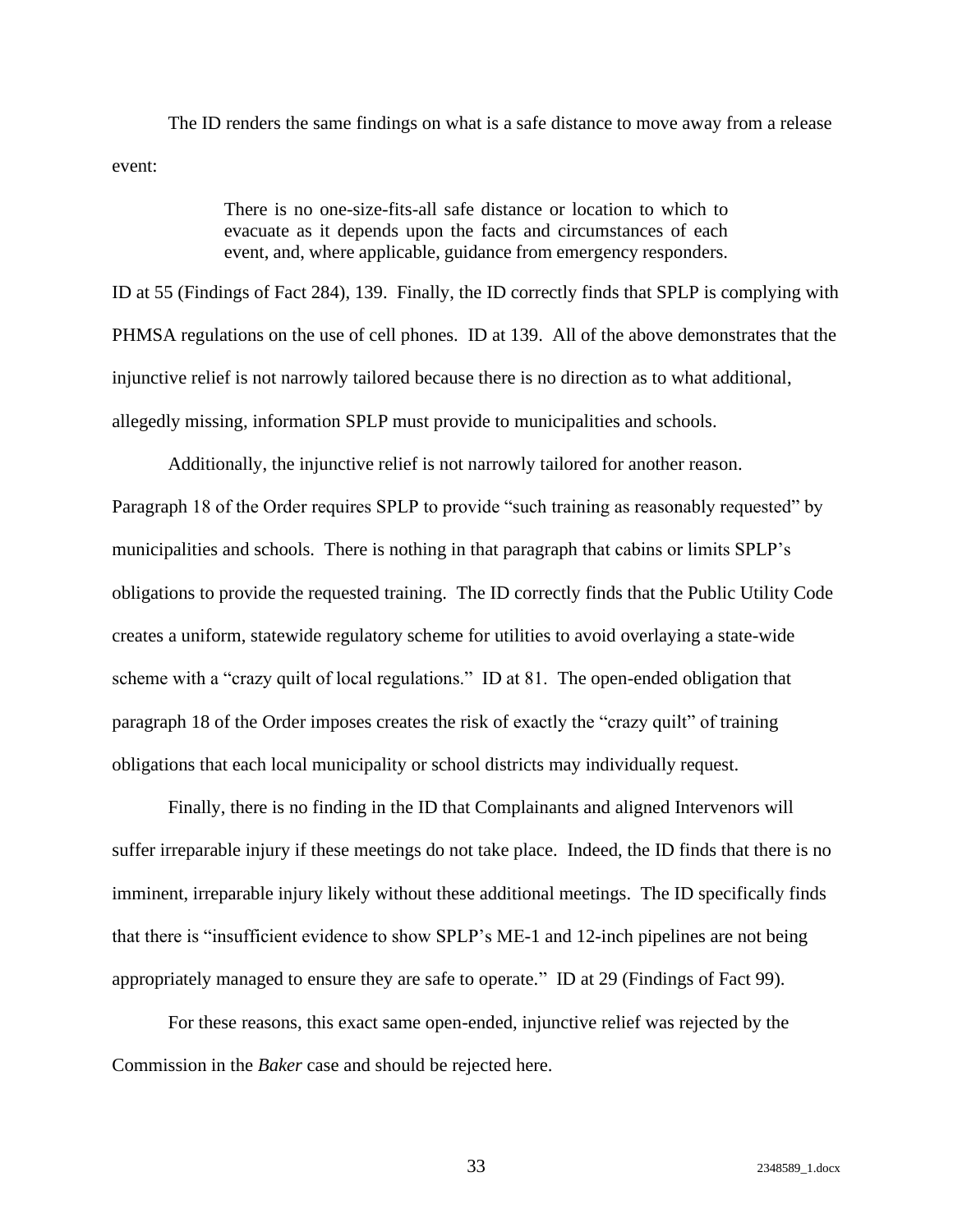The ID renders the same findings on what is a safe distance to move away from a release event:

> There is no one-size-fits-all safe distance or location to which to evacuate as it depends upon the facts and circumstances of each event, and, where applicable, guidance from emergency responders.

ID at 55 (Findings of Fact 284), 139. Finally, the ID correctly finds that SPLP is complying with PHMSA regulations on the use of cell phones. ID at 139. All of the above demonstrates that the injunctive relief is not narrowly tailored because there is no direction as to what additional, allegedly missing, information SPLP must provide to municipalities and schools.

Additionally, the injunctive relief is not narrowly tailored for another reason. Paragraph 18 of the Order requires SPLP to provide "such training as reasonably requested" by municipalities and schools. There is nothing in that paragraph that cabins or limits SPLP's obligations to provide the requested training. The ID correctly finds that the Public Utility Code creates a uniform, statewide regulatory scheme for utilities to avoid overlaying a state-wide scheme with a "crazy quilt of local regulations." ID at 81. The open-ended obligation that paragraph 18 of the Order imposes creates the risk of exactly the "crazy quilt" of training obligations that each local municipality or school districts may individually request.

Finally, there is no finding in the ID that Complainants and aligned Intervenors will suffer irreparable injury if these meetings do not take place. Indeed, the ID finds that there is no imminent, irreparable injury likely without these additional meetings. The ID specifically finds that there is "insufficient evidence to show SPLP's ME-1 and 12-inch pipelines are not being appropriately managed to ensure they are safe to operate." ID at 29 (Findings of Fact 99).

For these reasons, this exact same open-ended, injunctive relief was rejected by the Commission in the *Baker* case and should be rejected here.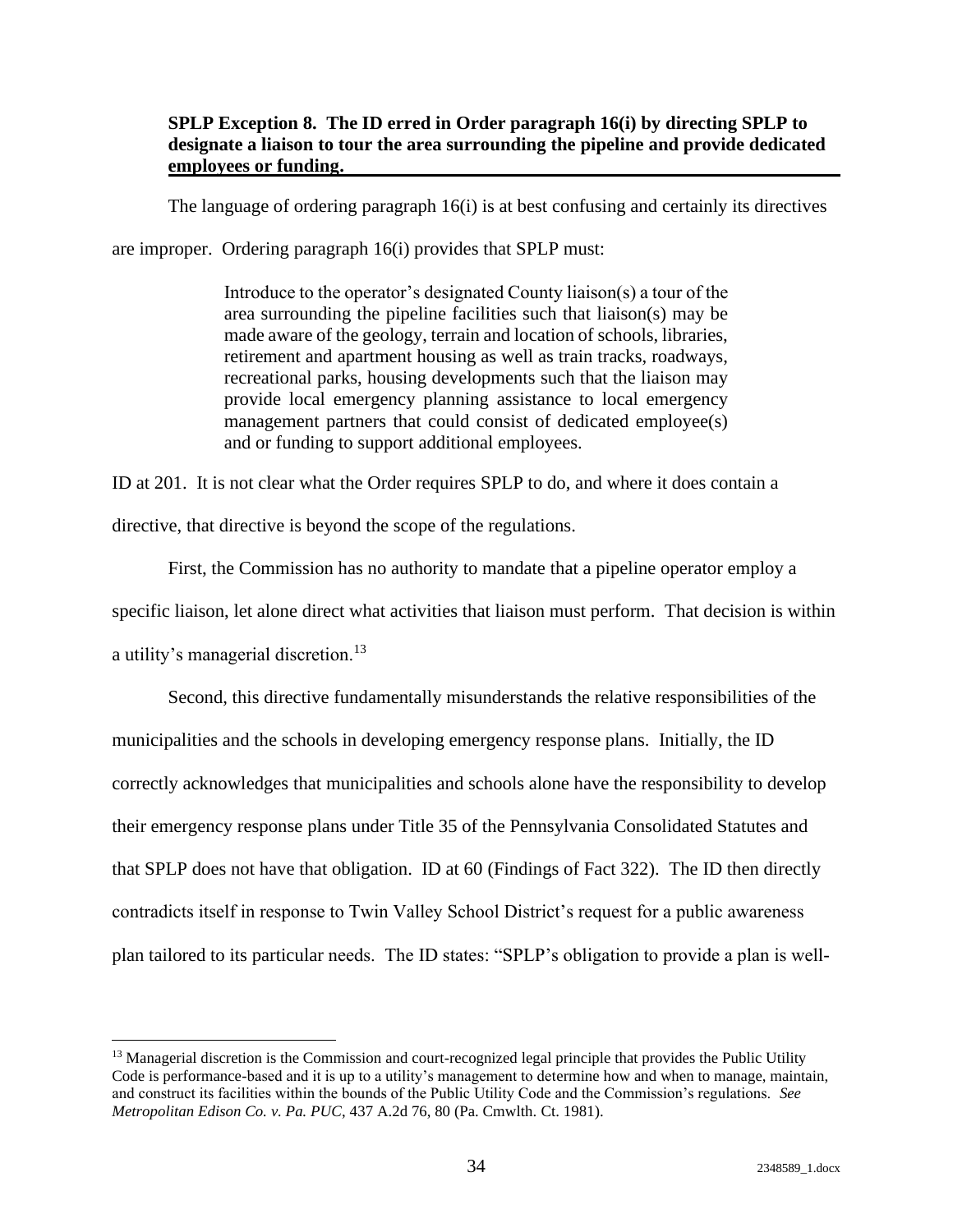#### <span id="page-37-0"></span>**SPLP Exception 8. The ID erred in Order paragraph 16(i) by directing SPLP to designate a liaison to tour the area surrounding the pipeline and provide dedicated employees or funding.**

The language of ordering paragraph 16(i) is at best confusing and certainly its directives

are improper. Ordering paragraph 16(i) provides that SPLP must:

Introduce to the operator's designated County liaison(s) a tour of the area surrounding the pipeline facilities such that liaison(s) may be made aware of the geology, terrain and location of schools, libraries, retirement and apartment housing as well as train tracks, roadways, recreational parks, housing developments such that the liaison may provide local emergency planning assistance to local emergency management partners that could consist of dedicated employee(s) and or funding to support additional employees.

ID at 201. It is not clear what the Order requires SPLP to do, and where it does contain a directive, that directive is beyond the scope of the regulations.

First, the Commission has no authority to mandate that a pipeline operator employ a specific liaison, let alone direct what activities that liaison must perform. That decision is within a utility's managerial discretion.<sup>13</sup>

Second, this directive fundamentally misunderstands the relative responsibilities of the municipalities and the schools in developing emergency response plans. Initially, the ID correctly acknowledges that municipalities and schools alone have the responsibility to develop their emergency response plans under Title 35 of the Pennsylvania Consolidated Statutes and that SPLP does not have that obligation. ID at 60 (Findings of Fact 322). The ID then directly contradicts itself in response to Twin Valley School District's request for a public awareness plan tailored to its particular needs. The ID states: "SPLP's obligation to provide a plan is well-

<sup>&</sup>lt;sup>13</sup> Managerial discretion is the Commission and court-recognized legal principle that provides the Public Utility Code is performance-based and it is up to a utility's management to determine how and when to manage, maintain, and construct its facilities within the bounds of the Public Utility Code and the Commission's regulations. *See Metropolitan Edison Co. v. Pa. PUC*, 437 A.2d 76, 80 (Pa. Cmwlth. Ct. 1981).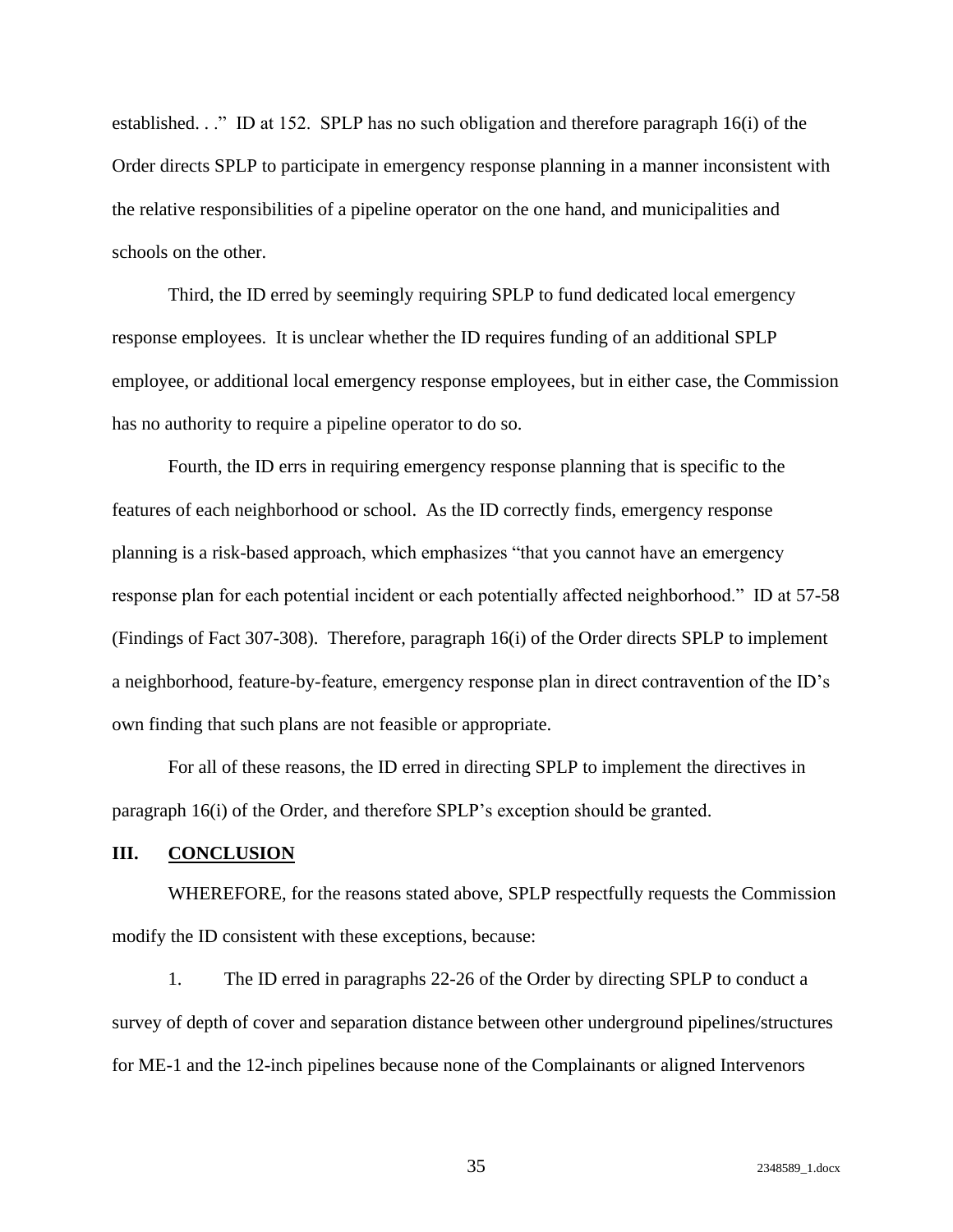established. . ." ID at 152. SPLP has no such obligation and therefore paragraph 16(i) of the Order directs SPLP to participate in emergency response planning in a manner inconsistent with the relative responsibilities of a pipeline operator on the one hand, and municipalities and schools on the other.

Third, the ID erred by seemingly requiring SPLP to fund dedicated local emergency response employees. It is unclear whether the ID requires funding of an additional SPLP employee, or additional local emergency response employees, but in either case, the Commission has no authority to require a pipeline operator to do so.

Fourth, the ID errs in requiring emergency response planning that is specific to the features of each neighborhood or school. As the ID correctly finds, emergency response planning is a risk-based approach, which emphasizes "that you cannot have an emergency response plan for each potential incident or each potentially affected neighborhood." ID at 57-58 (Findings of Fact 307-308). Therefore, paragraph 16(i) of the Order directs SPLP to implement a neighborhood, feature-by-feature, emergency response plan in direct contravention of the ID's own finding that such plans are not feasible or appropriate.

For all of these reasons, the ID erred in directing SPLP to implement the directives in paragraph 16(i) of the Order, and therefore SPLP's exception should be granted.

#### <span id="page-38-0"></span>**III. CONCLUSION**

WHEREFORE, for the reasons stated above, SPLP respectfully requests the Commission modify the ID consistent with these exceptions, because:

1. The ID erred in paragraphs 22-26 of the Order by directing SPLP to conduct a survey of depth of cover and separation distance between other underground pipelines/structures for ME-1 and the 12-inch pipelines because none of the Complainants or aligned Intervenors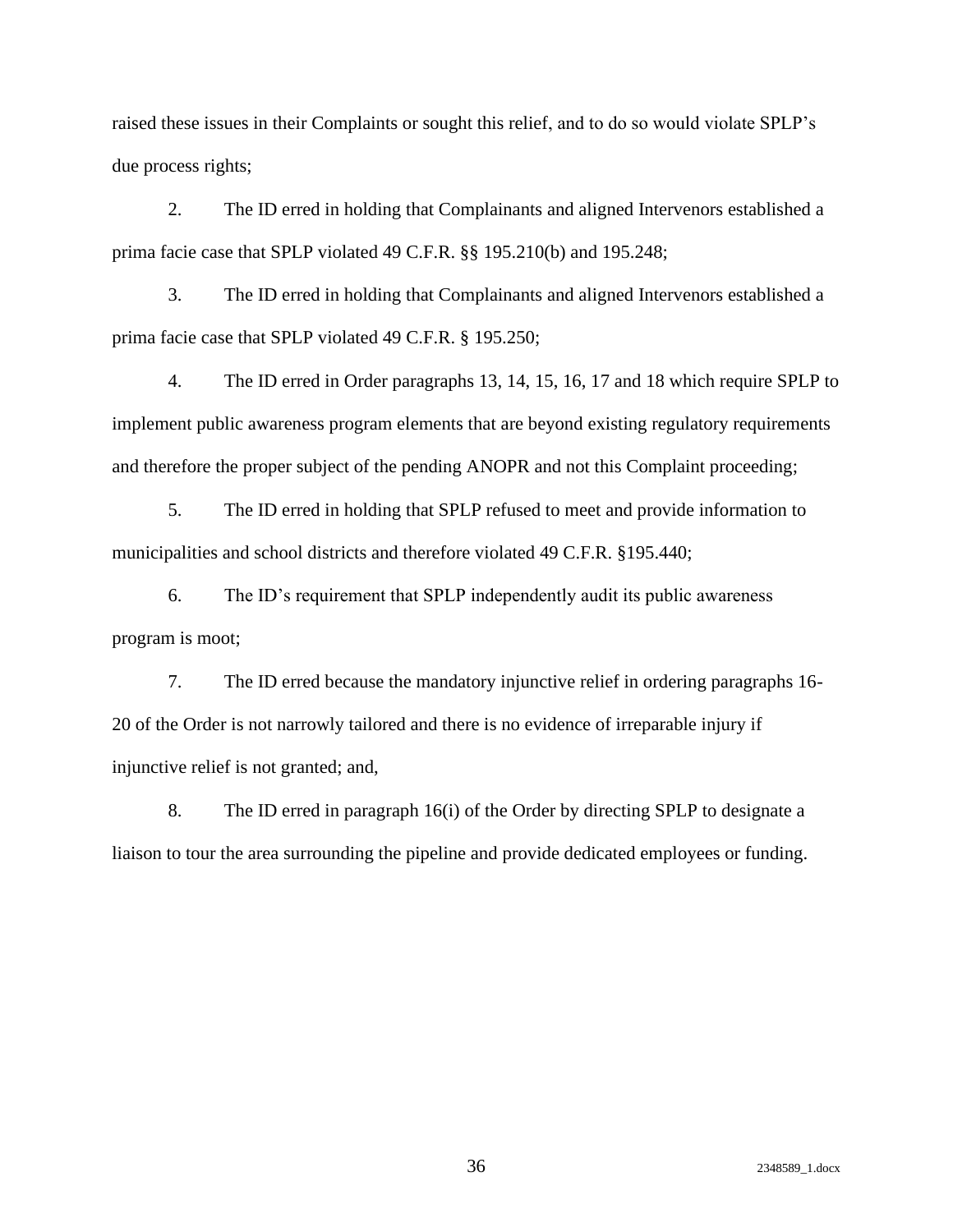raised these issues in their Complaints or sought this relief, and to do so would violate SPLP's due process rights;

2. The ID erred in holding that Complainants and aligned Intervenors established a prima facie case that SPLP violated 49 C.F.R. §§ 195.210(b) and 195.248;

3. The ID erred in holding that Complainants and aligned Intervenors established a prima facie case that SPLP violated 49 C.F.R. § 195.250;

4. The ID erred in Order paragraphs 13, 14, 15, 16, 17 and 18 which require SPLP to implement public awareness program elements that are beyond existing regulatory requirements and therefore the proper subject of the pending ANOPR and not this Complaint proceeding;

5. The ID erred in holding that SPLP refused to meet and provide information to municipalities and school districts and therefore violated 49 C.F.R. §195.440;

6. The ID's requirement that SPLP independently audit its public awareness program is moot;

7. The ID erred because the mandatory injunctive relief in ordering paragraphs 16- 20 of the Order is not narrowly tailored and there is no evidence of irreparable injury if injunctive relief is not granted; and,

8. The ID erred in paragraph 16(i) of the Order by directing SPLP to designate a liaison to tour the area surrounding the pipeline and provide dedicated employees or funding.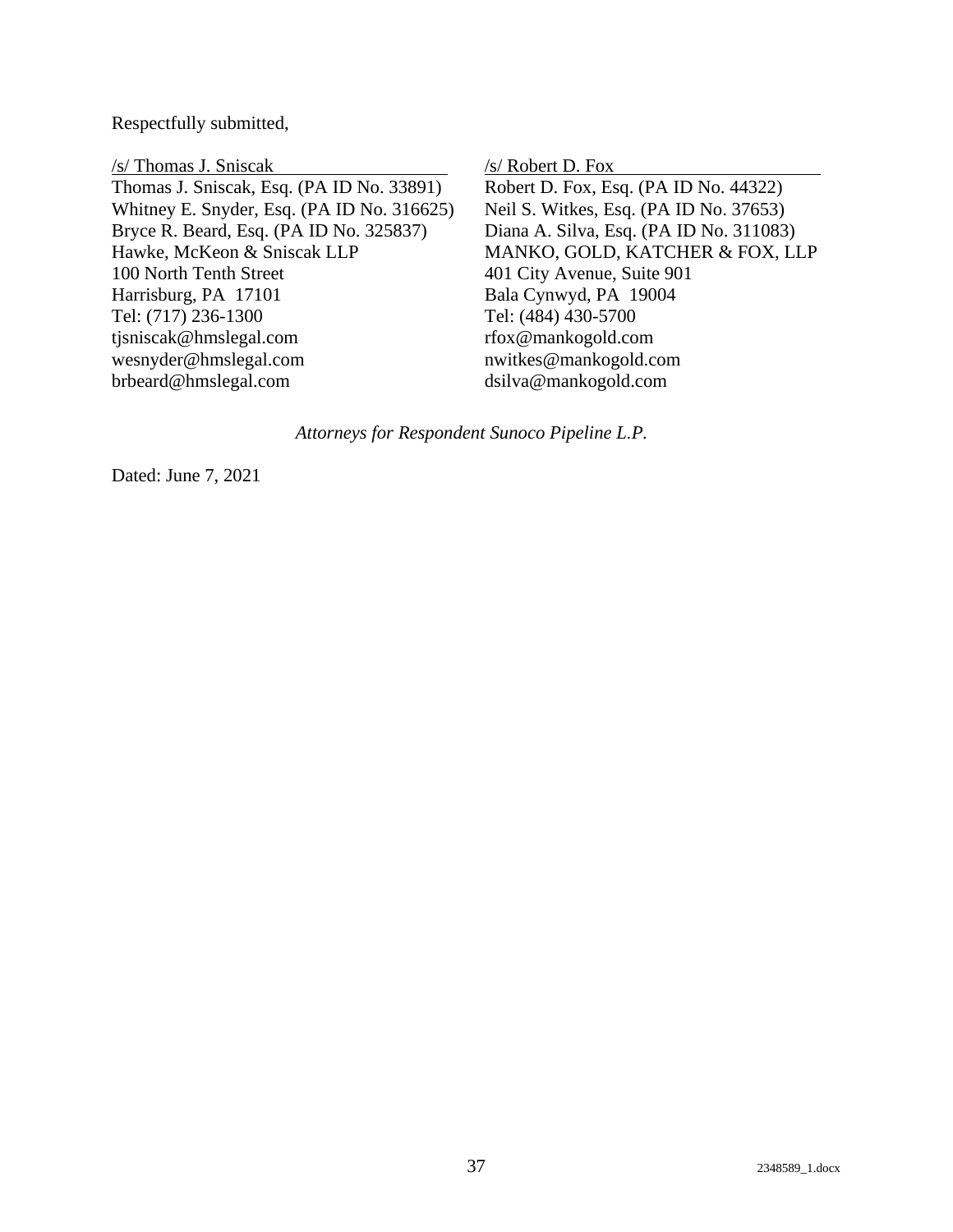Respectfully submitted,

/s/ Thomas J. Sniscak Thomas J. Sniscak, Esq. (PA ID No. 33891) Whitney E. Snyder, Esq. (PA ID No. 316625) Bryce R. Beard, Esq. (PA ID No. 325837) Hawke, McKeon & Sniscak LLP 100 North Tenth Street Harrisburg, PA 17101 Tel: (717) 236-1300 tjsniscak@hmslegal.com wesnyder@hmslegal.com brbeard@hmslegal.com

/s/ Robert D. Fox

Robert D. Fox, Esq. (PA ID No. 44322) Neil S. Witkes, Esq. (PA ID No. 37653) Diana A. Silva, Esq. (PA ID No. 311083) MANKO, GOLD, KATCHER & FOX, LLP 401 City Avenue, Suite 901 Bala Cynwyd, PA 19004 Tel: (484) 430-5700 rfox@mankogold.com nwitkes@mankogold.com dsilva@mankogold.com

*Attorneys for Respondent Sunoco Pipeline L.P.*

Dated: June 7, 2021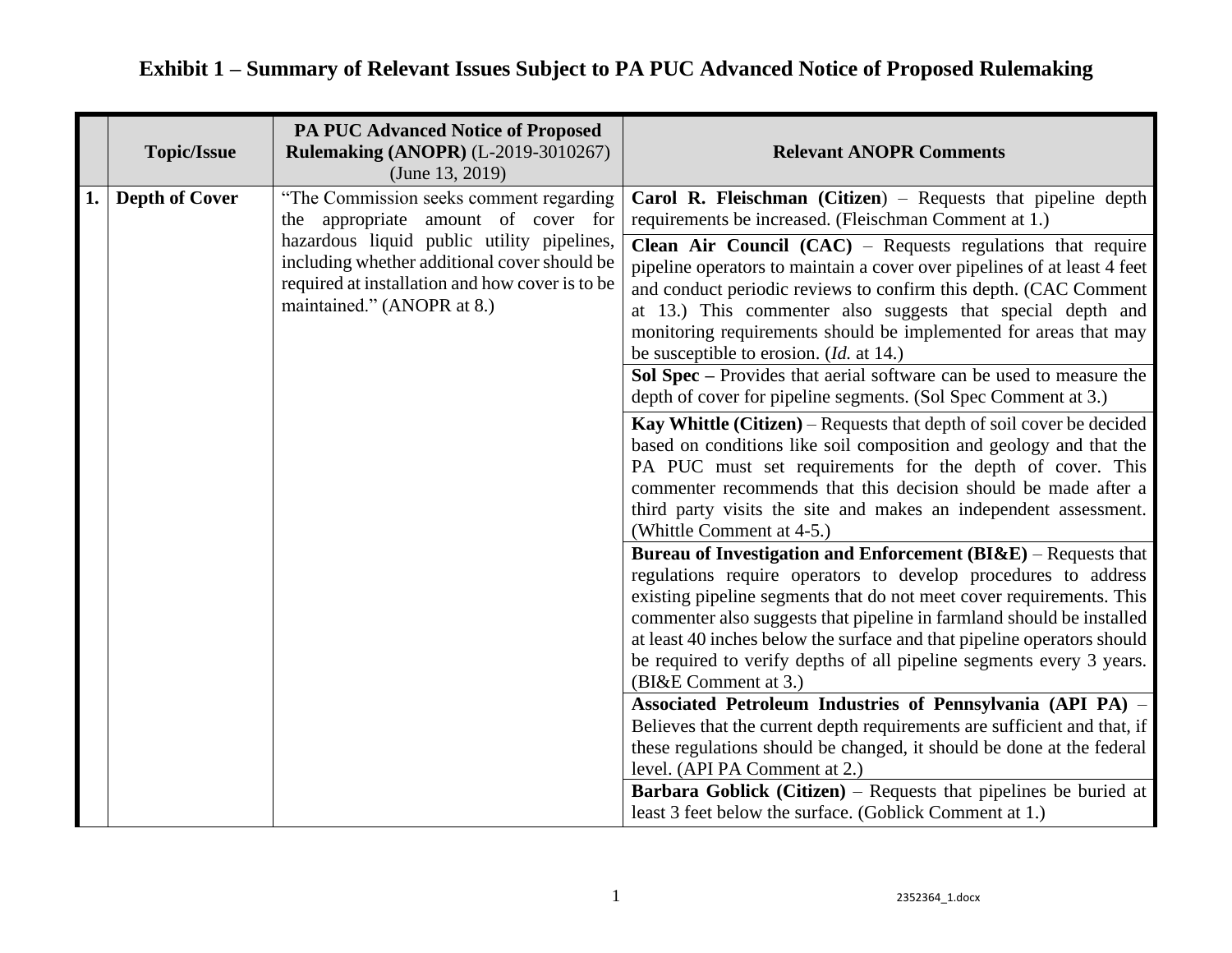|    | <b>Topic/Issue</b>    | <b>PA PUC Advanced Notice of Proposed</b><br><b>Rulemaking (ANOPR) (L-2019-3010267)</b><br>(June $13, 2019$ )                                                                                                                                                 | <b>Relevant ANOPR Comments</b>                                                                                                                                                                                                                                                                                                                                                                                                                                                                                                                                                                                                                                                                                                                                                                                                                                                                                                                                                                                                                                                                                                                                                                                                                                                                                                                                                                                                                                                                                                                                                                                                                                                                                                                                                                                                                               |
|----|-----------------------|---------------------------------------------------------------------------------------------------------------------------------------------------------------------------------------------------------------------------------------------------------------|--------------------------------------------------------------------------------------------------------------------------------------------------------------------------------------------------------------------------------------------------------------------------------------------------------------------------------------------------------------------------------------------------------------------------------------------------------------------------------------------------------------------------------------------------------------------------------------------------------------------------------------------------------------------------------------------------------------------------------------------------------------------------------------------------------------------------------------------------------------------------------------------------------------------------------------------------------------------------------------------------------------------------------------------------------------------------------------------------------------------------------------------------------------------------------------------------------------------------------------------------------------------------------------------------------------------------------------------------------------------------------------------------------------------------------------------------------------------------------------------------------------------------------------------------------------------------------------------------------------------------------------------------------------------------------------------------------------------------------------------------------------------------------------------------------------------------------------------------------------|
| 1. | <b>Depth of Cover</b> | "The Commission seeks comment regarding<br>the appropriate amount of cover for<br>hazardous liquid public utility pipelines,<br>including whether additional cover should be<br>required at installation and how cover is to be<br>maintained." (ANOPR at 8.) | Carol R. Fleischman (Citizen) – Requests that pipeline depth<br>requirements be increased. (Fleischman Comment at 1.)<br><b>Clean Air Council</b> $(CAC)$ – Requests regulations that require<br>pipeline operators to maintain a cover over pipelines of at least 4 feet<br>and conduct periodic reviews to confirm this depth. (CAC Comment<br>at 13.) This commenter also suggests that special depth and<br>monitoring requirements should be implemented for areas that may<br>be susceptible to erosion. ( <i>Id.</i> at 14.)<br>Sol Spec – Provides that aerial software can be used to measure the<br>depth of cover for pipeline segments. (Sol Spec Comment at 3.)<br>Kay Whittle (Citizen) – Requests that depth of soil cover be decided<br>based on conditions like soil composition and geology and that the<br>PA PUC must set requirements for the depth of cover. This<br>commenter recommends that this decision should be made after a<br>third party visits the site and makes an independent assessment.<br>(Whittle Comment at 4-5.)<br>Bureau of Investigation and Enforcement $(BI\&E)$ – Requests that<br>regulations require operators to develop procedures to address<br>existing pipeline segments that do not meet cover requirements. This<br>commenter also suggests that pipeline in farmland should be installed<br>at least 40 inches below the surface and that pipeline operators should<br>be required to verify depths of all pipeline segments every 3 years.<br>(BI&E Comment at 3.)<br>Associated Petroleum Industries of Pennsylvania (API PA) -<br>Believes that the current depth requirements are sufficient and that, if<br>these regulations should be changed, it should be done at the federal<br>level. (API PA Comment at 2.)<br><b>Barbara Goblick (Citizen)</b> – Requests that pipelines be buried at |
|    |                       |                                                                                                                                                                                                                                                               | least 3 feet below the surface. (Goblick Comment at 1.)                                                                                                                                                                                                                                                                                                                                                                                                                                                                                                                                                                                                                                                                                                                                                                                                                                                                                                                                                                                                                                                                                                                                                                                                                                                                                                                                                                                                                                                                                                                                                                                                                                                                                                                                                                                                      |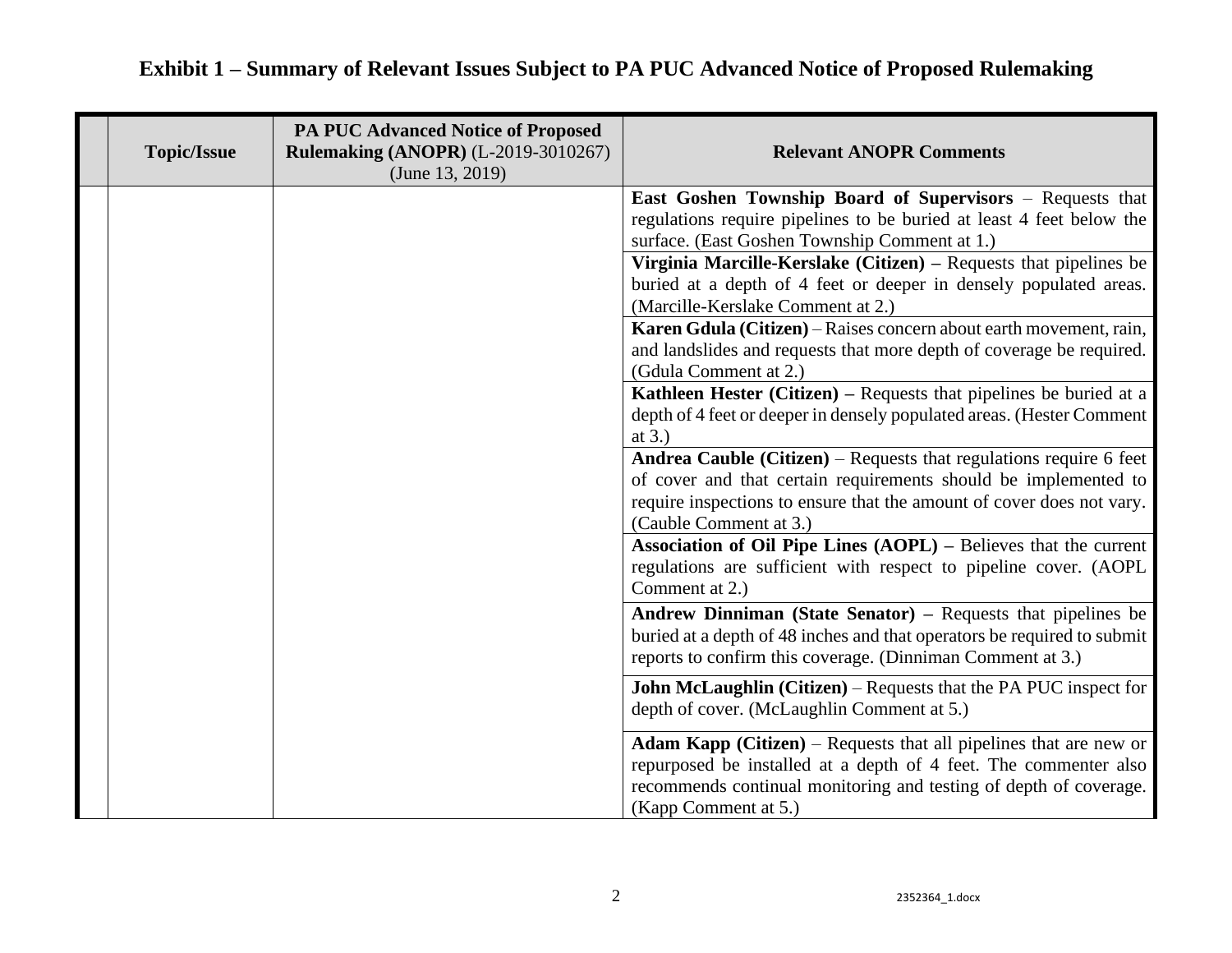### **Topic/Issue PA PUC Advanced Notice of Proposed Rulemaking (ANOPR)** (L-2019-3010267) (June 13, 2019) **Relevant ANOPR Comments East Goshen Township Board of Supervisors** – Requests that regulations require pipelines to be buried at least 4 feet below the surface. (East Goshen Township Comment at 1.) **Virginia Marcille-Kerslake (Citizen) –** Requests that pipelines be buried at a depth of 4 feet or deeper in densely populated areas. (Marcille-Kerslake Comment at 2.) **Karen Gdula (Citizen)** – Raises concern about earth movement, rain, and landslides and requests that more depth of coverage be required. (Gdula Comment at 2.) **Kathleen Hester (Citizen)** – Requests that pipelines be buried at a depth of 4 feet or deeper in densely populated areas. (Hester Comment at 3.) **Andrea Cauble (Citizen)** – Requests that regulations require 6 feet of cover and that certain requirements should be implemented to require inspections to ensure that the amount of cover does not vary. (Cauble Comment at 3.) **Association of Oil Pipe Lines (AOPL) –** Believes that the current regulations are sufficient with respect to pipeline cover. (AOPL Comment at 2.) **Andrew Dinniman (State Senator) –** Requests that pipelines be buried at a depth of 48 inches and that operators be required to submit reports to confirm this coverage. (Dinniman Comment at 3.) **John McLaughlin (Citizen)** – Requests that the PA PUC inspect for depth of cover. (McLaughlin Comment at 5.) **Adam Kapp (Citizen)** – Requests that all pipelines that are new or repurposed be installed at a depth of 4 feet. The commenter also recommends continual monitoring and testing of depth of coverage. (Kapp Comment at 5.)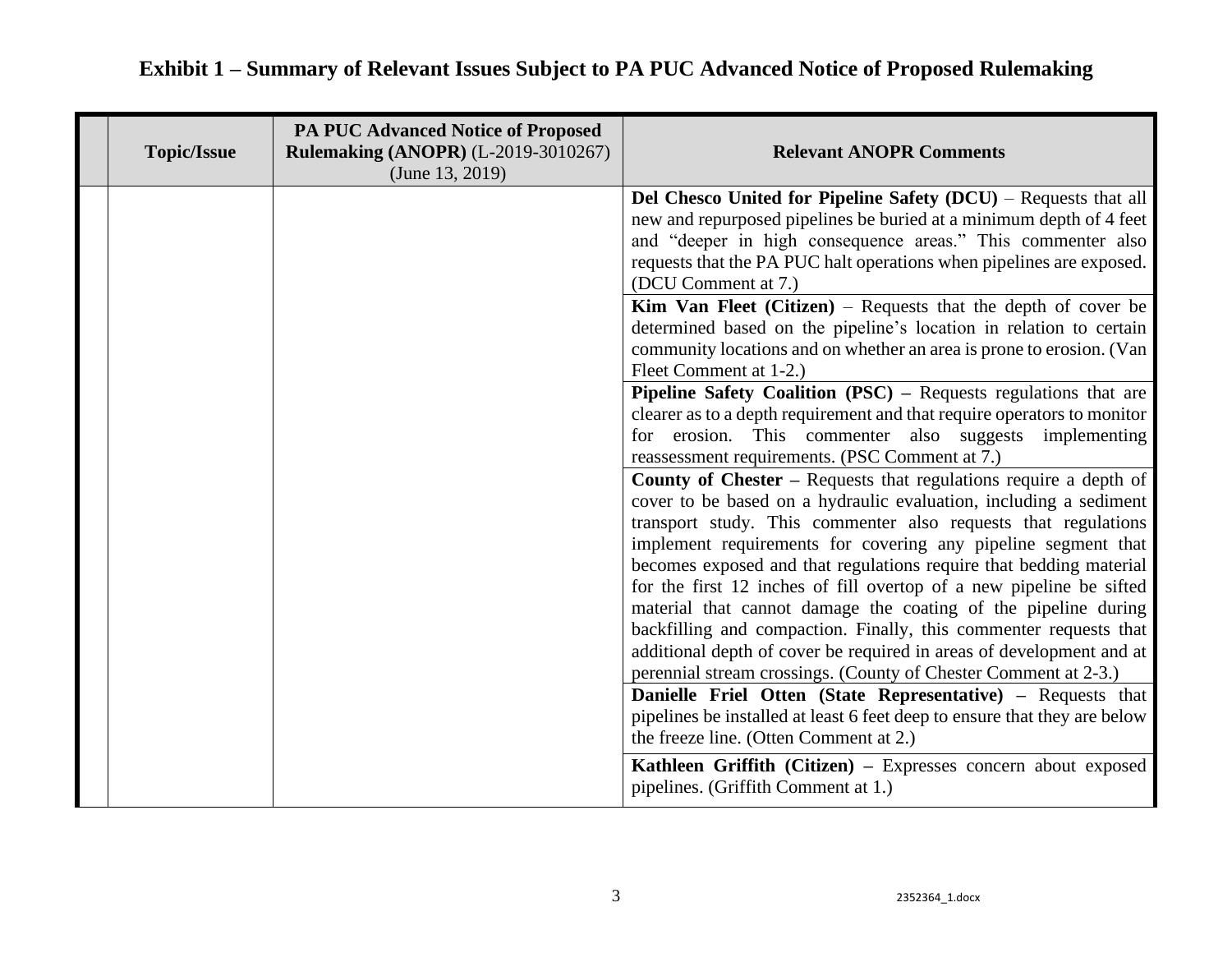| <b>Topic/Issue</b> | <b>PA PUC Advanced Notice of Proposed</b><br><b>Rulemaking (ANOPR) (L-2019-3010267)</b><br>(June $13, 2019$ ) | <b>Relevant ANOPR Comments</b>                                                                                                                                                                                                                                                                                                                                                                                                                                                                                                                                                                                                                                                                                                                                                                                                                                                                                                                                                                                                                                                                                                                                                                                                                                                                                                                                                                                                                                                                                                                                                                                                                                                                                                                                                                                                               |
|--------------------|---------------------------------------------------------------------------------------------------------------|----------------------------------------------------------------------------------------------------------------------------------------------------------------------------------------------------------------------------------------------------------------------------------------------------------------------------------------------------------------------------------------------------------------------------------------------------------------------------------------------------------------------------------------------------------------------------------------------------------------------------------------------------------------------------------------------------------------------------------------------------------------------------------------------------------------------------------------------------------------------------------------------------------------------------------------------------------------------------------------------------------------------------------------------------------------------------------------------------------------------------------------------------------------------------------------------------------------------------------------------------------------------------------------------------------------------------------------------------------------------------------------------------------------------------------------------------------------------------------------------------------------------------------------------------------------------------------------------------------------------------------------------------------------------------------------------------------------------------------------------------------------------------------------------------------------------------------------------|
|                    |                                                                                                               | <b>Del Chesco United for Pipeline Safety (DCU)</b> – Requests that all<br>new and repurposed pipelines be buried at a minimum depth of 4 feet<br>and "deeper in high consequence areas." This commenter also<br>requests that the PA PUC halt operations when pipelines are exposed.<br>(DCU Comment at 7.)<br><b>Kim Van Fleet (Citizen)</b> – Requests that the depth of cover be<br>determined based on the pipeline's location in relation to certain<br>community locations and on whether an area is prone to erosion. (Van<br>Fleet Comment at 1-2.)<br><b>Pipeline Safety Coalition (PSC)</b> – Requests regulations that are<br>clearer as to a depth requirement and that require operators to monitor<br>for erosion. This commenter also suggests implementing<br>reassessment requirements. (PSC Comment at 7.)<br><b>County of Chester – Requests that regulations require a depth of</b><br>cover to be based on a hydraulic evaluation, including a sediment<br>transport study. This commenter also requests that regulations<br>implement requirements for covering any pipeline segment that<br>becomes exposed and that regulations require that bedding material<br>for the first 12 inches of fill overtop of a new pipeline be sifted<br>material that cannot damage the coating of the pipeline during<br>backfilling and compaction. Finally, this commenter requests that<br>additional depth of cover be required in areas of development and at<br>perennial stream crossings. (County of Chester Comment at 2-3.)<br>Danielle Friel Otten (State Representative) - Requests that<br>pipelines be installed at least 6 feet deep to ensure that they are below<br>the freeze line. (Otten Comment at 2.)<br>Kathleen Griffith (Citizen) - Expresses concern about exposed<br>pipelines. (Griffith Comment at 1.) |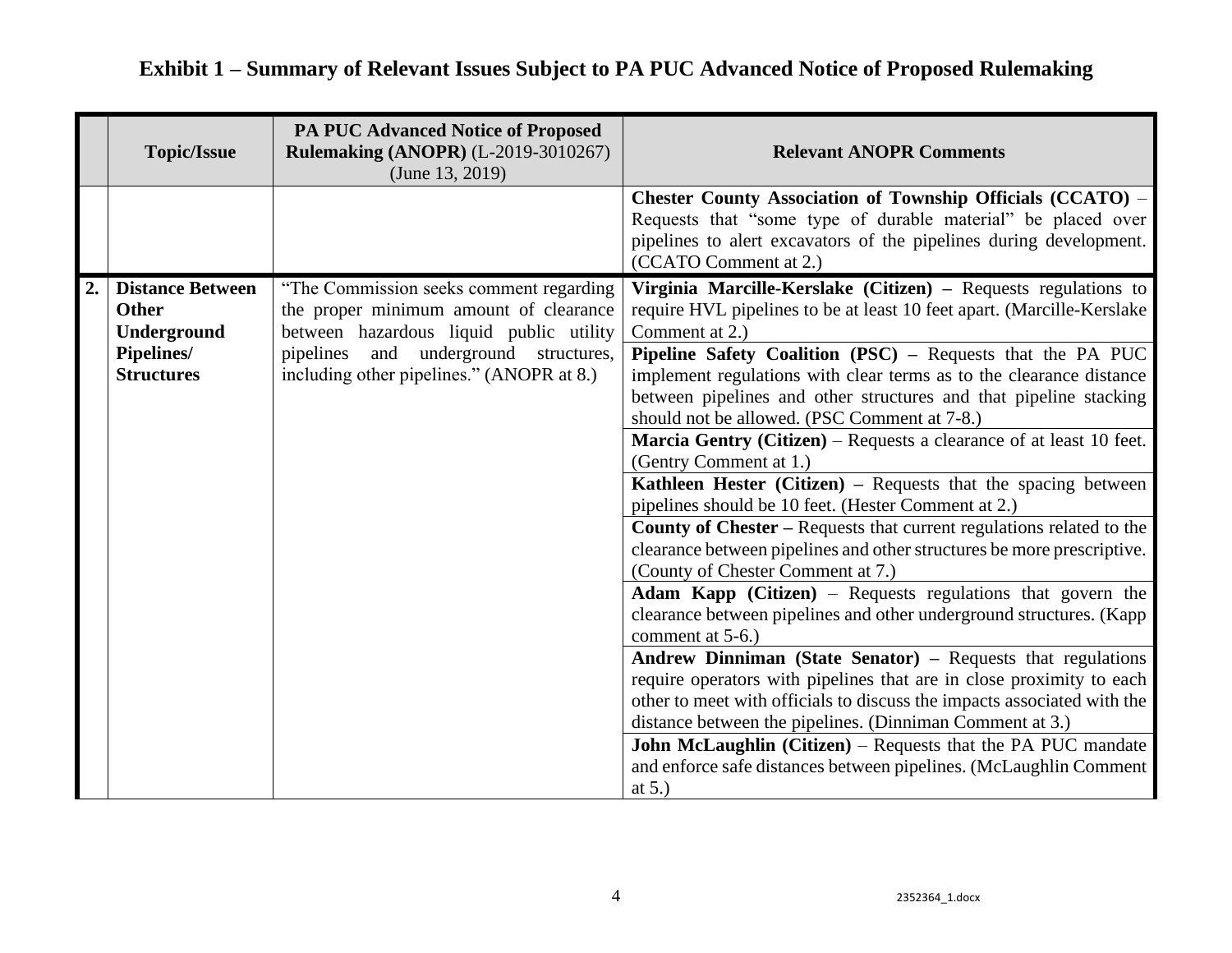|    | <b>Topic/Issue</b>                                                                               | <b>PA PUC Advanced Notice of Proposed</b><br><b>Rulemaking (ANOPR) (L-2019-3010267)</b><br>(June 13, 2019)                                                                                                               | <b>Relevant ANOPR Comments</b>                                                                                                                                                                                                                                                                                                                                                                                                                                                                                                                                                                                                                                                                                                                                                                                                                                                                                                                                                                                                                                                                                                                                                                                                                                                                                                                                                                                                                            |
|----|--------------------------------------------------------------------------------------------------|--------------------------------------------------------------------------------------------------------------------------------------------------------------------------------------------------------------------------|-----------------------------------------------------------------------------------------------------------------------------------------------------------------------------------------------------------------------------------------------------------------------------------------------------------------------------------------------------------------------------------------------------------------------------------------------------------------------------------------------------------------------------------------------------------------------------------------------------------------------------------------------------------------------------------------------------------------------------------------------------------------------------------------------------------------------------------------------------------------------------------------------------------------------------------------------------------------------------------------------------------------------------------------------------------------------------------------------------------------------------------------------------------------------------------------------------------------------------------------------------------------------------------------------------------------------------------------------------------------------------------------------------------------------------------------------------------|
|    |                                                                                                  |                                                                                                                                                                                                                          | <b>Chester County Association of Township Officials (CCATO) –</b><br>Requests that "some type of durable material" be placed over<br>pipelines to alert excavators of the pipelines during development.<br>(CCATO Comment at 2.)                                                                                                                                                                                                                                                                                                                                                                                                                                                                                                                                                                                                                                                                                                                                                                                                                                                                                                                                                                                                                                                                                                                                                                                                                          |
| 2. | <b>Distance Between</b><br><b>Other</b><br>Underground<br><b>Pipelines/</b><br><b>Structures</b> | "The Commission seeks comment regarding<br>the proper minimum amount of clearance<br>between hazardous liquid public utility<br>and<br>underground structures,<br>pipelines<br>including other pipelines." (ANOPR at 8.) | Virginia Marcille-Kerslake (Citizen) - Requests regulations to<br>require HVL pipelines to be at least 10 feet apart. (Marcille-Kerslake<br>Comment at 2.)<br>Pipeline Safety Coalition (PSC) - Requests that the PA PUC<br>implement regulations with clear terms as to the clearance distance<br>between pipelines and other structures and that pipeline stacking<br>should not be allowed. (PSC Comment at 7-8.)<br><b>Marcia Gentry (Citizen)</b> – Requests a clearance of at least 10 feet.<br>(Gentry Comment at 1.)<br>Kathleen Hester (Citizen) - Requests that the spacing between<br>pipelines should be 10 feet. (Hester Comment at 2.)<br><b>County of Chester – Requests that current regulations related to the</b><br>clearance between pipelines and other structures be more prescriptive.<br>(County of Chester Comment at 7.)<br><b>Adam Kapp</b> (Citizen) – Requests regulations that govern the<br>clearance between pipelines and other underground structures. (Kapp<br>comment at 5-6.)<br>Andrew Dinniman (State Senator) – Requests that regulations<br>require operators with pipelines that are in close proximity to each<br>other to meet with officials to discuss the impacts associated with the<br>distance between the pipelines. (Dinniman Comment at 3.)<br><b>John McLaughlin (Citizen)</b> – Requests that the PA PUC mandate<br>and enforce safe distances between pipelines. (McLaughlin Comment<br>at $5.$ ) |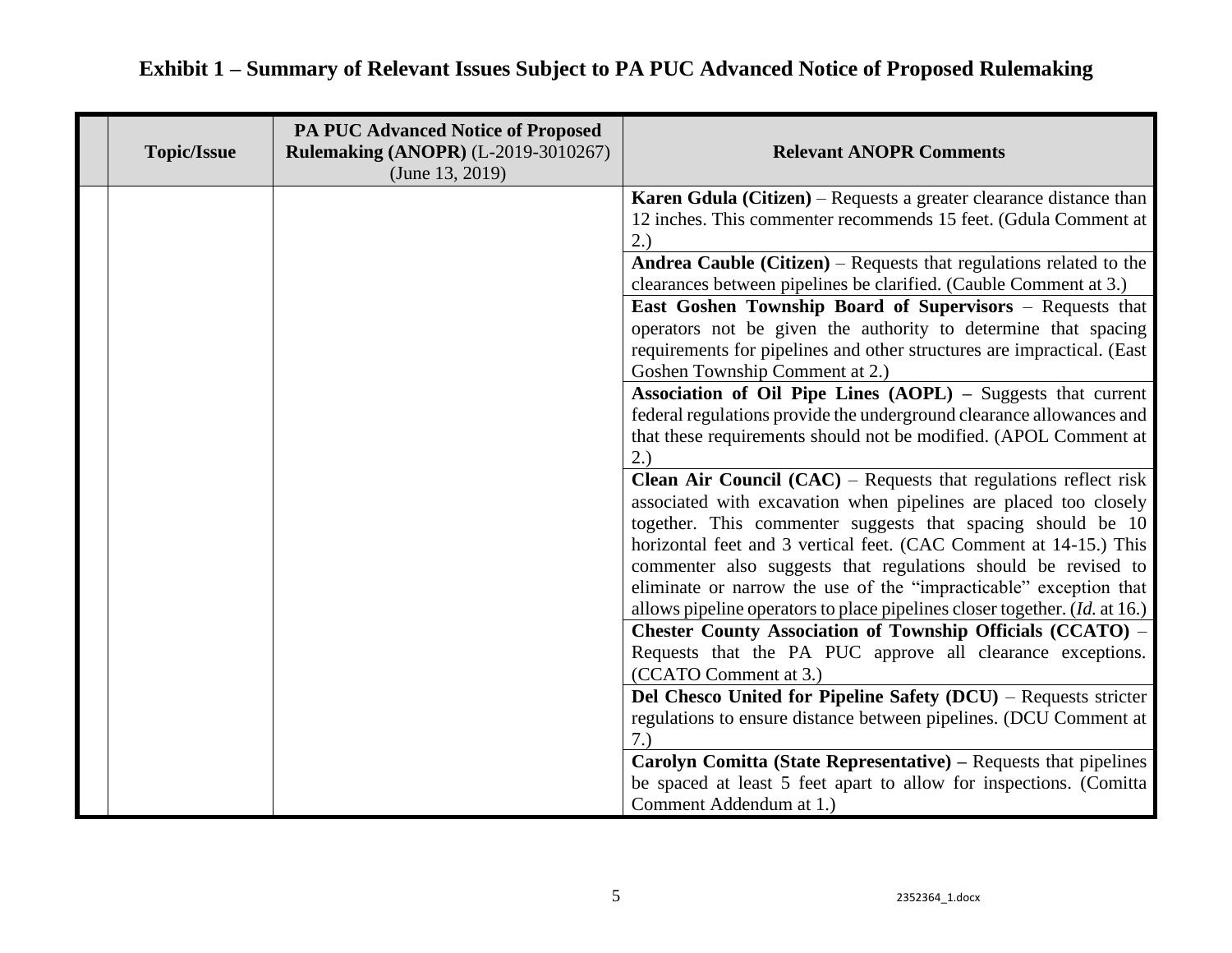| <b>Topic/Issue</b> | <b>PA PUC Advanced Notice of Proposed</b><br><b>Rulemaking (ANOPR) (L-2019-3010267)</b><br>(June $13, 2019$ ) | <b>Relevant ANOPR Comments</b>                                                                                                                                                                                                                                                                                                                                                                                        |
|--------------------|---------------------------------------------------------------------------------------------------------------|-----------------------------------------------------------------------------------------------------------------------------------------------------------------------------------------------------------------------------------------------------------------------------------------------------------------------------------------------------------------------------------------------------------------------|
|                    |                                                                                                               | Karen Gdula (Citizen) – Requests a greater clearance distance than<br>12 inches. This commenter recommends 15 feet. (Gdula Comment at<br>2.)                                                                                                                                                                                                                                                                          |
|                    |                                                                                                               | Andrea Cauble (Citizen) – Requests that regulations related to the<br>clearances between pipelines be clarified. (Cauble Comment at 3.)                                                                                                                                                                                                                                                                               |
|                    |                                                                                                               | <b>East Goshen Township Board of Supervisors - Requests that</b><br>operators not be given the authority to determine that spacing<br>requirements for pipelines and other structures are impractical. (East<br>Goshen Township Comment at 2.)                                                                                                                                                                        |
|                    |                                                                                                               | Association of Oil Pipe Lines (AOPL) - Suggests that current<br>federal regulations provide the underground clearance allowances and<br>that these requirements should not be modified. (APOL Comment at<br>2.)                                                                                                                                                                                                       |
|                    |                                                                                                               | <b>Clean Air Council (CAC)</b> – Requests that regulations reflect risk<br>associated with excavation when pipelines are placed too closely<br>together. This commenter suggests that spacing should be 10<br>horizontal feet and 3 vertical feet. (CAC Comment at 14-15.) This<br>commenter also suggests that regulations should be revised to<br>eliminate or narrow the use of the "impracticable" exception that |
|                    |                                                                                                               | allows pipeline operators to place pipelines closer together. ( <i>Id.</i> at 16.)<br><b>Chester County Association of Township Officials (CCATO) -</b><br>Requests that the PA PUC approve all clearance exceptions.<br>(CCATO Comment at 3.)                                                                                                                                                                        |
|                    |                                                                                                               | Del Chesco United for Pipeline Safety (DCU) - Requests stricter<br>regulations to ensure distance between pipelines. (DCU Comment at<br>7.)                                                                                                                                                                                                                                                                           |
|                    |                                                                                                               | Carolyn Comitta (State Representative) – Requests that pipelines<br>be spaced at least 5 feet apart to allow for inspections. (Comitta<br>Comment Addendum at 1.)                                                                                                                                                                                                                                                     |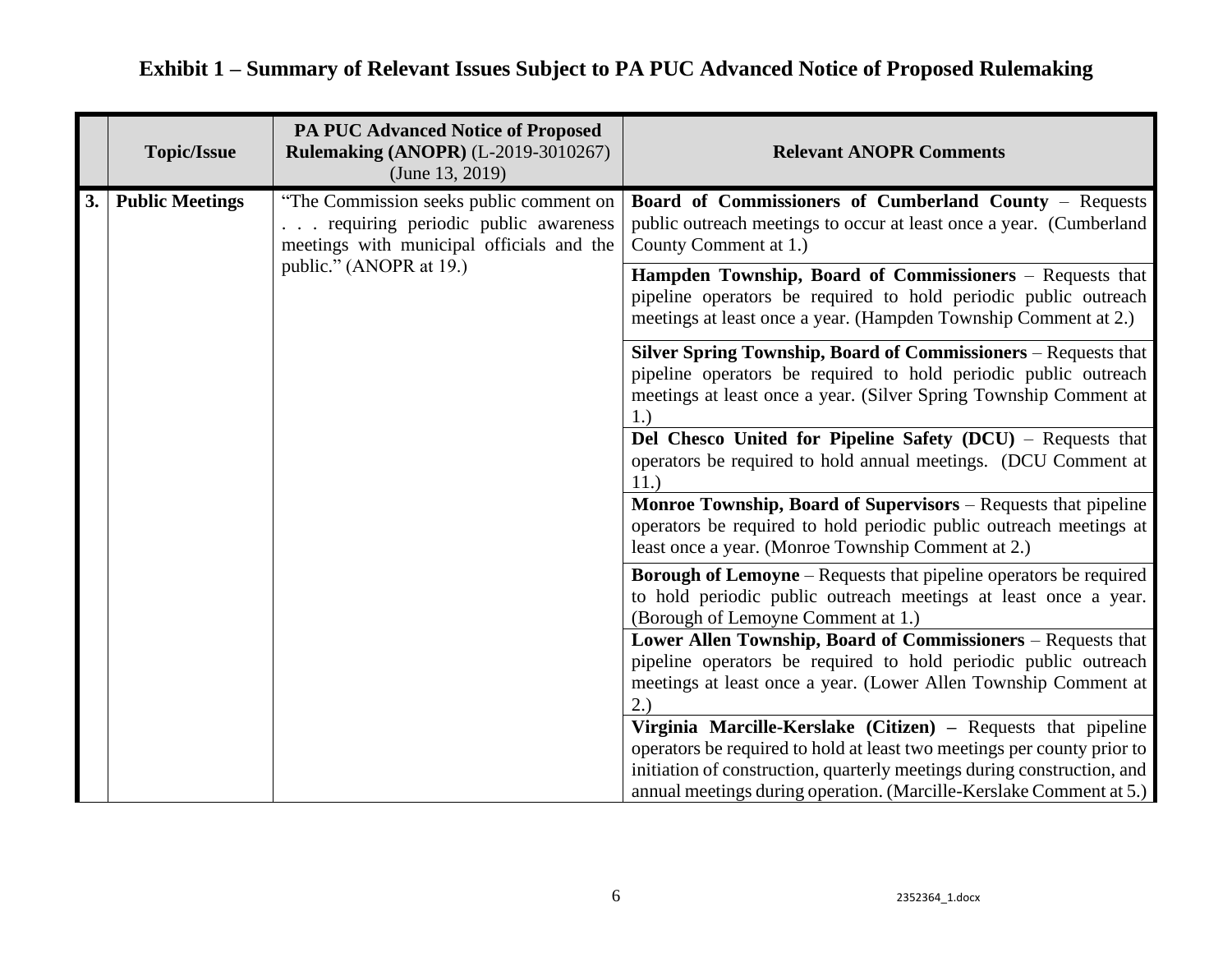|    | <b>Topic/Issue</b>                                                                                                                                    | <b>PA PUC Advanced Notice of Proposed</b><br><b>Rulemaking (ANOPR) (L-2019-3010267)</b><br>(June 13, 2019)                                                    | <b>Relevant ANOPR Comments</b>                                                                                                                                                                                                                                                             |
|----|-------------------------------------------------------------------------------------------------------------------------------------------------------|---------------------------------------------------------------------------------------------------------------------------------------------------------------|--------------------------------------------------------------------------------------------------------------------------------------------------------------------------------------------------------------------------------------------------------------------------------------------|
| 3. | <b>Public Meetings</b><br>"The Commission seeks public comment on<br>requiring periodic public awareness<br>meetings with municipal officials and the | <b>Board of Commissioners of Cumberland County - Requests</b><br>public outreach meetings to occur at least once a year. (Cumberland<br>County Comment at 1.) |                                                                                                                                                                                                                                                                                            |
|    |                                                                                                                                                       | public." (ANOPR at 19.)                                                                                                                                       | Hampden Township, Board of Commissioners – Requests that<br>pipeline operators be required to hold periodic public outreach<br>meetings at least once a year. (Hampden Township Comment at 2.)                                                                                             |
|    |                                                                                                                                                       |                                                                                                                                                               | Silver Spring Township, Board of Commissioners - Requests that<br>pipeline operators be required to hold periodic public outreach<br>meetings at least once a year. (Silver Spring Township Comment at                                                                                     |
|    |                                                                                                                                                       |                                                                                                                                                               | Del Chesco United for Pipeline Safety (DCU) – Requests that<br>operators be required to hold annual meetings. (DCU Comment at<br>11.)                                                                                                                                                      |
|    |                                                                                                                                                       |                                                                                                                                                               | Monroe Township, Board of Supervisors – Requests that pipeline<br>operators be required to hold periodic public outreach meetings at<br>least once a year. (Monroe Township Comment at 2.)                                                                                                 |
|    |                                                                                                                                                       |                                                                                                                                                               | <b>Borough of Lemoyne</b> – Requests that pipeline operators be required<br>to hold periodic public outreach meetings at least once a year.<br>(Borough of Lemoyne Comment at 1.)                                                                                                          |
|    |                                                                                                                                                       |                                                                                                                                                               | Lower Allen Township, Board of Commissioners - Requests that<br>pipeline operators be required to hold periodic public outreach<br>meetings at least once a year. (Lower Allen Township Comment at<br>2.)                                                                                  |
|    |                                                                                                                                                       |                                                                                                                                                               | Virginia Marcille-Kerslake (Citizen) – Requests that pipeline<br>operators be required to hold at least two meetings per county prior to<br>initiation of construction, quarterly meetings during construction, and<br>annual meetings during operation. (Marcille-Kerslake Comment at 5.) |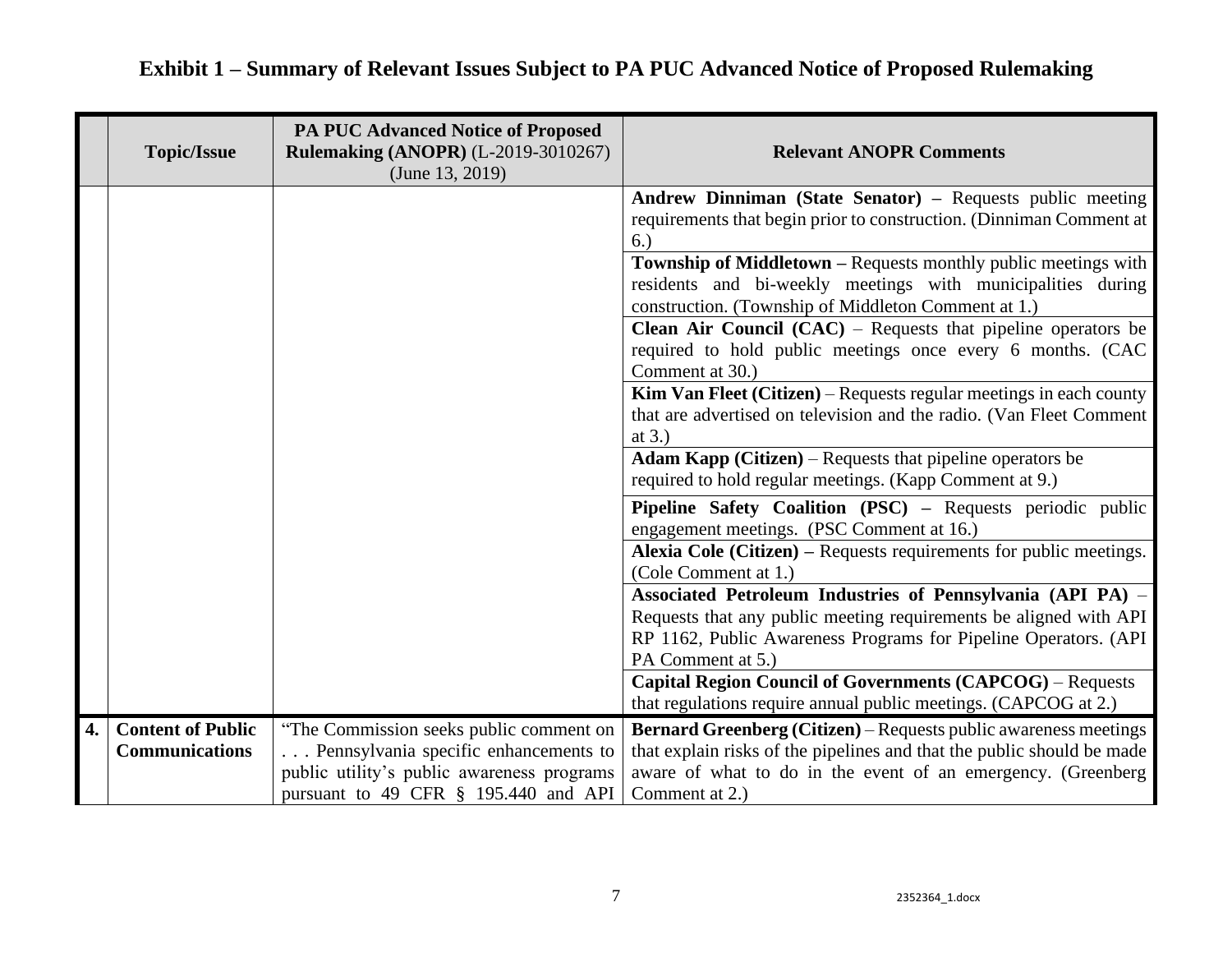|    | <b>Topic/Issue</b>                                | <b>PA PUC Advanced Notice of Proposed</b><br><b>Rulemaking (ANOPR) (L-2019-3010267)</b><br>(June $13, 2019$ )                                                          | <b>Relevant ANOPR Comments</b>                                                                                                                                                                                                      |
|----|---------------------------------------------------|------------------------------------------------------------------------------------------------------------------------------------------------------------------------|-------------------------------------------------------------------------------------------------------------------------------------------------------------------------------------------------------------------------------------|
|    |                                                   |                                                                                                                                                                        | Andrew Dinniman (State Senator) – Requests public meeting<br>requirements that begin prior to construction. (Dinniman Comment at<br>6.)                                                                                             |
|    |                                                   |                                                                                                                                                                        | Township of Middletown - Requests monthly public meetings with<br>residents and bi-weekly meetings with municipalities during<br>construction. (Township of Middleton Comment at 1.)                                                |
|    |                                                   |                                                                                                                                                                        | <b>Clean Air Council (CAC)</b> – Requests that pipeline operators be<br>required to hold public meetings once every 6 months. (CAC<br>Comment at 30.)                                                                               |
|    |                                                   |                                                                                                                                                                        | Kim Van Fleet (Citizen) – Requests regular meetings in each county<br>that are advertised on television and the radio. (Van Fleet Comment<br>at $3.$ )                                                                              |
|    |                                                   |                                                                                                                                                                        | <b>Adam Kapp (Citizen)</b> – Requests that pipeline operators be<br>required to hold regular meetings. (Kapp Comment at 9.)                                                                                                         |
|    |                                                   |                                                                                                                                                                        | <b>Pipeline Safety Coalition (PSC)</b> – Requests periodic public<br>engagement meetings. (PSC Comment at 16.)                                                                                                                      |
|    |                                                   |                                                                                                                                                                        | Alexia Cole (Citizen) – Requests requirements for public meetings.<br>(Cole Comment at 1.)                                                                                                                                          |
|    |                                                   |                                                                                                                                                                        | Associated Petroleum Industries of Pennsylvania (API PA) -<br>Requests that any public meeting requirements be aligned with API<br>RP 1162, Public Awareness Programs for Pipeline Operators. (API<br>PA Comment at 5.)             |
|    |                                                   |                                                                                                                                                                        | <b>Capital Region Council of Governments (CAPCOG)</b> - Requests<br>that regulations require annual public meetings. (CAPCOG at 2.)                                                                                                 |
| 4. | <b>Content of Public</b><br><b>Communications</b> | "The Commission seeks public comment on<br>Pennsylvania specific enhancements to<br>public utility's public awareness programs<br>pursuant to 49 CFR § 195.440 and API | <b>Bernard Greenberg (Citizen)</b> – Requests public awareness meetings<br>that explain risks of the pipelines and that the public should be made<br>aware of what to do in the event of an emergency. (Greenberg<br>Comment at 2.) |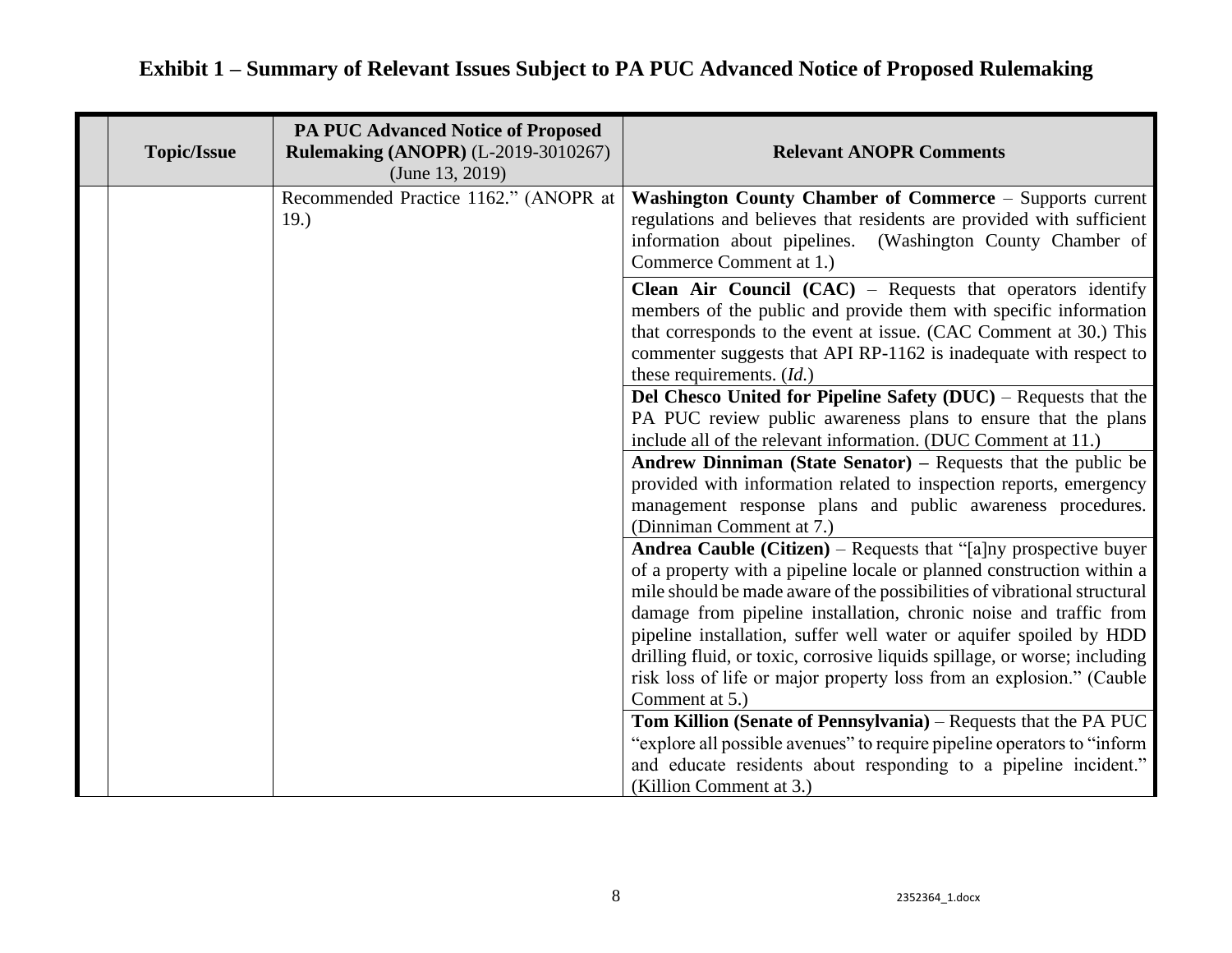| <b>Topic/Issue</b> | <b>PA PUC Advanced Notice of Proposed</b><br><b>Rulemaking (ANOPR) (L-2019-3010267)</b><br>(June 13, 2019) | <b>Relevant ANOPR Comments</b>                                                                                                                                                                                                                                                                                                                                                                                                                                                                                                                                                                                                                                                                                                                                                              |
|--------------------|------------------------------------------------------------------------------------------------------------|---------------------------------------------------------------------------------------------------------------------------------------------------------------------------------------------------------------------------------------------------------------------------------------------------------------------------------------------------------------------------------------------------------------------------------------------------------------------------------------------------------------------------------------------------------------------------------------------------------------------------------------------------------------------------------------------------------------------------------------------------------------------------------------------|
|                    | Recommended Practice 1162." (ANOPR at<br>19.)                                                              | Washington County Chamber of Commerce – Supports current<br>regulations and believes that residents are provided with sufficient<br>information about pipelines. (Washington County Chamber of<br>Commerce Comment at 1.)                                                                                                                                                                                                                                                                                                                                                                                                                                                                                                                                                                   |
|                    |                                                                                                            | <b>Clean Air Council (CAC)</b> – Requests that operators identify<br>members of the public and provide them with specific information<br>that corresponds to the event at issue. (CAC Comment at 30.) This<br>commenter suggests that API RP-1162 is inadequate with respect to<br>these requirements. (Id.)<br>Del Chesco United for Pipeline Safety (DUC) - Requests that the<br>PA PUC review public awareness plans to ensure that the plans<br>include all of the relevant information. (DUC Comment at 11.)<br><b>Andrew Dinniman (State Senator)</b> – Requests that the public be<br>provided with information related to inspection reports, emergency<br>management response plans and public awareness procedures.<br>(Dinniman Comment at 7.)                                   |
|                    |                                                                                                            | <b>Andrea Cauble (Citizen)</b> – Requests that "[a]ny prospective buyer<br>of a property with a pipeline locale or planned construction within a<br>mile should be made aware of the possibilities of vibrational structural<br>damage from pipeline installation, chronic noise and traffic from<br>pipeline installation, suffer well water or aquifer spoiled by HDD<br>drilling fluid, or toxic, corrosive liquids spillage, or worse; including<br>risk loss of life or major property loss from an explosion." (Cauble<br>Comment at 5.)<br>Tom Killion (Senate of Pennsylvania) – Requests that the PA PUC<br>"explore all possible avenues" to require pipeline operators to "inform"<br>and educate residents about responding to a pipeline incident."<br>(Killion Comment at 3.) |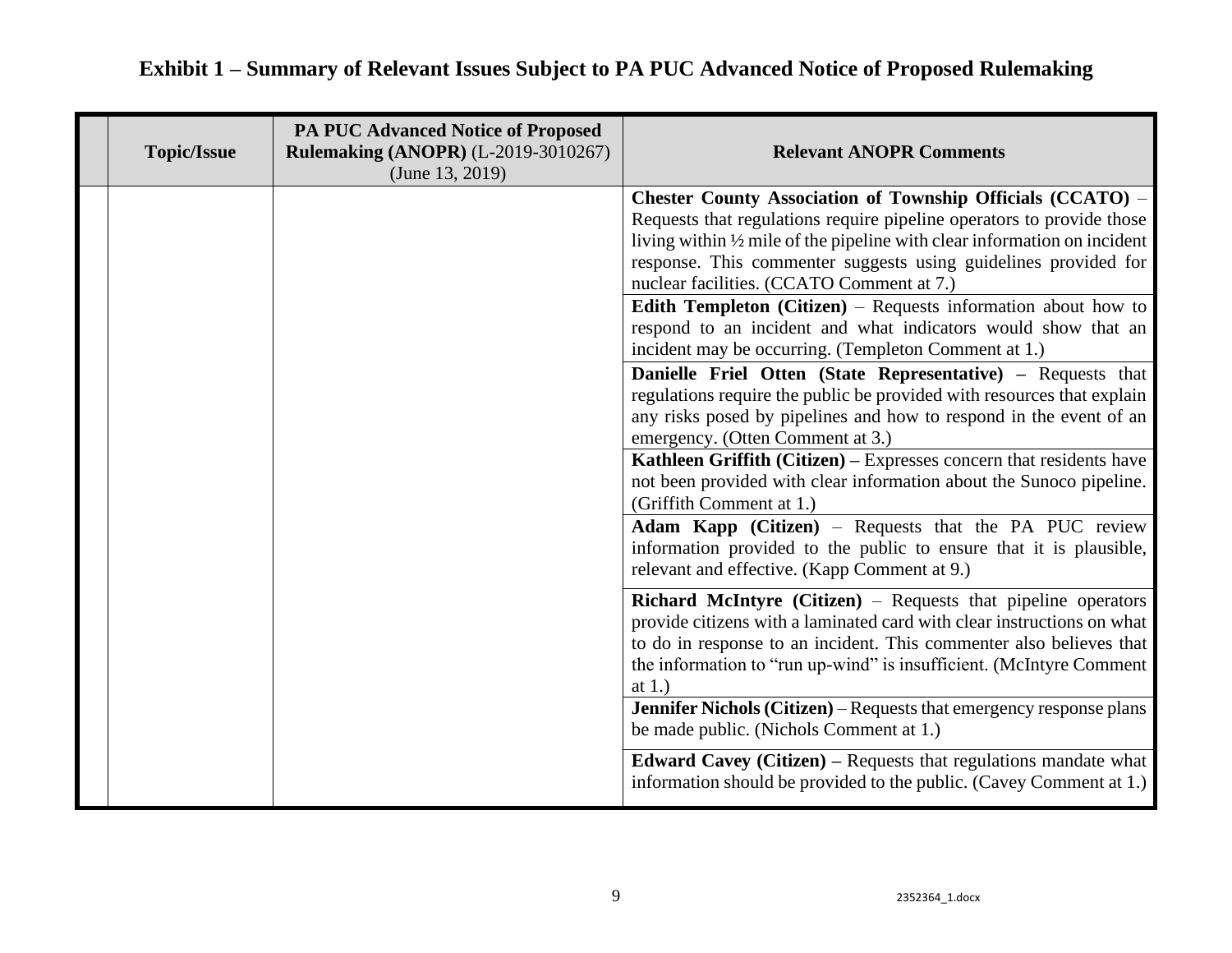## **Topic/Issue PA PUC Advanced Notice of Proposed Rulemaking (ANOPR)** (L-2019-3010267) (June 13, 2019) **Relevant ANOPR Comments Chester County Association of Township Officials (CCATO)** – Requests that regulations require pipeline operators to provide those living within ½ mile of the pipeline with clear information on incident response. This commenter suggests using guidelines provided for nuclear facilities. (CCATO Comment at 7.) **Edith Templeton (Citizen)** – Requests information about how to respond to an incident and what indicators would show that an incident may be occurring. (Templeton Comment at 1.) **Danielle Friel Otten (State Representative) –** Requests that regulations require the public be provided with resources that explain any risks posed by pipelines and how to respond in the event of an emergency. (Otten Comment at 3.) **Kathleen Griffith (Citizen) –** Expresses concern that residents have not been provided with clear information about the Sunoco pipeline. (Griffith Comment at 1.) **Adam Kapp (Citizen)** – Requests that the PA PUC review information provided to the public to ensure that it is plausible, relevant and effective. (Kapp Comment at 9.) **Richard McIntyre (Citizen)** – Requests that pipeline operators provide citizens with a laminated card with clear instructions on what to do in response to an incident. This commenter also believes that the information to "run up-wind" is insufficient. (McIntyre Comment at 1.) **Jennifer Nichols (Citizen)** – Requests that emergency response plans be made public. (Nichols Comment at 1.) **Edward Cavey (Citizen)** – Requests that regulations mandate what information should be provided to the public. (Cavey Comment at 1.)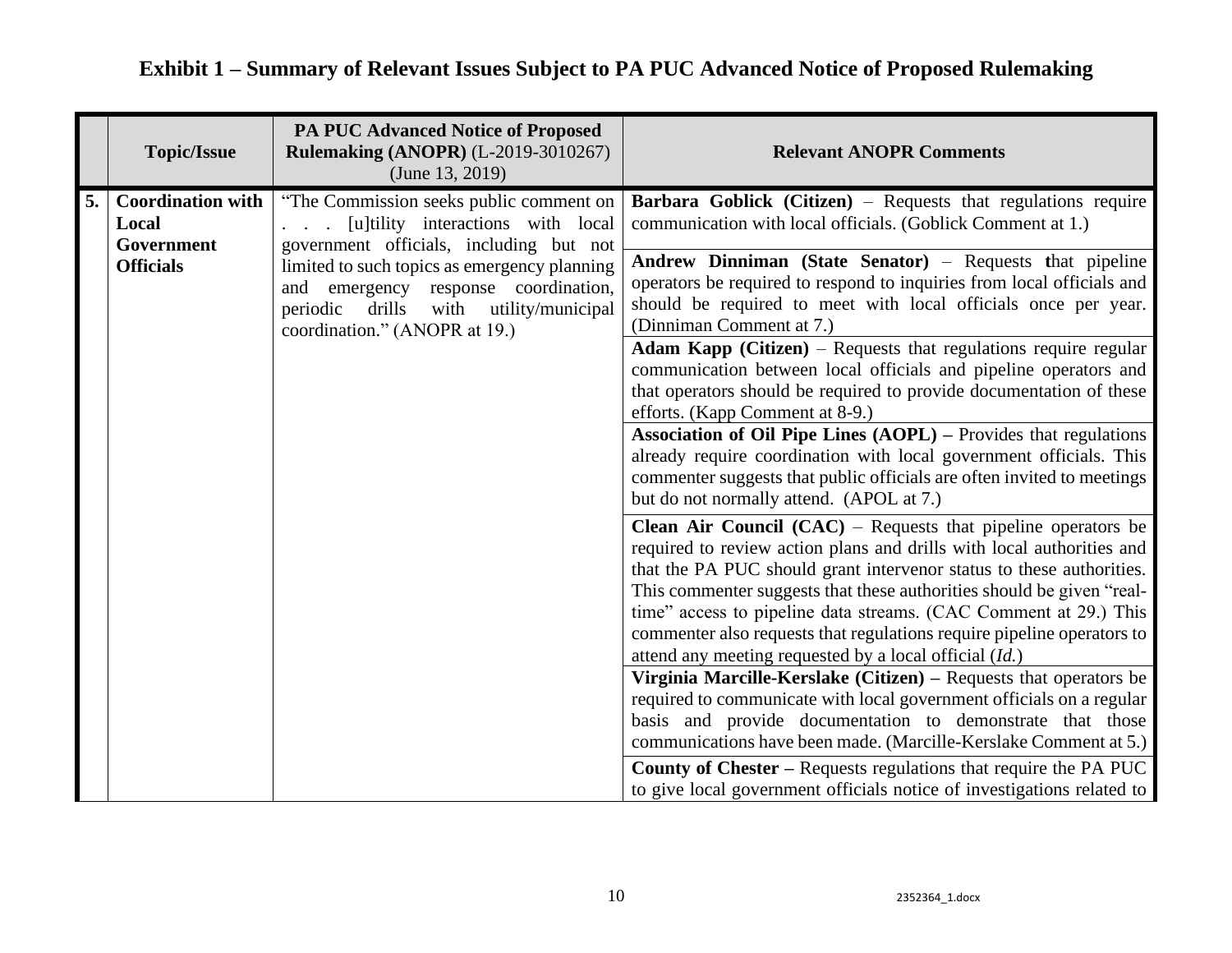| <b>Topic/Issue</b>                                                        | <b>PA PUC Advanced Notice of Proposed</b><br><b>Rulemaking (ANOPR) (L-2019-3010267)</b><br>(June 13, 2019)                                                                                                                                                                                                         | <b>Relevant ANOPR Comments</b>                                                                                                                                                                                                                                                                                                                                                                                                                                                                                                                                                                                                                                                                                                                                                                                                                                                                                                                                                                                                                                                                                                                                                                                                                                                                                                                                                                                                                                                                                                                                                                                                                                                                                                                                                                                                               |
|---------------------------------------------------------------------------|--------------------------------------------------------------------------------------------------------------------------------------------------------------------------------------------------------------------------------------------------------------------------------------------------------------------|----------------------------------------------------------------------------------------------------------------------------------------------------------------------------------------------------------------------------------------------------------------------------------------------------------------------------------------------------------------------------------------------------------------------------------------------------------------------------------------------------------------------------------------------------------------------------------------------------------------------------------------------------------------------------------------------------------------------------------------------------------------------------------------------------------------------------------------------------------------------------------------------------------------------------------------------------------------------------------------------------------------------------------------------------------------------------------------------------------------------------------------------------------------------------------------------------------------------------------------------------------------------------------------------------------------------------------------------------------------------------------------------------------------------------------------------------------------------------------------------------------------------------------------------------------------------------------------------------------------------------------------------------------------------------------------------------------------------------------------------------------------------------------------------------------------------------------------------|
| <b>Coordination with</b><br>5.<br>Local<br>Government<br><b>Officials</b> | "The Commission seeks public comment on<br>[u]tility interactions with local<br>$\mathbb{R}^n$<br>government officials, including but not<br>limited to such topics as emergency planning<br>and emergency response coordination,<br>drills<br>with utility/municipal<br>periodic<br>coordination." (ANOPR at 19.) | <b>Barbara Goblick (Citizen)</b> – Requests that regulations require<br>communication with local officials. (Goblick Comment at 1.)<br>Andrew Dinniman (State Senator) - Requests that pipeline<br>operators be required to respond to inquiries from local officials and<br>should be required to meet with local officials once per year.<br>(Dinniman Comment at 7.)<br>Adam Kapp (Citizen) - Requests that regulations require regular<br>communication between local officials and pipeline operators and<br>that operators should be required to provide documentation of these<br>efforts. (Kapp Comment at 8-9.)<br><b>Association of Oil Pipe Lines (AOPL)</b> – Provides that regulations<br>already require coordination with local government officials. This<br>commenter suggests that public officials are often invited to meetings<br>but do not normally attend. (APOL at 7.)<br><b>Clean Air Council (CAC)</b> – Requests that pipeline operators be<br>required to review action plans and drills with local authorities and<br>that the PA PUC should grant intervenor status to these authorities.<br>This commenter suggests that these authorities should be given "real-<br>time" access to pipeline data streams. (CAC Comment at 29.) This<br>commenter also requests that regulations require pipeline operators to<br>attend any meeting requested by a local official (Id.)<br>Virginia Marcille-Kerslake (Citizen) – Requests that operators be<br>required to communicate with local government officials on a regular<br>basis and provide documentation to demonstrate that those<br>communications have been made. (Marcille-Kerslake Comment at 5.)<br><b>County of Chester – Requests regulations that require the PA PUC</b><br>to give local government officials notice of investigations related to |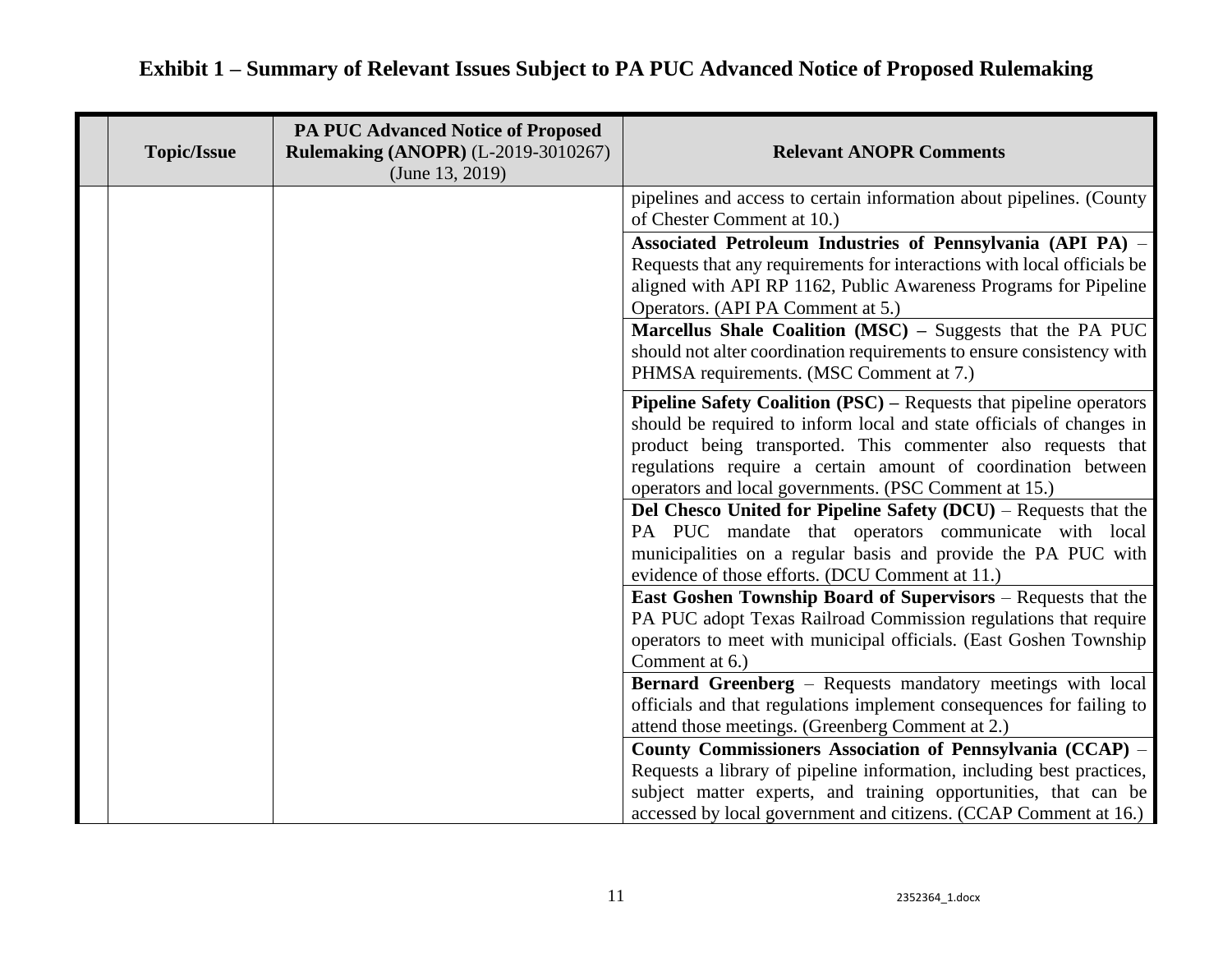| <b>Topic/Issue</b> | <b>PA PUC Advanced Notice of Proposed</b><br><b>Rulemaking (ANOPR) (L-2019-3010267)</b><br>(June 13, 2019) | <b>Relevant ANOPR Comments</b>                                                                                                                                                                                                                                                                                                             |
|--------------------|------------------------------------------------------------------------------------------------------------|--------------------------------------------------------------------------------------------------------------------------------------------------------------------------------------------------------------------------------------------------------------------------------------------------------------------------------------------|
|                    |                                                                                                            | pipelines and access to certain information about pipelines. (County<br>of Chester Comment at 10.)                                                                                                                                                                                                                                         |
|                    |                                                                                                            | Associated Petroleum Industries of Pennsylvania (API PA) -<br>Requests that any requirements for interactions with local officials be<br>aligned with API RP 1162, Public Awareness Programs for Pipeline<br>Operators. (API PA Comment at 5.)                                                                                             |
|                    |                                                                                                            | Marcellus Shale Coalition (MSC) - Suggests that the PA PUC<br>should not alter coordination requirements to ensure consistency with<br>PHMSA requirements. (MSC Comment at 7.)                                                                                                                                                             |
|                    |                                                                                                            | <b>Pipeline Safety Coalition (PSC)</b> – Requests that pipeline operators<br>should be required to inform local and state officials of changes in<br>product being transported. This commenter also requests that<br>regulations require a certain amount of coordination between<br>operators and local governments. (PSC Comment at 15.) |
|                    |                                                                                                            | Del Chesco United for Pipeline Safety (DCU) – Requests that the<br>PA PUC mandate that operators communicate with local<br>municipalities on a regular basis and provide the PA PUC with<br>evidence of those efforts. (DCU Comment at 11.)                                                                                                |
|                    |                                                                                                            | <b>East Goshen Township Board of Supervisors</b> – Requests that the<br>PA PUC adopt Texas Railroad Commission regulations that require<br>operators to meet with municipal officials. (East Goshen Township<br>Comment at 6.)                                                                                                             |
|                    |                                                                                                            | Bernard Greenberg - Requests mandatory meetings with local<br>officials and that regulations implement consequences for failing to<br>attend those meetings. (Greenberg Comment at 2.)                                                                                                                                                     |
|                    |                                                                                                            | County Commissioners Association of Pennsylvania (CCAP) –<br>Requests a library of pipeline information, including best practices,<br>subject matter experts, and training opportunities, that can be<br>accessed by local government and citizens. (CCAP Comment at 16.)                                                                  |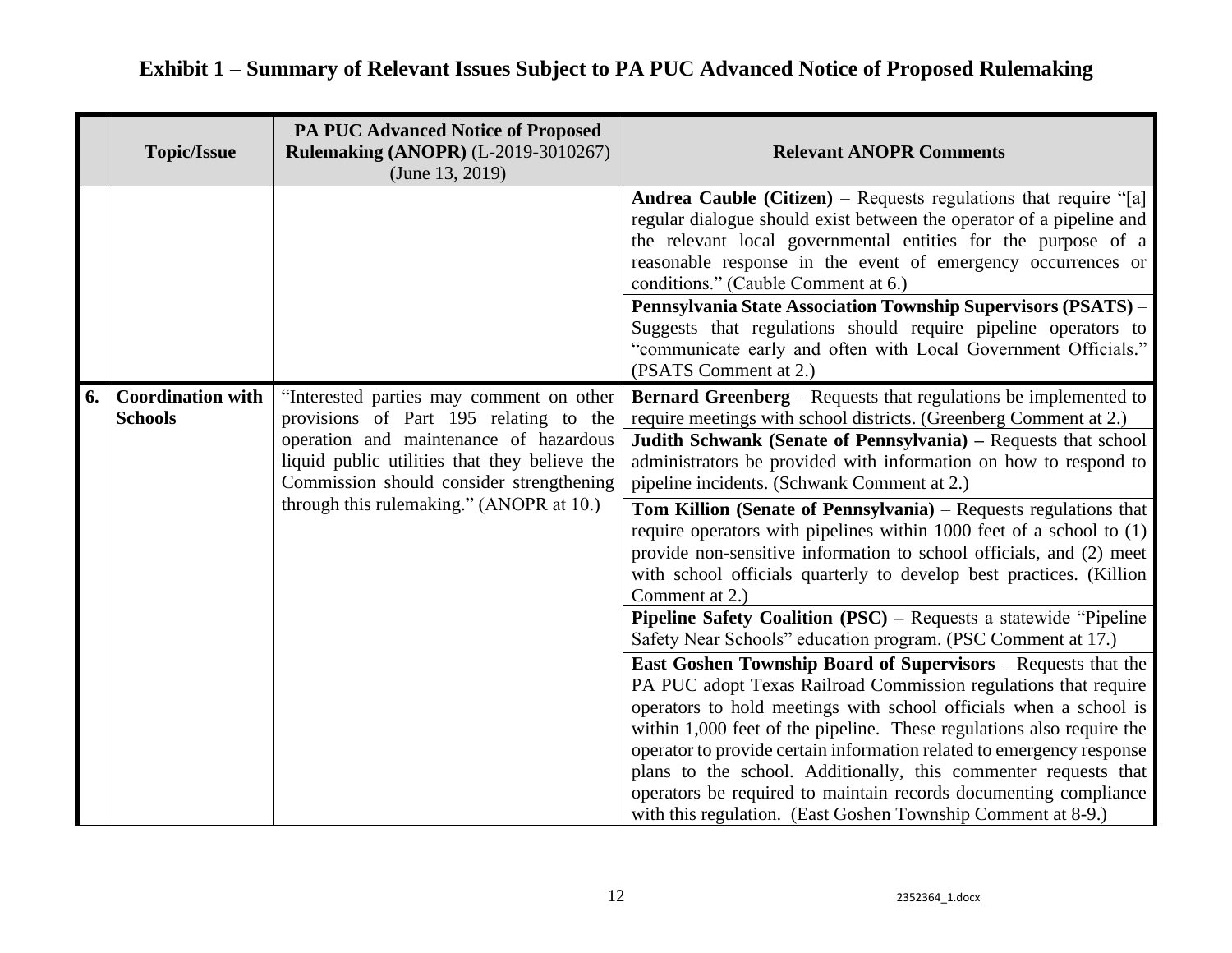|    | <b>Topic/Issue</b>                         | <b>PA PUC Advanced Notice of Proposed</b><br><b>Rulemaking (ANOPR) (L-2019-3010267)</b><br>(June $13, 2019$ )                                                                                                                                                         | <b>Relevant ANOPR Comments</b>                                                                                                                                                                                                                                                                                                                                                                                                                                                                                                                                                                                                                                                                                    |
|----|--------------------------------------------|-----------------------------------------------------------------------------------------------------------------------------------------------------------------------------------------------------------------------------------------------------------------------|-------------------------------------------------------------------------------------------------------------------------------------------------------------------------------------------------------------------------------------------------------------------------------------------------------------------------------------------------------------------------------------------------------------------------------------------------------------------------------------------------------------------------------------------------------------------------------------------------------------------------------------------------------------------------------------------------------------------|
|    |                                            |                                                                                                                                                                                                                                                                       | <b>Andrea Cauble (Citizen)</b> – Requests regulations that require "[a]<br>regular dialogue should exist between the operator of a pipeline and<br>the relevant local governmental entities for the purpose of a<br>reasonable response in the event of emergency occurrences or<br>conditions." (Cauble Comment at 6.)<br>Pennsylvania State Association Township Supervisors (PSATS) -<br>Suggests that regulations should require pipeline operators to<br>"communicate early and often with Local Government Officials."<br>(PSATS Comment at 2.)                                                                                                                                                             |
| 6. | <b>Coordination with</b><br><b>Schools</b> | "Interested parties may comment on other<br>provisions of Part 195 relating to the<br>operation and maintenance of hazardous<br>liquid public utilities that they believe the<br>Commission should consider strengthening<br>through this rulemaking." (ANOPR at 10.) | <b>Bernard Greenberg</b> – Requests that regulations be implemented to<br>require meetings with school districts. (Greenberg Comment at 2.)<br>Judith Schwank (Senate of Pennsylvania) - Requests that school<br>administrators be provided with information on how to respond to<br>pipeline incidents. (Schwank Comment at 2.)<br>Tom Killion (Senate of Pennsylvania) – Requests regulations that<br>require operators with pipelines within 1000 feet of a school to (1)<br>provide non-sensitive information to school officials, and (2) meet<br>with school officials quarterly to develop best practices. (Killion<br>Comment at 2.)                                                                      |
|    |                                            |                                                                                                                                                                                                                                                                       | <b>Pipeline Safety Coalition (PSC) – Requests a statewide "Pipeline"</b><br>Safety Near Schools" education program. (PSC Comment at 17.)<br><b>East Goshen Township Board of Supervisors</b> – Requests that the<br>PA PUC adopt Texas Railroad Commission regulations that require<br>operators to hold meetings with school officials when a school is<br>within 1,000 feet of the pipeline. These regulations also require the<br>operator to provide certain information related to emergency response<br>plans to the school. Additionally, this commenter requests that<br>operators be required to maintain records documenting compliance<br>with this regulation. (East Goshen Township Comment at 8-9.) |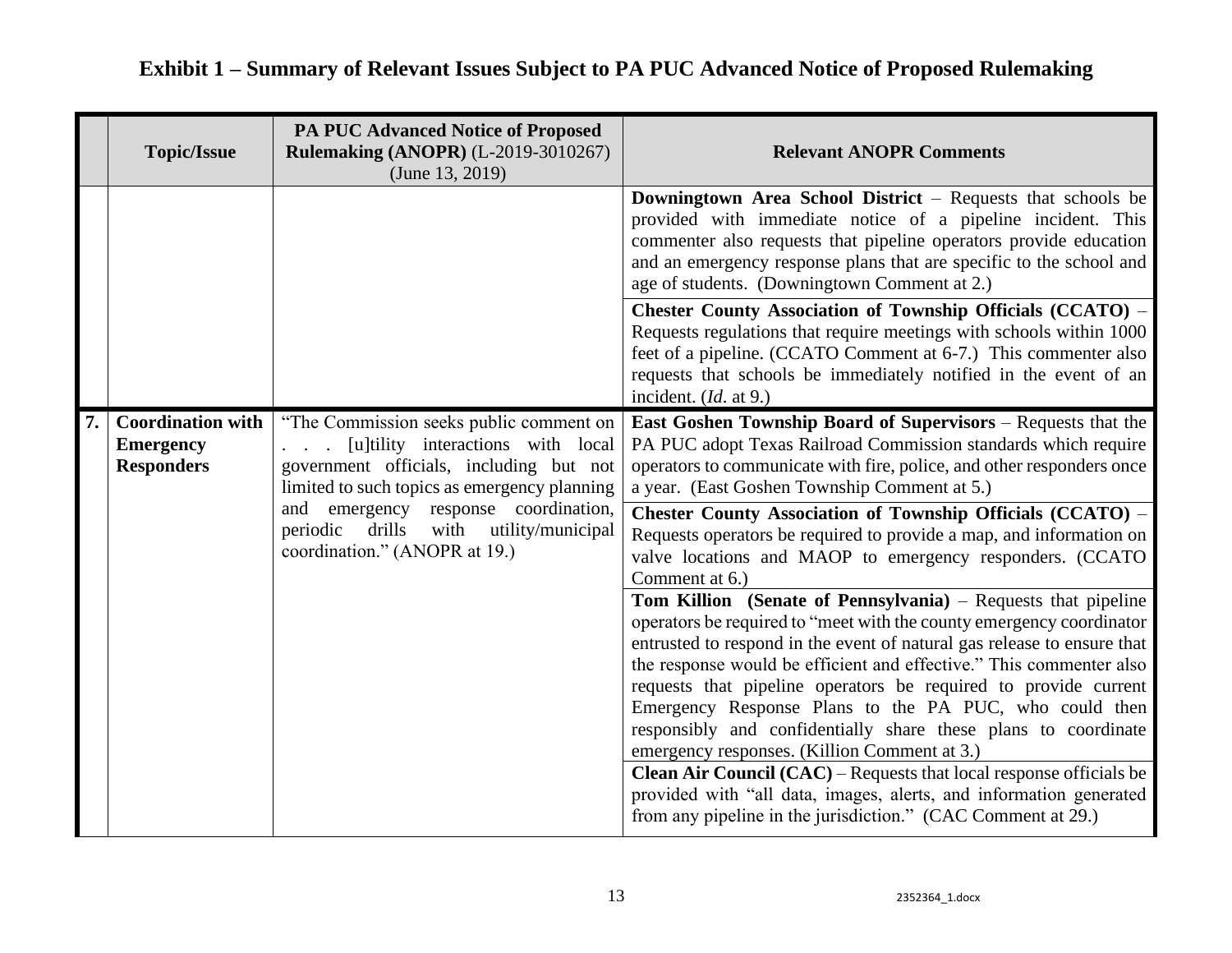| <b>Topic/Issue</b>                                                                                                                                                                                | <b>PA PUC Advanced Notice of Proposed</b><br><b>Rulemaking (ANOPR) (L-2019-3010267)</b><br>(June $13, 2019$ )                                                           | <b>Relevant ANOPR Comments</b>                                                                                                                                                                                                                                                                                                                                                                                                                                                                                                                                                                                                                                                                                                                      |
|---------------------------------------------------------------------------------------------------------------------------------------------------------------------------------------------------|-------------------------------------------------------------------------------------------------------------------------------------------------------------------------|-----------------------------------------------------------------------------------------------------------------------------------------------------------------------------------------------------------------------------------------------------------------------------------------------------------------------------------------------------------------------------------------------------------------------------------------------------------------------------------------------------------------------------------------------------------------------------------------------------------------------------------------------------------------------------------------------------------------------------------------------------|
|                                                                                                                                                                                                   |                                                                                                                                                                         | Downingtown Area School District – Requests that schools be<br>provided with immediate notice of a pipeline incident. This<br>commenter also requests that pipeline operators provide education<br>and an emergency response plans that are specific to the school and<br>age of students. (Downingtown Comment at 2.)                                                                                                                                                                                                                                                                                                                                                                                                                              |
|                                                                                                                                                                                                   |                                                                                                                                                                         | <b>Chester County Association of Township Officials (CCATO) -</b><br>Requests regulations that require meetings with schools within 1000<br>feet of a pipeline. (CCATO Comment at 6-7.) This commenter also<br>requests that schools be immediately notified in the event of an<br>incident. (Id. at 9.)                                                                                                                                                                                                                                                                                                                                                                                                                                            |
| <b>Coordination with</b><br><b>Emergency</b><br>$\overline{a}$ $\overline{a}$<br><b>Responders</b><br>and emergency response coordination,<br>drills<br>periodic<br>coordination." (ANOPR at 19.) | "The Commission seeks public comment on<br>[u]tility interactions with local<br>government officials, including but not<br>limited to such topics as emergency planning | <b>East Goshen Township Board of Supervisors</b> – Requests that the<br>PA PUC adopt Texas Railroad Commission standards which require<br>operators to communicate with fire, police, and other responders once<br>a year. (East Goshen Township Comment at 5.)                                                                                                                                                                                                                                                                                                                                                                                                                                                                                     |
|                                                                                                                                                                                                   | with utility/municipal                                                                                                                                                  | <b>Chester County Association of Township Officials (CCATO) -</b><br>Requests operators be required to provide a map, and information on<br>valve locations and MAOP to emergency responders. (CCATO<br>Comment at 6.)                                                                                                                                                                                                                                                                                                                                                                                                                                                                                                                              |
|                                                                                                                                                                                                   |                                                                                                                                                                         | Tom Killion (Senate of Pennsylvania) – Requests that pipeline<br>operators be required to "meet with the county emergency coordinator<br>entrusted to respond in the event of natural gas release to ensure that<br>the response would be efficient and effective." This commenter also<br>requests that pipeline operators be required to provide current<br>Emergency Response Plans to the PA PUC, who could then<br>responsibly and confidentially share these plans to coordinate<br>emergency responses. (Killion Comment at 3.)<br>Clean Air Council (CAC) - Requests that local response officials be<br>provided with "all data, images, alerts, and information generated<br>from any pipeline in the jurisdiction." (CAC Comment at 29.) |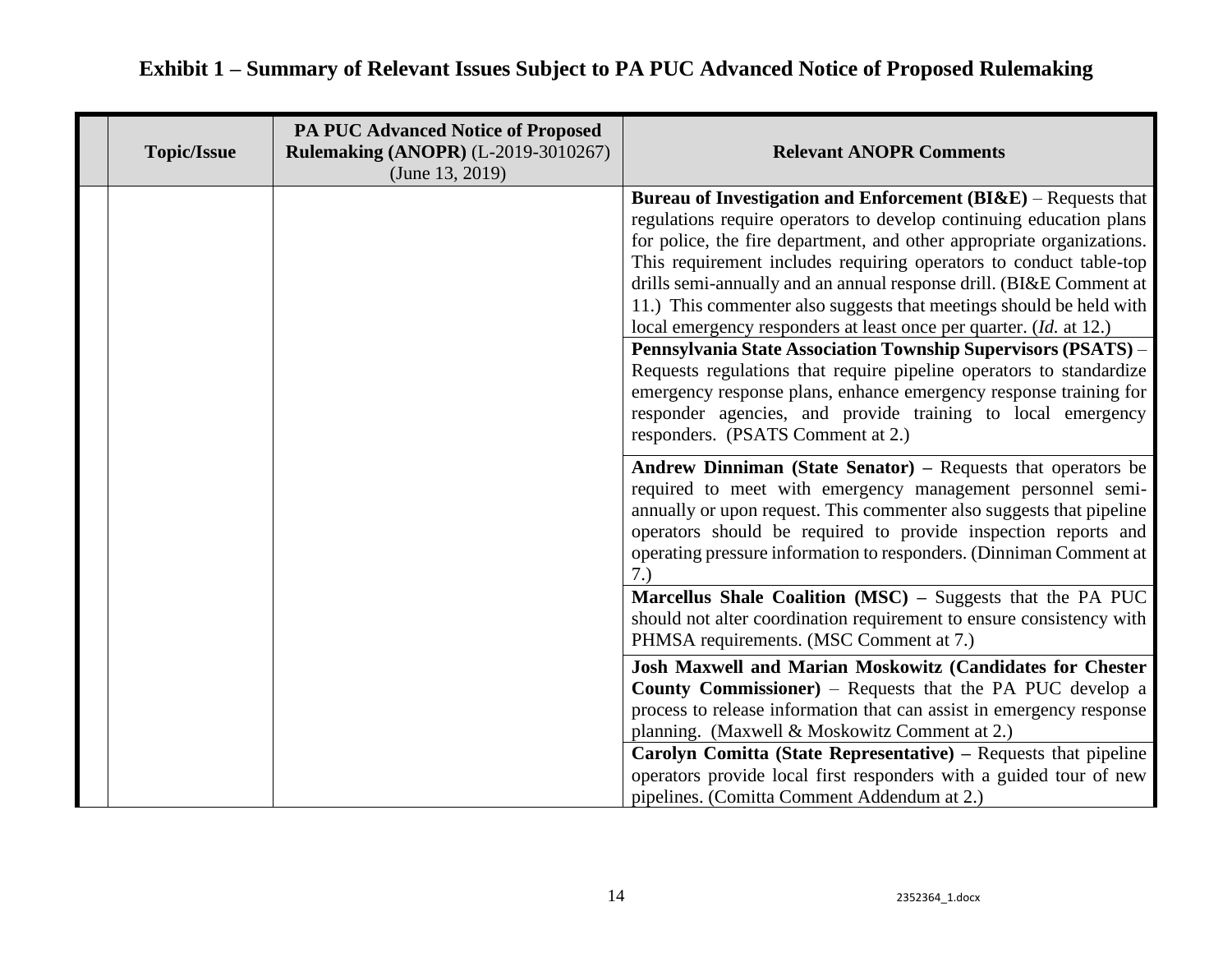### **Topic/Issue PA PUC Advanced Notice of Proposed Rulemaking (ANOPR)** (L-2019-3010267) (June 13, 2019) **Relevant ANOPR Comments Bureau of Investigation and Enforcement (BI&E)** – Requests that regulations require operators to develop continuing education plans for police, the fire department, and other appropriate organizations. This requirement includes requiring operators to conduct table-top drills semi-annually and an annual response drill. (BI&E Comment at 11.) This commenter also suggests that meetings should be held with local emergency responders at least once per quarter. (*Id.* at 12.) **Pennsylvania State Association Township Supervisors (PSATS)** – Requests regulations that require pipeline operators to standardize emergency response plans, enhance emergency response training for responder agencies, and provide training to local emergency responders. (PSATS Comment at 2.) **Andrew Dinniman (State Senator) –** Requests that operators be required to meet with emergency management personnel semiannually or upon request. This commenter also suggests that pipeline operators should be required to provide inspection reports and operating pressure information to responders. (Dinniman Comment at 7.) **Marcellus Shale Coalition (MSC) –** Suggests that the PA PUC should not alter coordination requirement to ensure consistency with PHMSA requirements. (MSC Comment at 7.) **Josh Maxwell and Marian Moskowitz (Candidates for Chester County Commissioner)** – Requests that the PA PUC develop a process to release information that can assist in emergency response planning. (Maxwell & Moskowitz Comment at 2.) **Carolyn Comitta (State Representative) –** Requests that pipeline operators provide local first responders with a guided tour of new pipelines. (Comitta Comment Addendum at 2.)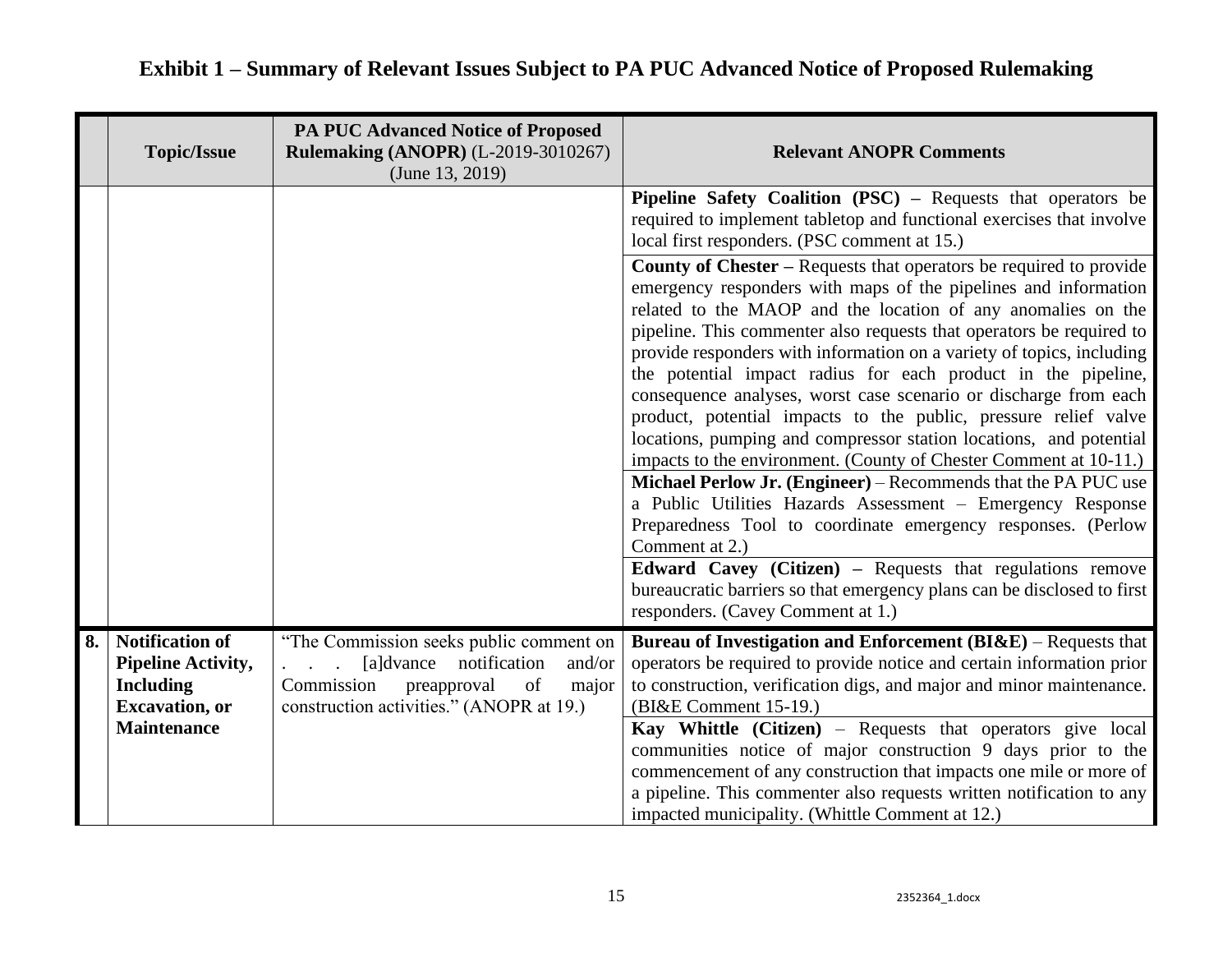|    | <b>Topic/Issue</b>                                                                                                      | <b>PA PUC Advanced Notice of Proposed</b><br><b>Rulemaking (ANOPR) (L-2019-3010267)</b><br>(June 13, 2019)                                                          | <b>Relevant ANOPR Comments</b>                                                                                                                                                                                                                                                                                                                                                                                                                                                                                                                                                                                                                                                                                                                                                                                                                                                                                                     |
|----|-------------------------------------------------------------------------------------------------------------------------|---------------------------------------------------------------------------------------------------------------------------------------------------------------------|------------------------------------------------------------------------------------------------------------------------------------------------------------------------------------------------------------------------------------------------------------------------------------------------------------------------------------------------------------------------------------------------------------------------------------------------------------------------------------------------------------------------------------------------------------------------------------------------------------------------------------------------------------------------------------------------------------------------------------------------------------------------------------------------------------------------------------------------------------------------------------------------------------------------------------|
|    |                                                                                                                         |                                                                                                                                                                     | <b>Pipeline Safety Coalition (PSC)</b> – Requests that operators be<br>required to implement tabletop and functional exercises that involve<br>local first responders. (PSC comment at 15.)                                                                                                                                                                                                                                                                                                                                                                                                                                                                                                                                                                                                                                                                                                                                        |
|    |                                                                                                                         |                                                                                                                                                                     | <b>County of Chester – Requests that operators be required to provide</b><br>emergency responders with maps of the pipelines and information<br>related to the MAOP and the location of any anomalies on the<br>pipeline. This commenter also requests that operators be required to<br>provide responders with information on a variety of topics, including<br>the potential impact radius for each product in the pipeline,<br>consequence analyses, worst case scenario or discharge from each<br>product, potential impacts to the public, pressure relief valve<br>locations, pumping and compressor station locations, and potential<br>impacts to the environment. (County of Chester Comment at 10-11.)<br>Michael Perlow Jr. (Engineer) – Recommends that the PA PUC use<br>a Public Utilities Hazards Assessment - Emergency Response<br>Preparedness Tool to coordinate emergency responses. (Perlow<br>Comment at 2.) |
|    |                                                                                                                         |                                                                                                                                                                     | Edward Cavey (Citizen) - Requests that regulations remove<br>bureaucratic barriers so that emergency plans can be disclosed to first<br>responders. (Cavey Comment at 1.)                                                                                                                                                                                                                                                                                                                                                                                                                                                                                                                                                                                                                                                                                                                                                          |
| 8. | <b>Notification of</b><br><b>Pipeline Activity,</b><br><b>Including</b><br><b>Excavation</b> , or<br><b>Maintenance</b> | "The Commission seeks public comment on<br>[a]dvance notification<br>and/or<br>Commission<br>preapproval<br>of<br>major<br>construction activities." (ANOPR at 19.) | <b>Bureau of Investigation and Enforcement (BI&amp;E)</b> – Requests that<br>operators be required to provide notice and certain information prior<br>to construction, verification digs, and major and minor maintenance.<br>(BI&E Comment 15-19.)<br>Kay Whittle (Citizen) – Requests that operators give local<br>communities notice of major construction 9 days prior to the<br>commencement of any construction that impacts one mile or more of<br>a pipeline. This commenter also requests written notification to any<br>impacted municipality. (Whittle Comment at 12.)                                                                                                                                                                                                                                                                                                                                                  |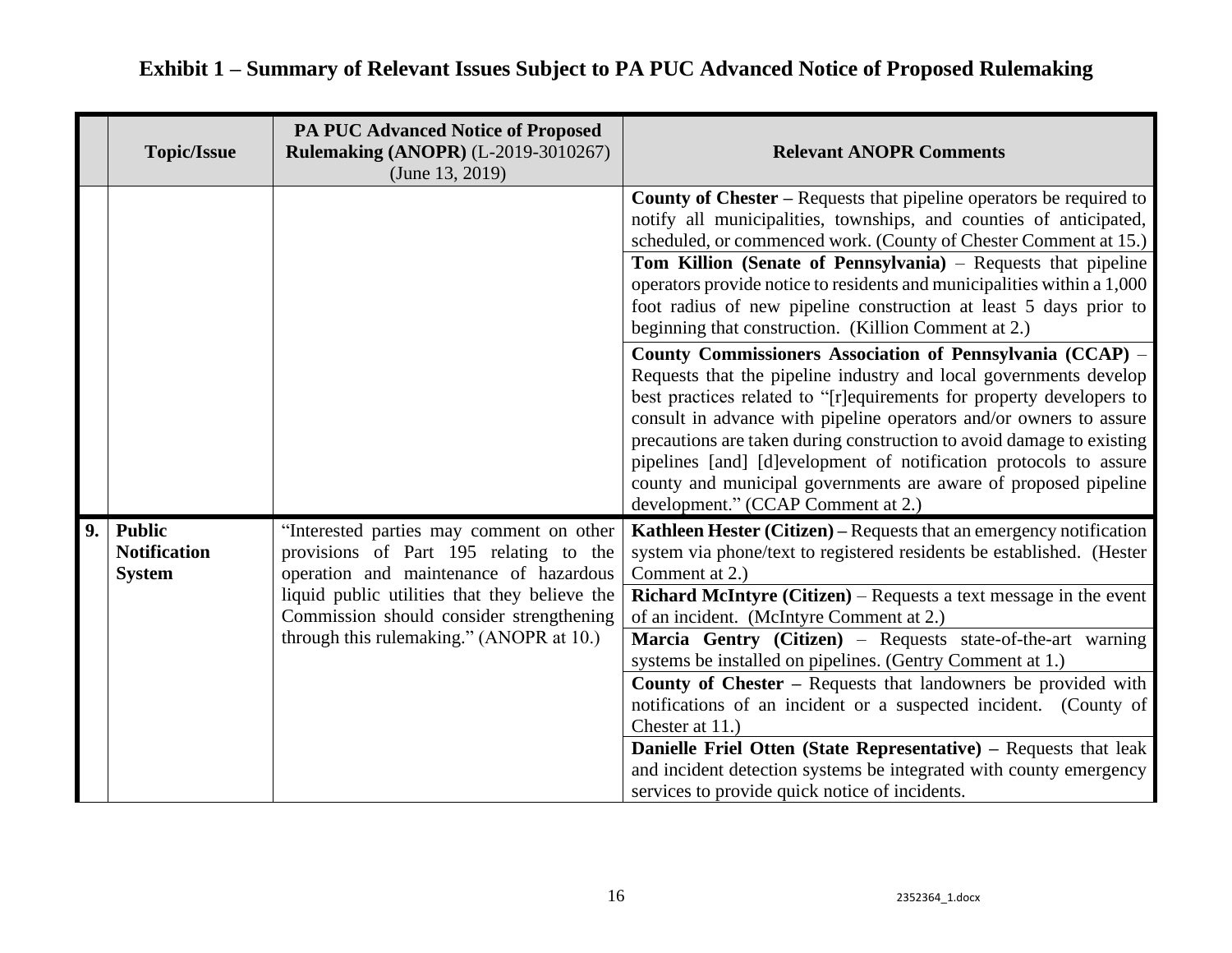|    | <b>Topic/Issue</b>                                    | <b>PA PUC Advanced Notice of Proposed</b><br><b>Rulemaking (ANOPR) (L-2019-3010267)</b><br>(June 13, 2019)                                                                                                                                                            | <b>Relevant ANOPR Comments</b>                                                                                                                                                                                                                                                                                                                                                                                                                                                                                                                                                                                                                                                                                                                                                                                                                                                                                                                                                                                                        |
|----|-------------------------------------------------------|-----------------------------------------------------------------------------------------------------------------------------------------------------------------------------------------------------------------------------------------------------------------------|---------------------------------------------------------------------------------------------------------------------------------------------------------------------------------------------------------------------------------------------------------------------------------------------------------------------------------------------------------------------------------------------------------------------------------------------------------------------------------------------------------------------------------------------------------------------------------------------------------------------------------------------------------------------------------------------------------------------------------------------------------------------------------------------------------------------------------------------------------------------------------------------------------------------------------------------------------------------------------------------------------------------------------------|
|    |                                                       |                                                                                                                                                                                                                                                                       | <b>County of Chester – Requests that pipeline operators be required to</b><br>notify all municipalities, townships, and counties of anticipated,<br>scheduled, or commenced work. (County of Chester Comment at 15.)<br>Tom Killion (Senate of Pennsylvania) – Requests that pipeline<br>operators provide notice to residents and municipalities within a 1,000<br>foot radius of new pipeline construction at least 5 days prior to<br>beginning that construction. (Killion Comment at 2.)<br>County Commissioners Association of Pennsylvania (CCAP) –<br>Requests that the pipeline industry and local governments develop<br>best practices related to "[r] equirements for property developers to<br>consult in advance with pipeline operators and/or owners to assure<br>precautions are taken during construction to avoid damage to existing<br>pipelines [and] [d]evelopment of notification protocols to assure<br>county and municipal governments are aware of proposed pipeline<br>development." (CCAP Comment at 2.) |
| 9. | <b>Public</b><br><b>Notification</b><br><b>System</b> | "Interested parties may comment on other<br>provisions of Part 195 relating to the<br>operation and maintenance of hazardous<br>liquid public utilities that they believe the<br>Commission should consider strengthening<br>through this rulemaking." (ANOPR at 10.) | Kathleen Hester (Citizen) – Requests that an emergency notification<br>system via phone/text to registered residents be established. (Hester<br>Comment at 2.)<br><b>Richard McIntyre (Citizen)</b> – Requests a text message in the event<br>of an incident. (McIntyre Comment at 2.)<br>Marcia Gentry (Citizen) – Requests state-of-the-art warning<br>systems be installed on pipelines. (Gentry Comment at 1.)<br><b>County of Chester – Requests that landowners be provided with</b><br>notifications of an incident or a suspected incident. (County of<br>Chester at 11.)<br>Danielle Friel Otten (State Representative) - Requests that leak<br>and incident detection systems be integrated with county emergency<br>services to provide quick notice of incidents.                                                                                                                                                                                                                                                         |